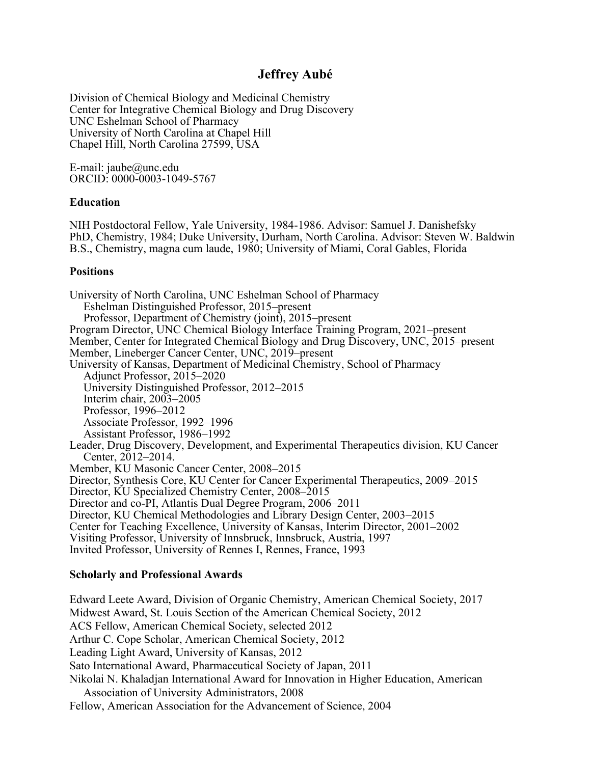#### **Jeffrey Aubé**

Division of Chemical Biology and Medicinal Chemistry Center for Integrative Chemical Biology and Drug Discovery UNC Eshelman School of Pharmacy University of North Carolina at Chapel Hill Chapel Hill, North Carolina 27599, USA

E-mail: jaube@unc.edu ORCID: 0000-0003-1049-5767

#### **Education**

NIH Postdoctoral Fellow, Yale University, 1984-1986. Advisor: Samuel J. Danishefsky PhD, Chemistry, 1984; Duke University, Durham, North Carolina. Advisor: Steven W. Baldwin B.S., Chemistry, magna cum laude, 1980; University of Miami, Coral Gables, Florida

#### **Positions**

University of North Carolina, UNC Eshelman School of Pharmacy Eshelman Distinguished Professor, 2015–present Professor, Department of Chemistry (joint), 2015–present Program Director, UNC Chemical Biology Interface Training Program, 2021–present Member, Center for Integrated Chemical Biology and Drug Discovery, UNC, 2015–present Member, Lineberger Cancer Center, UNC, 2019–present University of Kansas, Department of Medicinal Chemistry, School of Pharmacy Adjunct Professor, 2015–2020 University Distinguished Professor, 2012–2015 Interim chair, 2003–2005 Professor, 1996–2012 Associate Professor, 1992–1996 Assistant Professor, 1986–1992 Leader, Drug Discovery, Development, and Experimental Therapeutics division, KU Cancer Center, 2012–2014. Member, KU Masonic Cancer Center, 2008–2015 Director, Synthesis Core, KU Center for Cancer Experimental Therapeutics, 2009–2015 Director, KU Specialized Chemistry Center, 2008–2015 Director and co-PI, Atlantis Dual Degree Program, 2006–2011 Director, KU Chemical Methodologies and Library Design Center, 2003–2015 Center for Teaching Excellence, University of Kansas, Interim Director, 2001–2002 Visiting Professor, University of Innsbruck, Innsbruck, Austria, 1997 Invited Professor, University of Rennes I, Rennes, France, 1993

#### **Scholarly and Professional Awards**

Edward Leete Award, Division of Organic Chemistry, American Chemical Society, 2017 Midwest Award, St. Louis Section of the American Chemical Society, 2012 ACS Fellow, American Chemical Society, selected 2012 Arthur C. Cope Scholar, American Chemical Society, 2012 Leading Light Award, University of Kansas, 2012 Sato International Award, Pharmaceutical Society of Japan, 2011 Nikolai N. Khaladjan International Award for Innovation in Higher Education, American Association of University Administrators, 2008 Fellow, American Association for the Advancement of Science, 2004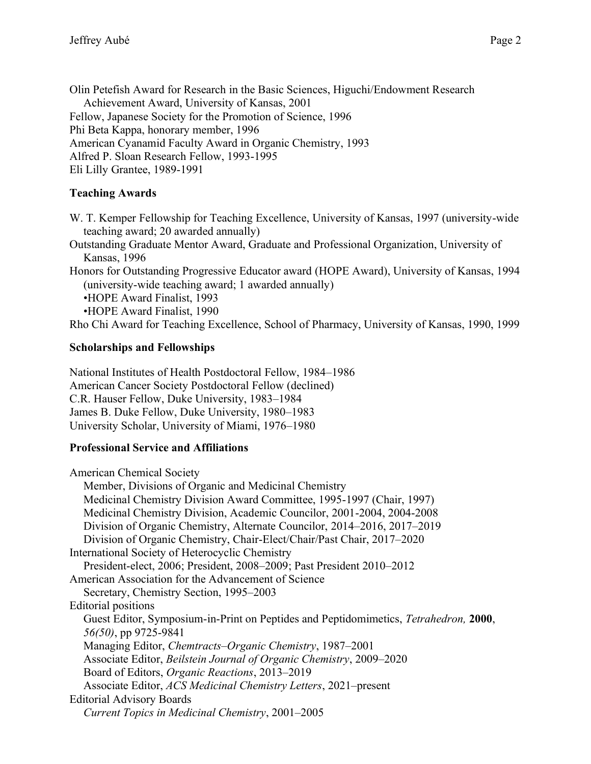Olin Petefish Award for Research in the Basic Sciences, Higuchi/Endowment Research Achievement Award, University of Kansas, 2001 Fellow, Japanese Society for the Promotion of Science, 1996 Phi Beta Kappa, honorary member, 1996 American Cyanamid Faculty Award in Organic Chemistry, 1993 Alfred P. Sloan Research Fellow, 1993-1995 Eli Lilly Grantee, 1989-1991

## **Teaching Awards**

W. T. Kemper Fellowship for Teaching Excellence, University of Kansas, 1997 (university-wide teaching award; 20 awarded annually)

Outstanding Graduate Mentor Award, Graduate and Professional Organization, University of Kansas, 1996

Honors for Outstanding Progressive Educator award (HOPE Award), University of Kansas, 1994 (university-wide teaching award; 1 awarded annually)

•HOPE Award Finalist, 1993

•HOPE Award Finalist, 1990

Rho Chi Award for Teaching Excellence, School of Pharmacy, University of Kansas, 1990, 1999

## **Scholarships and Fellowships**

National Institutes of Health Postdoctoral Fellow, 1984–1986 American Cancer Society Postdoctoral Fellow (declined) C.R. Hauser Fellow, Duke University, 1983–1984 James B. Duke Fellow, Duke University, 1980–1983 University Scholar, University of Miami, 1976–1980

## **Professional Service and Affiliations**

American Chemical Society Member, Divisions of Organic and Medicinal Chemistry Medicinal Chemistry Division Award Committee, 1995-1997 (Chair, 1997) Medicinal Chemistry Division, Academic Councilor, 2001-2004, 2004-2008 Division of Organic Chemistry, Alternate Councilor, 2014–2016, 2017–2019 Division of Organic Chemistry, Chair-Elect/Chair/Past Chair, 2017–2020 International Society of Heterocyclic Chemistry President-elect, 2006; President, 2008–2009; Past President 2010–2012 American Association for the Advancement of Science Secretary, Chemistry Section, 1995–2003 Editorial positions Guest Editor, Symposium-in-Print on Peptides and Peptidomimetics, *Tetrahedron,* **2000**, *56(50)*, pp 9725-9841 Managing Editor, *Chemtracts–Organic Chemistry*, 1987–2001 Associate Editor, *Beilstein Journal of Organic Chemistry*, 2009–2020 Board of Editors, *Organic Reactions*, 2013–2019 Associate Editor, *ACS Medicinal Chemistry Letters*, 2021–present Editorial Advisory Boards *Current Topics in Medicinal Chemistry*, 2001–2005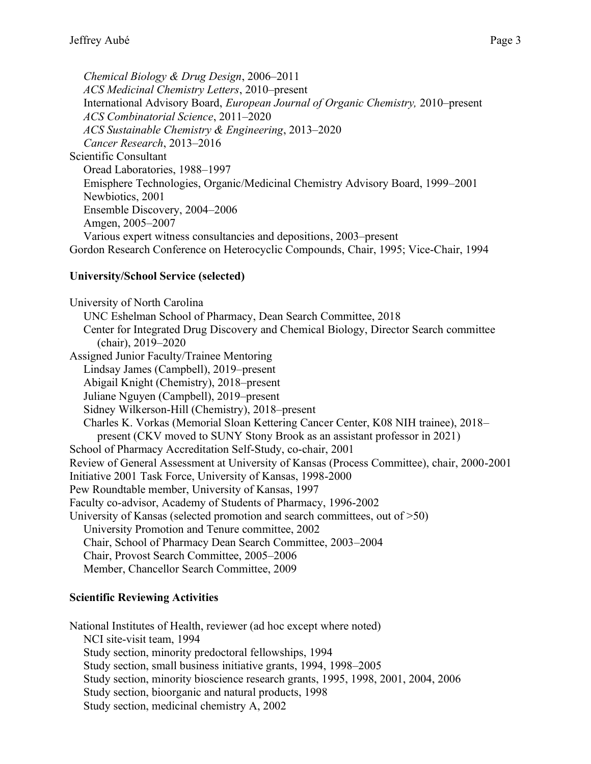*Chemical Biology & Drug Design*, 2006–2011 *ACS Medicinal Chemistry Letters*, 2010–present International Advisory Board, *European Journal of Organic Chemistry,* 2010–present *ACS Combinatorial Science*, 2011–2020 *ACS Sustainable Chemistry & Engineering*, 2013–2020 *Cancer Research*, 2013–2016 Scientific Consultant Oread Laboratories, 1988–1997 Emisphere Technologies, Organic/Medicinal Chemistry Advisory Board, 1999–2001 Newbiotics, 2001 Ensemble Discovery, 2004–2006 Amgen, 2005–2007 Various expert witness consultancies and depositions, 2003–present Gordon Research Conference on Heterocyclic Compounds, Chair, 1995; Vice-Chair, 1994

#### **University/School Service (selected)**

University of North Carolina UNC Eshelman School of Pharmacy, Dean Search Committee, 2018 Center for Integrated Drug Discovery and Chemical Biology, Director Search committee (chair), 2019–2020 Assigned Junior Faculty/Trainee Mentoring Lindsay James (Campbell), 2019–present Abigail Knight (Chemistry), 2018–present Juliane Nguyen (Campbell), 2019–present Sidney Wilkerson-Hill (Chemistry), 2018–present Charles K. Vorkas (Memorial Sloan Kettering Cancer Center, K08 NIH trainee), 2018– present (CKV moved to SUNY Stony Brook as an assistant professor in 2021) School of Pharmacy Accreditation Self-Study, co-chair, 2001 Review of General Assessment at University of Kansas (Process Committee), chair, 2000-2001 Initiative 2001 Task Force, University of Kansas, 1998-2000 Pew Roundtable member, University of Kansas, 1997 Faculty co-advisor, Academy of Students of Pharmacy, 1996-2002 University of Kansas (selected promotion and search committees, out of  $>50$ ) University Promotion and Tenure committee, 2002 Chair, School of Pharmacy Dean Search Committee, 2003–2004 Chair, Provost Search Committee, 2005–2006 Member, Chancellor Search Committee, 2009

## **Scientific Reviewing Activities**

National Institutes of Health, reviewer (ad hoc except where noted) NCI site-visit team, 1994 Study section, minority predoctoral fellowships, 1994 Study section, small business initiative grants, 1994, 1998–2005 Study section, minority bioscience research grants, 1995, 1998, 2001, 2004, 2006 Study section, bioorganic and natural products, 1998 Study section, medicinal chemistry A, 2002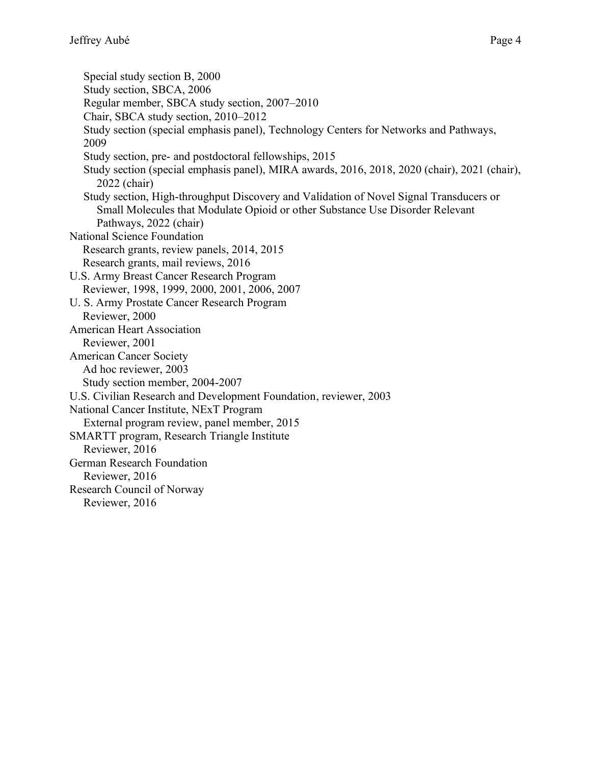Special study section B, 2000 Study section, SBCA, 2006 Regular member, SBCA study section, 2007–2010 Chair, SBCA study section, 2010–2012 Study section (special emphasis panel), Technology Centers for Networks and Pathways, 2009 Study section, pre- and postdoctoral fellowships, 2015 Study section (special emphasis panel), MIRA awards, 2016, 2018, 2020 (chair), 2021 (chair), 2022 (chair) Study section, High-throughput Discovery and Validation of Novel Signal Transducers or Small Molecules that Modulate Opioid or other Substance Use Disorder Relevant Pathways, 2022 (chair) National Science Foundation Research grants, review panels, 2014, 2015 Research grants, mail reviews, 2016 U.S. Army Breast Cancer Research Program Reviewer, 1998, 1999, 2000, 2001, 2006, 2007 U. S. Army Prostate Cancer Research Program Reviewer, 2000 American Heart Association Reviewer, 2001 American Cancer Society Ad hoc reviewer, 2003 Study section member, 2004-2007 U.S. Civilian Research and Development Foundation, reviewer, 2003 National Cancer Institute, NExT Program External program review, panel member, 2015 SMARTT program, Research Triangle Institute Reviewer, 2016 German Research Foundation Reviewer, 2016 Research Council of Norway Reviewer, 2016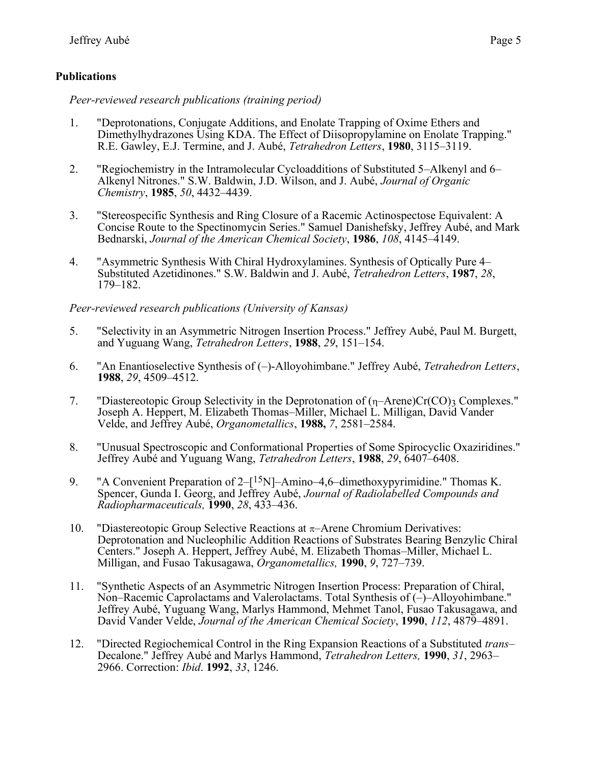#### **Publications**

*Peer-reviewed research publications (training period)*

- 1. "Deprotonations, Conjugate Additions, and Enolate Trapping of Oxime Ethers and Dimethylhydrazones Using KDA. The Effect of Diisopropylamine on Enolate Trapping." R.E. Gawley, E.J. Termine, and J. Aubé, *Tetrahedron Letters*, **1980**, 3115–3119.
- 2. "Regiochemistry in the Intramolecular Cycloadditions of Substituted 5–Alkenyl and 6– Alkenyl Nitrones." S.W. Baldwin, J.D. Wilson, and J. Aubé, *Journal of Organic Chemistry*, **1985**, *50*, 4432–4439.
- 3. "Stereospecific Synthesis and Ring Closure of a Racemic Actinospectose Equivalent: A Concise Route to the Spectinomycin Series." Samuel Danishefsky, Jeffrey Aubé, and Mark Bednarski, *Journal of the American Chemical Society*, **1986**, *108*, 4145–4149.
- 4. "Asymmetric Synthesis With Chiral Hydroxylamines. Synthesis of Optically Pure 4– Substituted Azetidinones." S.W. Baldwin and J. Aubé, *Tetrahedron Letters*, **1987**, *28*, 179–182.

*Peer-reviewed research publications (University of Kansas)*

- 5. "Selectivity in an Asymmetric Nitrogen Insertion Process." Jeffrey Aubé, Paul M. Burgett, and Yuguang Wang, *Tetrahedron Letters*, **1988**, *29*, 151–154.
- 6. "An Enantioselective Synthesis of (–)-Alloyohimbane." Jeffrey Aubé, *Tetrahedron Letters*, **1988**, *29*, 4509–4512.
- 7. "Diastereotopic Group Selectivity in the Deprotonation of  $(\eta$ -Arene)Cr(CO)<sub>3</sub> Complexes." Joseph A. Heppert, M. Elizabeth Thomas–Miller, Michael L. Milligan, David Vander Velde, and Jeffrey Aubé, *Organometallics*, **1988,** *7*, 2581–2584.
- 8. "Unusual Spectroscopic and Conformational Properties of Some Spirocyclic Oxaziridines." Jeffrey Aubé and Yuguang Wang, *Tetrahedron Letters*, **1988**, *29*, 6407–6408.
- 9. "A Convenient Preparation of  $2-[15N]$ -Amino-4,6-dimethoxypyrimidine." Thomas K. Spencer, Gunda I. Georg, and Jeffrey Aubé, *Journal of Radiolabelled Compounds and Radiopharmaceuticals,* **1990**, *28*, 433–436.
- 10. "Diastereotopic Group Selective Reactions at  $\pi$ -Arene Chromium Derivatives: Deprotonation and Nucleophilic Addition Reactions of Substrates Bearing Benzylic Chiral Centers." Joseph A. Heppert, Jeffrey Aubé, M. Elizabeth Thomas–Miller, Michael L. Milligan, and Fusao Takusagawa, *Organometallics,* **1990**, *9*, 727–739.
- 11. "Synthetic Aspects of an Asymmetric Nitrogen Insertion Process: Preparation of Chiral, Non–Racemic Caprolactams and Valerolactams. Total Synthesis of (–)–Alloyohimbane." Jeffrey Aubé, Yuguang Wang, Marlys Hammond, Mehmet Tanol, Fusao Takusagawa, and David Vander Velde, *Journal of the American Chemical Society*, **1990**, *112*, 4879–4891.
- 12. "Directed Regiochemical Control in the Ring Expansion Reactions of a Substituted *trans* Decalone." Jeffrey Aubé and Marlys Hammond, *Tetrahedron Letters,* **1990**, *31*, 2963– 2966. Correction: *Ibid*. **1992**, *33*, 1246.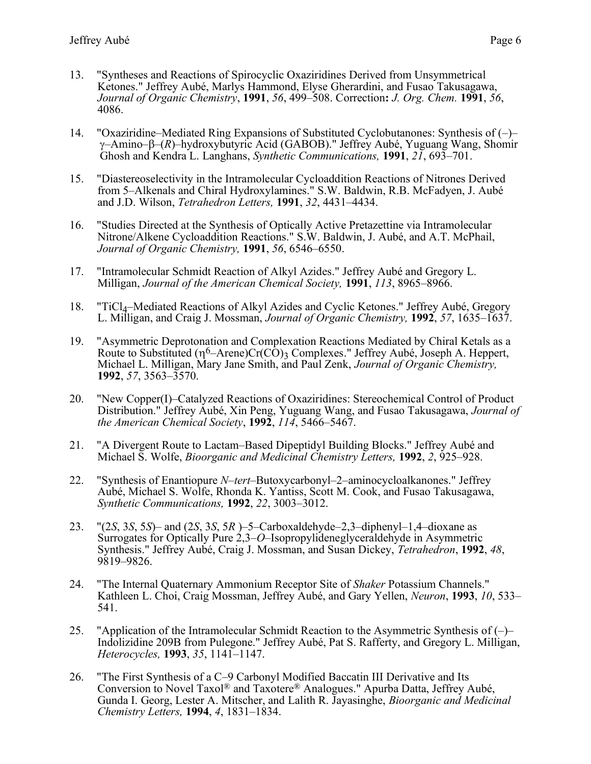- 13. "Syntheses and Reactions of Spirocyclic Oxaziridines Derived from Unsymmetrical Ketones." Jeffrey Aubé, Marlys Hammond, Elyse Gherardini, and Fusao Takusagawa, *Journal of Organic Chemistry*, **1991**, *56*, 499–508. Correction**:** *J. Org. Chem.* **1991**, *56*, 4086.
- 14. "Oxaziridine–Mediated Ring Expansions of Substituted Cyclobutanones: Synthesis of (–)– –Amino––(*R*)–hydroxybutyric Acid (GABOB)." Jeffrey Aubé, Yuguang Wang, Shomir Ghosh and Kendra L. Langhans, *Synthetic Communications,* **1991**, *21*, 693–701.
- 15. "Diastereoselectivity in the Intramolecular Cycloaddition Reactions of Nitrones Derived from 5–Alkenals and Chiral Hydroxylamines." S.W. Baldwin, R.B. McFadyen, J. Aubé and J.D. Wilson, *Tetrahedron Letters,* **1991**, *32*, 4431–4434.
- 16. "Studies Directed at the Synthesis of Optically Active Pretazettine via Intramolecular Nitrone/Alkene Cycloaddition Reactions." S.W. Baldwin, J. Aubé, and A.T. McPhail, *Journal of Organic Chemistry,* **1991**, *56*, 6546–6550.
- 17. "Intramolecular Schmidt Reaction of Alkyl Azides." Jeffrey Aubé and Gregory L. Milligan, *Journal of the American Chemical Society,* **1991**, *113*, 8965–8966.
- 18. "TiCl<sub>4</sub>–Mediated Reactions of Alkyl Azides and Cyclic Ketones." Jeffrey Aubé, Gregory L. Milligan, and Craig J. Mossman, *Journal of Organic Chemistry,* **1992**, *57*, 1635–1637.
- 19. "Asymmetric Deprotonation and Complexation Reactions Mediated by Chiral Ketals as a Route to Substituted  $(n^6$ –Arene)Cr(CO)<sub>3</sub> Complexes." Jeffrey Aubé, Joseph A. Heppert, Michael L. Milligan, Mary Jane Smith, and Paul Zenk, *Journal of Organic Chemistry,*  **1992**, *57*, 3563–3570.
- 20. "New Copper(I)–Catalyzed Reactions of Oxaziridines: Stereochemical Control of Product Distribution." Jeffrey Aubé, Xin Peng, Yuguang Wang, and Fusao Takusagawa, *Journal of the American Chemical Society*, **1992**, *114*, 5466–5467.
- 21. "A Divergent Route to Lactam–Based Dipeptidyl Building Blocks." Jeffrey Aubé and Michael S. Wolfe, *Bioorganic and Medicinal Chemistry Letters,* **1992**, *2*, 925–928.
- 22. "Synthesis of Enantiopure *N*–*tert*–Butoxycarbonyl–2–aminocycloalkanones." Jeffrey Aubé, Michael S. Wolfe, Rhonda K. Yantiss, Scott M. Cook, and Fusao Takusagawa, *Synthetic Communications,* **1992**, *22*, 3003–3012.
- 23. "(2*S*, 3*S*, 5*S*)– and (2*S*, 3*S*, 5*R* )–5–Carboxaldehyde–2,3–diphenyl–1,4–dioxane as Surrogates for Optically Pure 2,3–*O*–Isopropylideneglyceraldehyde in Asymmetric Synthesis." Jeffrey Aubé, Craig J. Mossman, and Susan Dickey, *Tetrahedron*, **1992**, *48*, 9819–9826.
- 24. "The Internal Quaternary Ammonium Receptor Site of *Shaker* Potassium Channels." Kathleen L. Choi, Craig Mossman, Jeffrey Aubé, and Gary Yellen, *Neuron*, **1993**, *10*, 533– 541.
- 25. "Application of the Intramolecular Schmidt Reaction to the Asymmetric Synthesis of (–)– Indolizidine 209B from Pulegone." Jeffrey Aubé, Pat S. Rafferty, and Gregory L. Milligan, *Heterocycles,* **1993**, *35*, 1141–1147.
- 26. "The First Synthesis of a C–9 Carbonyl Modified Baccatin III Derivative and Its Conversion to Novel Taxol® and Taxotere® Analogues." Apurba Datta, Jeffrey Aubé, Gunda I. Georg, Lester A. Mitscher, and Lalith R. Jayasinghe, *Bioorganic and Medicinal Chemistry Letters,* **1994**, *4*, 1831–1834.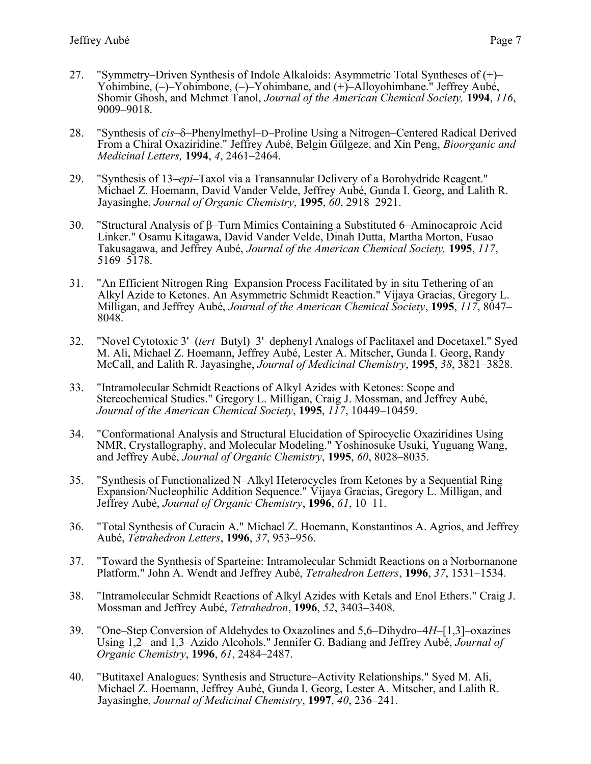- 27. "Symmetry–Driven Synthesis of Indole Alkaloids: Asymmetric Total Syntheses of (+)– Yohimbine, (–)–Yohimbone, (–)–Yohimbane, and (+)–Alloyohimbane." Jeffrey Aubé, Shomir Ghosh, and Mehmet Tanol, *Journal of the American Chemical Society,* **1994**, *116*, 9009–9018.
- 28. "Synthesis of *cis*– $\delta$ –Phenylmethyl–D–Proline Using a Nitrogen–Centered Radical Derived From a Chiral Oxaziridine." Jeffrey Aubé, Belgin Gülgeze, and Xin Peng, *Bioorganic and Medicinal Letters,* **1994**, *4*, 2461–2464.
- 29. "Synthesis of 13–*epi*–Taxol via a Transannular Delivery of a Borohydride Reagent." Michael Z. Hoemann, David Vander Velde, Jeffrey Aubé, Gunda I. Georg, and Lalith R. Jayasinghe, *Journal of Organic Chemistry*, **1995**, *60*, 2918–2921.
- 30. "Structural Analysis of  $\beta$ -Turn Mimics Containing a Substituted 6-Aminocaproic Acid Linker." Osamu Kitagawa, David Vander Velde, Dinah Dutta, Martha Morton, Fusao Takusagawa, and Jeffrey Aubé, *Journal of the American Chemical Society,* **1995**, *117*, 5169–5178.
- 31. "An Efficient Nitrogen Ring–Expansion Process Facilitated by in situ Tethering of an Alkyl Azide to Ketones. An Asymmetric Schmidt Reaction." Vijaya Gracias, Gregory L. Milligan, and Jeffrey Aubé, *Journal of the American Chemical Society*, **1995**, *117*, 8047– 8048.
- 32. "Novel Cytotoxic 3'–(*tert*–Butyl)–3'–dephenyl Analogs of Paclitaxel and Docetaxel." Syed M. Ali, Michael Z. Hoemann, Jeffrey Aubé, Lester A. Mitscher, Gunda I. Georg, Randy McCall, and Lalith R. Jayasinghe, *Journal of Medicinal Chemistry*, **1995**, *38*, 3821–3828.
- 33. "Intramolecular Schmidt Reactions of Alkyl Azides with Ketones: Scope and Stereochemical Studies." Gregory L. Milligan, Craig J. Mossman, and Jeffrey Aubé, *Journal of the American Chemical Society*, **1995**, *117*, 10449–10459.
- 34. "Conformational Analysis and Structural Elucidation of Spirocyclic Oxaziridines Using NMR, Crystallography, and Molecular Modeling." Yoshinosuke Usuki, Yuguang Wang, and Jeffrey Aubé, *Journal of Organic Chemistry*, **1995**, *60*, 8028–8035.
- 35. "Synthesis of Functionalized N–Alkyl Heterocycles from Ketones by a Sequential Ring Expansion/Nucleophilic Addition Sequence." Vijaya Gracias, Gregory L. Milligan, and Jeffrey Aubé, *Journal of Organic Chemistry*, **1996**, *61*, 10–11.
- 36. "Total Synthesis of Curacin A." Michael Z. Hoemann, Konstantinos A. Agrios, and Jeffrey Aubé, *Tetrahedron Letters*, **1996**, *37*, 953–956.
- 37. "Toward the Synthesis of Sparteine: Intramolecular Schmidt Reactions on a Norbornanone Platform." John A. Wendt and Jeffrey Aubé, *Tetrahedron Letters*, **1996**, *37*, 1531–1534.
- 38. "Intramolecular Schmidt Reactions of Alkyl Azides with Ketals and Enol Ethers." Craig J. Mossman and Jeffrey Aubé, *Tetrahedron*, **1996**, *52*, 3403–3408.
- 39. "One–Step Conversion of Aldehydes to Oxazolines and 5,6–Dihydro–4*H*–[1,3]–oxazines Using 1,2– and 1,3–Azido Alcohols." Jennifer G. Badiang and Jeffrey Aubé, *Journal of Organic Chemistry*, **1996**, *61*, 2484–2487.
- 40. "Butitaxel Analogues: Synthesis and Structure–Activity Relationships." Syed M. Ali, Michael Z. Hoemann, Jeffrey Aubé, Gunda I. Georg, Lester A. Mitscher, and Lalith R. Jayasinghe, *Journal of Medicinal Chemistry*, **1997**, *40*, 236–241.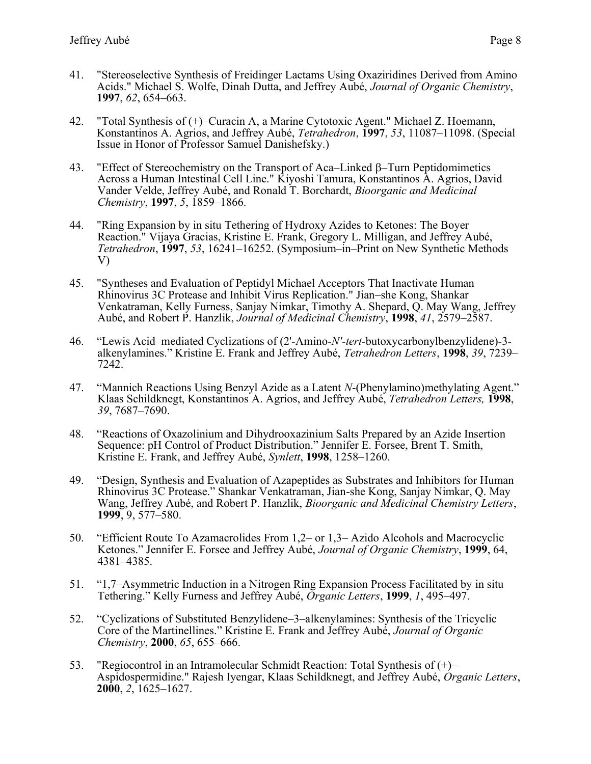- 42. "Total Synthesis of (+)–Curacin A, a Marine Cytotoxic Agent." Michael Z. Hoemann, Konstantinos A. Agrios, and Jeffrey Aubé, *Tetrahedron*, **1997**, *53*, 11087–11098. (Special Issue in Honor of Professor Samuel Danishefsky.)
- 43. "Effect of Stereochemistry on the Transport of Aca–Linked  $\beta$ –Turn Peptidomimetics Across a Human Intestinal Cell Line." Kiyoshi Tamura, Konstantinos A. Agrios, David Vander Velde, Jeffrey Aubé, and Ronald T. Borchardt, *Bioorganic and Medicinal Chemistry*, **1997**, *5*, 1859–1866.
- 44. "Ring Expansion by in situ Tethering of Hydroxy Azides to Ketones: The Boyer Reaction." Vijaya Gracias, Kristine E. Frank, Gregory L. Milligan, and Jeffrey Aubé, *Tetrahedron*, **1997**, *53*, 16241–16252. (Symposium–in–Print on New Synthetic Methods V)
- 45. "Syntheses and Evaluation of Peptidyl Michael Acceptors That Inactivate Human Rhinovirus 3C Protease and Inhibit Virus Replication." Jian–she Kong, Shankar Venkatraman, Kelly Furness, Sanjay Nimkar, Timothy A. Shepard, Q. May Wang, Jeffrey Aubé, and Robert P. Hanzlik, *Journal of Medicinal Chemistry*, **1998**, *41*, 2579–2587.
- 46. "Lewis Acid–mediated Cyclizations of (2'-Amino-*N'*-*tert*-butoxycarbonylbenzylidene)-3 alkenylamines." Kristine E. Frank and Jeffrey Aubé, *Tetrahedron Letters*, **1998**, *39*, 7239– 7242.
- 47. "Mannich Reactions Using Benzyl Azide as a Latent *N*-(Phenylamino)methylating Agent." Klaas Schildknegt, Konstantinos A. Agrios, and Jeffrey Aubé, *Tetrahedron Letters,* **1998**, *39*, 7687–7690.
- 48. "Reactions of Oxazolinium and Dihydrooxazinium Salts Prepared by an Azide Insertion Sequence: pH Control of Product Distribution." Jennifer E. Forsee, Brent T. Smith, Kristine E. Frank, and Jeffrey Aubé, *Synlett*, **1998**, 1258–1260.
- 49. "Design, Synthesis and Evaluation of Azapeptides as Substrates and Inhibitors for Human Rhinovirus 3C Protease." Shankar Venkatraman, Jian-she Kong, Sanjay Nimkar, Q. May Wang, Jeffrey Aubé, and Robert P. Hanzlik, *Bioorganic and Medicinal Chemistry Letters*, **1999**, 9, 577–580.
- 50. "Efficient Route To Azamacrolides From 1,2– or 1,3– Azido Alcohols and Macrocyclic Ketones." Jennifer E. Forsee and Jeffrey Aubé, *Journal of Organic Chemistry*, **1999**, 64, 4381–4385.
- 51. "1,7–Asymmetric Induction in a Nitrogen Ring Expansion Process Facilitated by in situ Tethering." Kelly Furness and Jeffrey Aubé, *Organic Letters*, **1999**, *1*, 495–497.
- 52. "Cyclizations of Substituted Benzylidene–3–alkenylamines: Synthesis of the Tricyclic Core of the Martinellines." Kristine E. Frank and Jeffrey Aubé, *Journal of Organic Chemistry*, **2000**, *65*, 655–666.
- 53. "Regiocontrol in an Intramolecular Schmidt Reaction: Total Synthesis of (+)– Aspidospermidine." Rajesh Iyengar, Klaas Schildknegt, and Jeffrey Aubé, *Organic Letters*, **2000**, *2*, 1625–1627.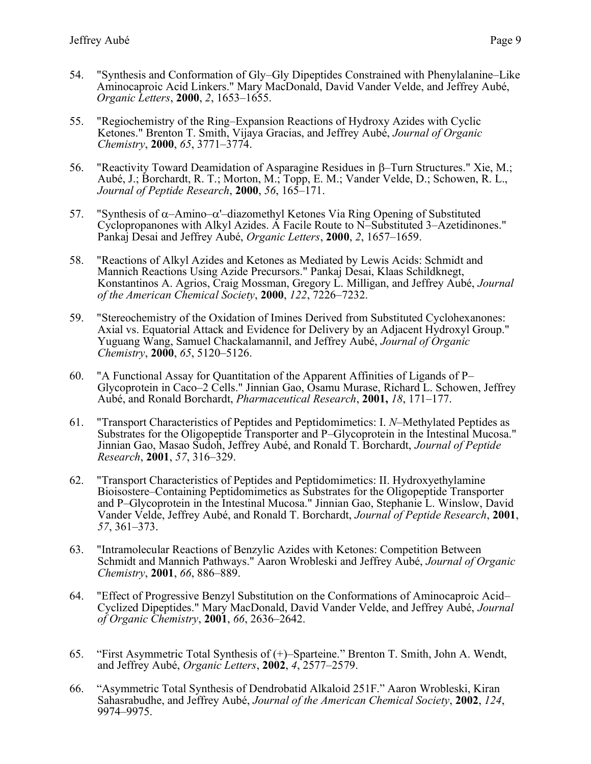- 55. "Regiochemistry of the Ring–Expansion Reactions of Hydroxy Azides with Cyclic Ketones." Brenton T. Smith, Vijaya Gracias, and Jeffrey Aubé, *Journal of Organic Chemistry*, **2000**, *65*, 3771–3774.
- 56. "Reactivity Toward Deamidation of Asparagine Residues in  $\beta$ -Turn Structures." Xie, M.; Aubé, J.; Borchardt, R. T.; Morton, M.; Topp, E. M.; Vander Velde, D.; Schowen, R. L., *Journal of Peptide Research*, **2000**, *56*, 165–171.
- 57. "Synthesis of  $\alpha$ -Amino- $\alpha$ '-diazomethyl Ketones Via Ring Opening of Substituted Cyclopropanones with Alkyl Azides. A Facile Route to N–Substituted 3–Azetidinones." Pankaj Desai and Jeffrey Aubé, *Organic Letters*, **2000**, *2*, 1657–1659.
- 58. "Reactions of Alkyl Azides and Ketones as Mediated by Lewis Acids: Schmidt and Mannich Reactions Using Azide Precursors." Pankaj Desai, Klaas Schildknegt, Konstantinos A. Agrios, Craig Mossman, Gregory L. Milligan, and Jeffrey Aubé, *Journal of the American Chemical Society*, **2000**, *122*, 7226–7232.
- 59. "Stereochemistry of the Oxidation of Imines Derived from Substituted Cyclohexanones: Axial vs. Equatorial Attack and Evidence for Delivery by an Adjacent Hydroxyl Group." Yuguang Wang, Samuel Chackalamannil, and Jeffrey Aubé, *Journal of Organic Chemistry*, **2000**, *65*, 5120–5126.
- 60. "A Functional Assay for Quantitation of the Apparent Affinities of Ligands of P– Glycoprotein in Caco–2 Cells." Jinnian Gao, Osamu Murase, Richard L. Schowen, Jeffrey Aubé, and Ronald Borchardt, *Pharmaceutical Research*, **2001,** *18*, 171–177.
- 61. "Transport Characteristics of Peptides and Peptidomimetics: I. *N*–Methylated Peptides as Substrates for the Oligopeptide Transporter and P–Glycoprotein in the Intestinal Mucosa." Jinnian Gao, Masao Sudoh, Jeffrey Aubé, and Ronald T. Borchardt, *Journal of Peptide Research*, **2001**, *57*, 316–329.
- 62. "Transport Characteristics of Peptides and Peptidomimetics: II. Hydroxyethylamine Bioisostere–Containing Peptidomimetics as Substrates for the Oligopeptide Transporter and P–Glycoprotein in the Intestinal Mucosa." Jinnian Gao, Stephanie L. Winslow, David Vander Velde, Jeffrey Aubé, and Ronald T. Borchardt, *Journal of Peptide Research*, **2001**, *57*, 361–373.
- 63. "Intramolecular Reactions of Benzylic Azides with Ketones: Competition Between Schmidt and Mannich Pathways." Aaron Wrobleski and Jeffrey Aubé, *Journal of Organic Chemistry*, **2001**, *66*, 886–889.
- 64. "Effect of Progressive Benzyl Substitution on the Conformations of Aminocaproic Acid– Cyclized Dipeptides." Mary MacDonald, David Vander Velde, and Jeffrey Aubé, *Journal of Organic Chemistry*, **2001**, *66*, 2636–2642.
- 65. "First Asymmetric Total Synthesis of (+)–Sparteine." Brenton T. Smith, John A. Wendt, and Jeffrey Aubé, *Organic Letters*, **2002**, *4*, 2577–2579.
- 66. "Asymmetric Total Synthesis of Dendrobatid Alkaloid 251F." Aaron Wrobleski, Kiran Sahasrabudhe, and Jeffrey Aubé, *Journal of the American Chemical Society*, **2002**, *124*, 9974–9975.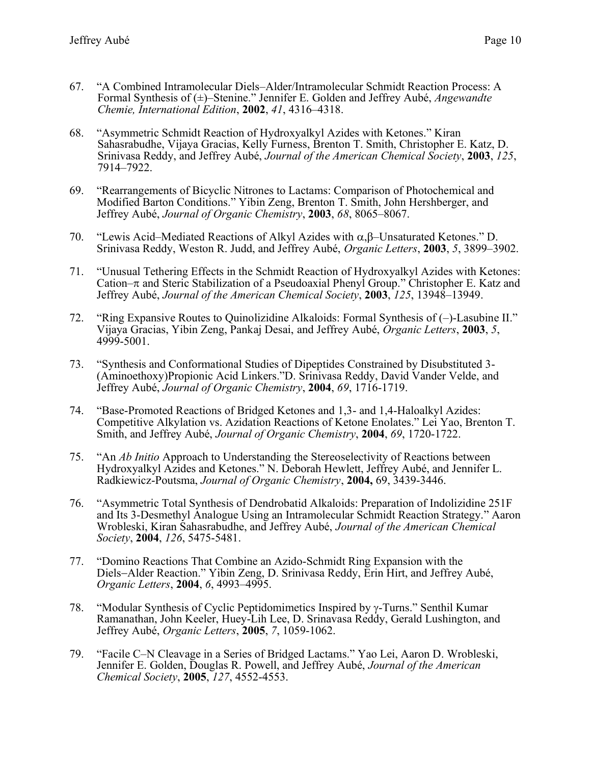- 67. "A Combined Intramolecular Diels–Alder/Intramolecular Schmidt Reaction Process: A Formal Synthesis of (±)–Stenine." Jennifer E. Golden and Jeffrey Aubé, *Angewandte Chemie, International Edition*, **2002**, *41*, 4316–4318.
- 68. "Asymmetric Schmidt Reaction of Hydroxyalkyl Azides with Ketones." Kiran Sahasrabudhe, Vijaya Gracias, Kelly Furness, Brenton T. Smith, Christopher E. Katz, D. Srinivasa Reddy, and Jeffrey Aubé, *Journal of the American Chemical Society*, **2003**, *125*, 7914–7922.
- 69. "Rearrangements of Bicyclic Nitrones to Lactams: Comparison of Photochemical and Modified Barton Conditions." Yibin Zeng, Brenton T. Smith, John Hershberger, and Jeffrey Aubé, *Journal of Organic Chemistry*, **2003**, *68*, 8065–8067.
- 70. "Lewis Acid–Mediated Reactions of Alkyl Azides with  $\alpha, \beta$ –Unsaturated Ketones." D. Srinivasa Reddy, Weston R. Judd, and Jeffrey Aubé, *Organic Letters*, **2003**, *5*, 3899–3902.
- 71. "Unusual Tethering Effects in the Schmidt Reaction of Hydroxyalkyl Azides with Ketones: Cation– $\pi$  and Steric Stabilization of a Pseudoaxial Phenyl Group." Christopher E. Katz and Jeffrey Aubé, *Journal of the American Chemical Society*, **2003**, *125*, 13948–13949.
- 72. "Ring Expansive Routes to Quinolizidine Alkaloids: Formal Synthesis of (–)-Lasubine II." Vijaya Gracias, Yibin Zeng, Pankaj Desai, and Jeffrey Aubé, *Organic Letters*, **2003**, *5*, 4999-5001.
- 73. "Synthesis and Conformational Studies of Dipeptides Constrained by Disubstituted 3- (Aminoethoxy)Propionic Acid Linkers."D. Srinivasa Reddy, David Vander Velde, and Jeffrey Aubé, *Journal of Organic Chemistry*, **2004**, *69*, 1716-1719.
- 74. "Base-Promoted Reactions of Bridged Ketones and 1,3- and 1,4-Haloalkyl Azides: Competitive Alkylation vs. Azidation Reactions of Ketone Enolates." Lei Yao, Brenton T. Smith, and Jeffrey Aubé, *Journal of Organic Chemistry*, **2004**, *69*, 1720-1722.
- 75. "An *Ab Initio* Approach to Understanding the Stereoselectivity of Reactions between Hydroxyalkyl Azides and Ketones." N. Deborah Hewlett, Jeffrey Aubé, and Jennifer L. Radkiewicz-Poutsma, *Journal of Organic Chemistry*, **2004,** 69, 3439-3446.
- 76. "Asymmetric Total Synthesis of Dendrobatid Alkaloids: Preparation of Indolizidine 251F and Its 3-Desmethyl Analogue Using an Intramolecular Schmidt Reaction Strategy." Aaron Wrobleski, Kiran Sahasrabudhe, and Jeffrey Aubé, *Journal of the American Chemical Society*, **2004**, *126*, 5475-5481.
- 77. "Domino Reactions That Combine an Azido-Schmidt Ring Expansion with the Diels−Alder Reaction." Yibin Zeng, D. Srinivasa Reddy, Erin Hirt, and Jeffrey Aubé, *Organic Letters*, **2004**, *6*, 4993–4995.
- 78. "Modular Synthesis of Cyclic Peptidomimetics Inspired by -Turns." Senthil Kumar Ramanathan, John Keeler, Huey-Lih Lee, D. Srinavasa Reddy, Gerald Lushington, and Jeffrey Aubé, *Organic Letters*, **2005**, *7*, 1059-1062.
- 79. "Facile C–N Cleavage in a Series of Bridged Lactams." Yao Lei, Aaron D. Wrobleski, Jennifer E. Golden, Douglas R. Powell, and Jeffrey Aubé, *Journal of the American Chemical Society*, **2005**, *127*, 4552-4553.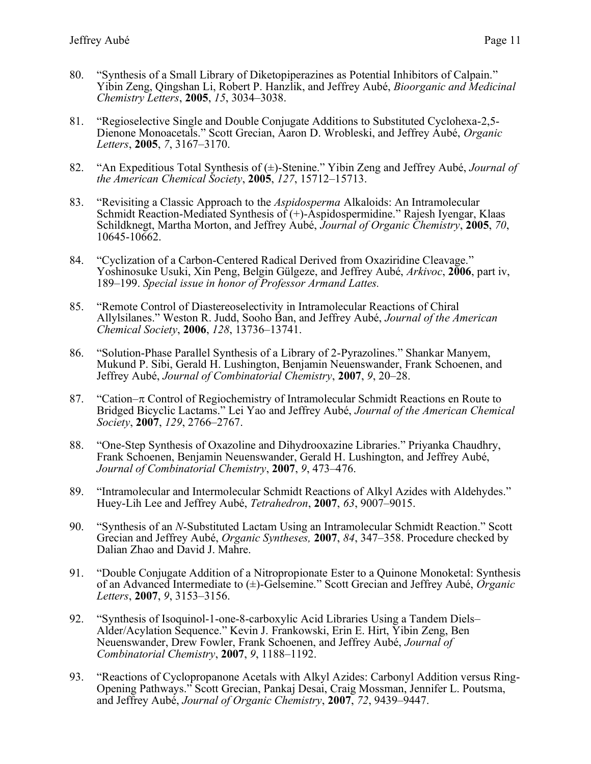- 80. "Synthesis of a Small Library of Diketopiperazines as Potential Inhibitors of Calpain." Yibin Zeng, Qingshan Li, Robert P. Hanzlik, and Jeffrey Aubé, *Bioorganic and Medicinal Chemistry Letters*, **2005**, *15*, 3034–3038.
- 81. "Regioselective Single and Double Conjugate Additions to Substituted Cyclohexa-2,5- Dienone Monoacetals." Scott Grecian, Aaron D. Wrobleski, and Jeffrey Aubé, *Organic Letters*, **2005**, *7*, 3167–3170.
- 82. "An Expeditious Total Synthesis of (±)-Stenine." Yibin Zeng and Jeffrey Aubé, *Journal of the American Chemical Society*, **2005**, *127*, 15712–15713.
- 83. "Revisiting a Classic Approach to the *Aspidosperma* Alkaloids: An Intramolecular Schmidt Reaction-Mediated Synthesis of  $(+)$ -Aspidospermidine." Rajesh Iyengar, Klaas Schildknegt, Martha Morton, and Jeffrey Aubé, *Journal of Organic Chemistry*, **2005**, *70*, 10645-10662.
- 84. "Cyclization of a Carbon-Centered Radical Derived from Oxaziridine Cleavage." Yoshinosuke Usuki, Xin Peng, Belgin Gülgeze, and Jeffrey Aubé, *Arkivoc*, **2006**, part iv, 189–199. *Special issue in honor of Professor Armand Lattes.*
- 85. "Remote Control of Diastereoselectivity in Intramolecular Reactions of Chiral Allylsilanes." Weston R. Judd, Sooho Ban, and Jeffrey Aubé, *Journal of the American Chemical Society*, **2006**, *128*, 13736–13741.
- 86. "Solution-Phase Parallel Synthesis of a Library of 2-Pyrazolines." Shankar Manyem, Mukund P. Sibi, Gerald H. Lushington, Benjamin Neuenswander, Frank Schoenen, and Jeffrey Aubé, *Journal of Combinatorial Chemistry*, **2007**, *9*, 20–28.
- 87. "Cation– $\pi$  Control of Regiochemistry of Intramolecular Schmidt Reactions en Route to Bridged Bicyclic Lactams." Lei Yao and Jeffrey Aubé, *Journal of the American Chemical Society*, **2007**, *129*, 2766–2767.
- 88. "One-Step Synthesis of Oxazoline and Dihydrooxazine Libraries." Priyanka Chaudhry, Frank Schoenen, Benjamin Neuenswander, Gerald H. Lushington, and Jeffrey Aubé, *Journal of Combinatorial Chemistry*, **2007**, *9*, 473–476.
- 89. "Intramolecular and Intermolecular Schmidt Reactions of Alkyl Azides with Aldehydes." Huey-Lih Lee and Jeffrey Aubé, *Tetrahedron*, **2007**, *63*, 9007–9015.
- 90. "Synthesis of an *N*-Substituted Lactam Using an Intramolecular Schmidt Reaction." Scott Grecian and Jeffrey Aubé, *Organic Syntheses,* **2007**, *84*, 347–358. Procedure checked by Dalian Zhao and David J. Mahre.
- 91. "Double Conjugate Addition of a Nitropropionate Ester to a Quinone Monoketal: Synthesis of an Advanced Intermediate to (±)-Gelsemine." Scott Grecian and Jeffrey Aubé, *Organic Letters*, **2007**, *9*, 3153–3156.
- 92. "Synthesis of Isoquinol-1-one-8-carboxylic Acid Libraries Using a Tandem Diels– Alder/Acylation Sequence." Kevin J. Frankowski, Erin E. Hirt, Yibin Zeng, Ben Neuenswander, Drew Fowler, Frank Schoenen, and Jeffrey Aubé, *Journal of Combinatorial Chemistry*, **2007**, *9*, 1188–1192.
- 93. "Reactions of Cyclopropanone Acetals with Alkyl Azides: Carbonyl Addition versus Ring-Opening Pathways." Scott Grecian, Pankaj Desai, Craig Mossman, Jennifer L. Poutsma, and Jeffrey Aubé, *Journal of Organic Chemistry*, **2007**, *72*, 9439–9447.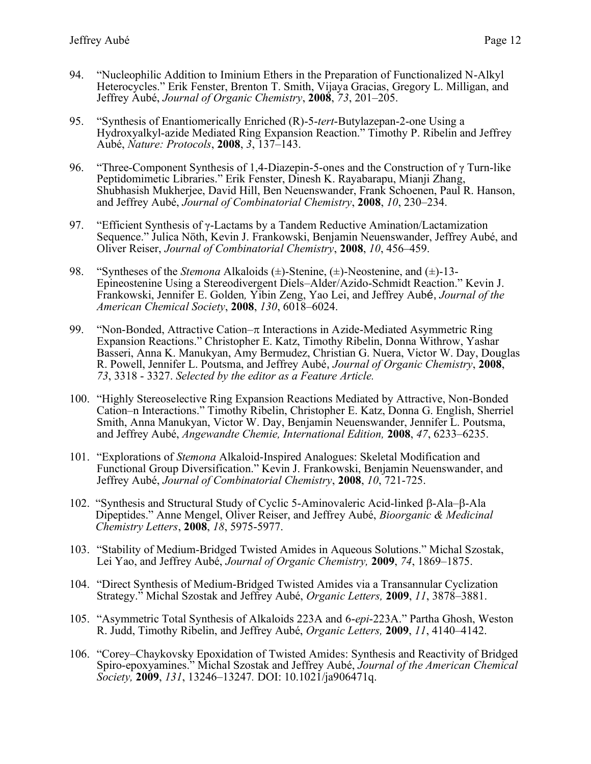- 94. "Nucleophilic Addition to Iminium Ethers in the Preparation of Functionalized N-Alkyl Heterocycles." Erik Fenster, Brenton T. Smith, Vijaya Gracias, Gregory L. Milligan, and Jeffrey Aubé, *Journal of Organic Chemistry*, **2008**, *73*, 201–205.
- 95. "Synthesis of Enantiomerically Enriched (R)-5-*tert*-Butylazepan-2-one Using a Hydroxyalkyl-azide Mediated Ring Expansion Reaction." Timothy P. Ribelin and Jeffrey Aubé, *Nature: Protocols*, **2008**, *3*, 137–143.
- 96. "Three-Component Synthesis of 1,4-Diazepin-5-ones and the Construction of  $\gamma$  Turn-like Peptidomimetic Libraries." Erik Fenster, Dinesh K. Rayabarapu, Mianji Zhang, Shubhasish Mukherjee, David Hill, Ben Neuenswander, Frank Schoenen, Paul R. Hanson, and Jeffrey Aubé, *Journal of Combinatorial Chemistry*, **2008**, *10*, 230–234.
- 97. "Efficient Synthesis of  $\gamma$ -Lactams by a Tandem Reductive Amination/Lactamization Sequence." Julica Nöth, Kevin J. Frankowski, Benjamin Neuenswander, Jeffrey Aubé, and Oliver Reiser, *Journal of Combinatorial Chemistry*, **2008**, *10*, 456–459.
- 98. "Syntheses of the *Stemona* Alkaloids (±)-Stenine, (±)-Neostenine, and (±)-13- Epineostenine Using a Stereodivergent Diels–Alder/Azido-Schmidt Reaction." Kevin J. Frankowski, Jennifer E. Golden*,* Yibin Zeng, Yao Lei, and Jeffrey Aubé, *Journal of the American Chemical Society*, **2008**, *130*, 6018–6024.
- 99. "Non-Bonded, Attractive Cation– $\pi$  Interactions in Azide-Mediated Asymmetric Ring Expansion Reactions." Christopher E. Katz, Timothy Ribelin, Donna Withrow, Yashar Basseri, Anna K. Manukyan, Amy Bermudez, Christian G. Nuera, Victor W. Day, Douglas R. Powell, Jennifer L. Poutsma, and Jeffrey Aubé, *Journal of Organic Chemistry*, **2008**, *73*, 3318 - 3327. *Selected by the editor as a Feature Article.*
- 100. "Highly Stereoselective Ring Expansion Reactions Mediated by Attractive, Non-Bonded Cation–n Interactions." Timothy Ribelin, Christopher E. Katz, Donna G. English, Sherriel Smith, Anna Manukyan, Victor W. Day, Benjamin Neuenswander, Jennifer L. Poutsma, and Jeffrey Aubé, *Angewandte Chemie, International Edition,* **2008**, *47*, 6233–6235.
- 101. "Explorations of *Stemona* Alkaloid-Inspired Analogues: Skeletal Modification and Functional Group Diversification." Kevin J. Frankowski, Benjamin Neuenswander, and Jeffrey Aubé, *Journal of Combinatorial Chemistry*, **2008**, *10*, 721-725.
- 102. "Synthesis and Structural Study of Cyclic 5-Aminovaleric Acid-linked  $\beta$ -Ala– $\beta$ -Ala Dipeptides." Anne Mengel, Oliver Reiser, and Jeffrey Aubé, *Bioorganic & Medicinal Chemistry Letters*, **2008**, *18*, 5975-5977.
- 103. "Stability of Medium-Bridged Twisted Amides in Aqueous Solutions." Michal Szostak, Lei Yao, and Jeffrey Aubé, *Journal of Organic Chemistry,* **2009**, *74*, 1869–1875.
- 104. "Direct Synthesis of Medium-Bridged Twisted Amides via a Transannular Cyclization Strategy." Michal Szostak and Jeffrey Aubé, *Organic Letters,* **2009**, *11*, 3878–3881.
- 105. "Asymmetric Total Synthesis of Alkaloids 223A and 6-*epi*-223A." Partha Ghosh, Weston R. Judd, Timothy Ribelin, and Jeffrey Aubé, *Organic Letters,* **2009**, *11*, 4140–4142.
- 106. "Corey–Chaykovsky Epoxidation of Twisted Amides: Synthesis and Reactivity of Bridged Spiro-epoxyamines." Michal Szostak and Jeffrey Aubé, *Journal of the American Chemical Society,* **2009**, *131*, 13246–13247*.* DOI: 10.1021/ja906471q.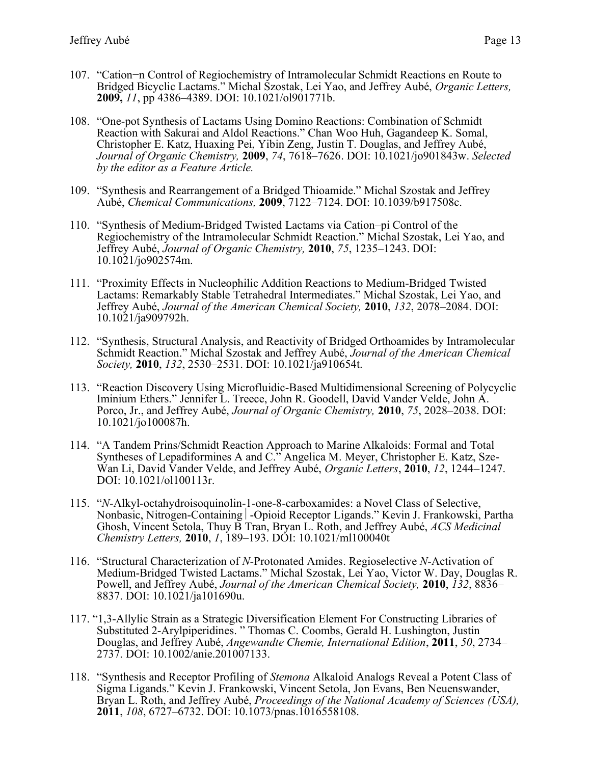- 107. "Cation−n Control of Regiochemistry of Intramolecular Schmidt Reactions en Route to Bridged Bicyclic Lactams." Michal Szostak, Lei Yao, and Jeffrey Aubé, *Organic Letters,*  **2009,** *11*, pp 4386–4389. DOI: 10.1021/ol901771b.
- 108. "One-pot Synthesis of Lactams Using Domino Reactions: Combination of Schmidt Reaction with Sakurai and Aldol Reactions." Chan Woo Huh, Gagandeep K. Somal, Christopher E. Katz, Huaxing Pei, Yibin Zeng, Justin T. Douglas, and Jeffrey Aubé, *Journal of Organic Chemistry,* **2009**, *74*, 7618–7626. DOI: 10.1021/jo901843w. *Selected by the editor as a Feature Article.*
- 109. "Synthesis and Rearrangement of a Bridged Thioamide." Michal Szostak and Jeffrey Aubé, *Chemical Communications,* **2009**, 7122–7124. DOI: 10.1039/b917508c.
- 110. "Synthesis of Medium-Bridged Twisted Lactams via Cation–pi Control of the Regiochemistry of the Intramolecular Schmidt Reaction." Michal Szostak, Lei Yao, and Jeffrey Aubé, *Journal of Organic Chemistry,* **2010**, *75*, 1235–1243. DOI: 10.1021/jo902574m.
- 111. "Proximity Effects in Nucleophilic Addition Reactions to Medium-Bridged Twisted Lactams: Remarkably Stable Tetrahedral Intermediates." Michal Szostak, Lei Yao, and Jeffrey Aubé, *Journal of the American Chemical Society,* **2010**, *132*, 2078–2084. DOI: 10.1021/ja909792h.
- 112. "Synthesis, Structural Analysis, and Reactivity of Bridged Orthoamides by Intramolecular Schmidt Reaction." Michal Szostak and Jeffrey Aubé, *Journal of the American Chemical Society,* **2010**, *132*, 2530–2531. DOI: 10.1021/ja910654t.
- 113. "Reaction Discovery Using Microfluidic-Based Multidimensional Screening of Polycyclic Iminium Ethers." Jennifer L. Treece, John R. Goodell, David Vander Velde, John A. Porco, Jr., and Jeffrey Aubé, *Journal of Organic Chemistry,* **2010**, *75*, 2028–2038. DOI: 10.1021/jo100087h.
- 114. "A Tandem Prins/Schmidt Reaction Approach to Marine Alkaloids: Formal and Total Syntheses of Lepadiformines A and C." Angelica M. Meyer, Christopher E. Katz, Sze-Wan Li, David Vander Velde, and Jeffrey Aubé, *Organic Letters*, **2010**, *12*, 1244–1247. DOI: 10.1021/ol100113r.
- 115. "*N*-Alkyl-octahydroisoquinolin-1-one-8-carboxamides: a Novel Class of Selective, Nonbasic, Nitrogen-Containing | -Opioid Receptor Ligands." Kevin J. Frankowski, Partha Ghosh, Vincent Setola, Thuy B Tran, Bryan L. Roth, and Jeffrey Aubé, *ACS Medicinal Chemistry Letters,* **2010**, *1*, 189–193. DOI: 10.1021/ml100040t
- 116. "Structural Characterization of *N*-Protonated Amides. Regioselective *N*-Activation of Medium-Bridged Twisted Lactams." Michal Szostak, Lei Yao, Victor W. Day, Douglas R. Powell, and Jeffrey Aubé, *Journal of the American Chemical Society,* **2010**, *132*, 8836– 8837. DOI: 10.1021/ja101690u.
- 117. "1,3-Allylic Strain as a Strategic Diversification Element For Constructing Libraries of Substituted 2-Arylpiperidines. " Thomas C. Coombs, Gerald H. Lushington, Justin Douglas, and Jeffrey Aubé, *Angewandte Chemie, International Edition*, **2011**, *50*, 2734– 2737. DOI: 10.1002/anie.201007133.
- 118. "Synthesis and Receptor Profiling of *Stemona* Alkaloid Analogs Reveal a Potent Class of Sigma Ligands." Kevin J. Frankowski, Vincent Setola, Jon Evans, Ben Neuenswander, Bryan L. Roth, and Jeffrey Aubé, *Proceedings of the National Academy of Sciences (USA),*  **2011**, *108*, 6727–6732. DOI: 10.1073/pnas.1016558108.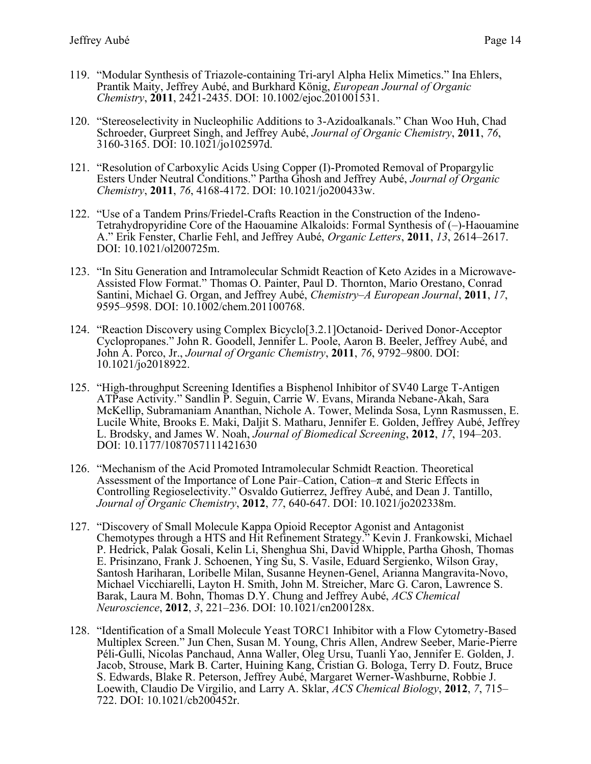- 119. "Modular Synthesis of Triazole-containing Tri-aryl Alpha Helix Mimetics." Ina Ehlers, Prantik Maity, Jeffrey Aubé, and Burkhard König, *European Journal of Organic Chemistry*, **2011**, 2421-2435. DOI: 10.1002/ejoc.201001531.
- 120. "Stereoselectivity in Nucleophilic Additions to 3-Azidoalkanals." Chan Woo Huh, Chad Schroeder, Gurpreet Singh, and Jeffrey Aubé, *Journal of Organic Chemistry*, **2011**, *76*, 3160-3165. DOI: 10.1021/jo102597d.
- 121. "Resolution of Carboxylic Acids Using Copper (I)-Promoted Removal of Propargylic Esters Under Neutral Conditions." Partha Ghosh and Jeffrey Aubé, *Journal of Organic Chemistry*, **2011**, *76*, 4168-4172. DOI: 10.1021/jo200433w.
- 122. "Use of a Tandem Prins/Friedel-Crafts Reaction in the Construction of the Indeno-Tetrahydropyridine Core of the Haouamine Alkaloids: Formal Synthesis of (–)-Haouamine A." Erik Fenster, Charlie Fehl, and Jeffrey Aubé, *Organic Letters*, **2011**, *13*, 2614–2617. DOI: 10.1021/ol200725m.
- 123. "In Situ Generation and Intramolecular Schmidt Reaction of Keto Azides in a Microwave-Assisted Flow Format." Thomas O. Painter, Paul D. Thornton, Mario Orestano, Conrad Santini, Michael G. Organ, and Jeffrey Aubé, *Chemistry–A European Journal*, **2011**, *17*, 9595–9598. DOI: 10.1002/chem.201100768.
- 124. "Reaction Discovery using Complex Bicyclo[3.2.1]Octanoid- Derived Donor-Acceptor Cyclopropanes." John R. Goodell, Jennifer L. Poole, Aaron B. Beeler, Jeffrey Aubé, and John A. Porco, Jr., *Journal of Organic Chemistry*, **2011**, *76*, 9792–9800. DOI: 10.1021/jo2018922.
- 125. "High-throughput Screening Identifies a Bisphenol Inhibitor of SV40 Large T-Antigen ATPase Activity." Sandlin P. Seguin, Carrie W. Evans, Miranda Nebane-Akah, Sara McKellip, Subramaniam Ananthan, Nichole A. Tower, Melinda Sosa, Lynn Rasmussen, E. Lucile White, Brooks E. Maki, Daljit S. Matharu, Jennifer E. Golden, Jeffrey Aubé, Jeffrey L. Brodsky, and James W. Noah, *Journal of Biomedical Screening*, **2012**, *17*, 194–203. DOI: 10.1177/1087057111421630
- 126. "Mechanism of the Acid Promoted Intramolecular Schmidt Reaction. Theoretical Assessment of the Importance of Lone Pair–Cation, Cation–π and Steric Effects in Controlling Regioselectivity." Osvaldo Gutierrez, Jeffrey Aubé, and Dean J. Tantillo, *Journal of Organic Chemistry*, **2012**, *77*, 640-647. DOI: 10.1021/jo202338m.
- 127. "Discovery of Small Molecule Kappa Opioid Receptor Agonist and Antagonist Chemotypes through a HTS and Hit Refinement Strategy." Kevin J. Frankowski, Michael P. Hedrick, Palak Gosali, Kelin Li, Shenghua Shi, David Whipple, Partha Ghosh, Thomas E. Prisinzano, Frank J. Schoenen, Ying Su, S. Vasile, Eduard Sergienko, Wilson Gray, Santosh Hariharan, Loribelle Milan, Susanne Heynen-Genel, Arianna Mangravita-Novo, Michael Vicchiarelli, Layton H. Smith, John M. Streicher, Marc G. Caron, Lawrence S. Barak, Laura M. Bohn, Thomas D.Y. Chung and Jeffrey Aubé, *ACS Chemical Neuroscience*, **2012**, *3*, 221–236. DOI: 10.1021/cn200128x.
- 128. "Identification of a Small Molecule Yeast TORC1 Inhibitor with a Flow Cytometry-Based Multiplex Screen." Jun Chen, Susan M. Young, Chris Allen, Andrew Seeber, Marie-Pierre Péli-Gulli, Nicolas Panchaud, Anna Waller, Oleg Ursu, Tuanli Yao, Jennifer E. Golden, J. Jacob, Strouse, Mark B. Carter, Huining Kang, Cristian G. Bologa, Terry D. Foutz, Bruce S. Edwards, Blake R. Peterson, Jeffrey Aubé, Margaret Werner-Washburne, Robbie J. Loewith, Claudio De Virgilio, and Larry A. Sklar, *ACS Chemical Biology*, **2012**, *7*, 715– 722. DOI: 10.1021/cb200452r.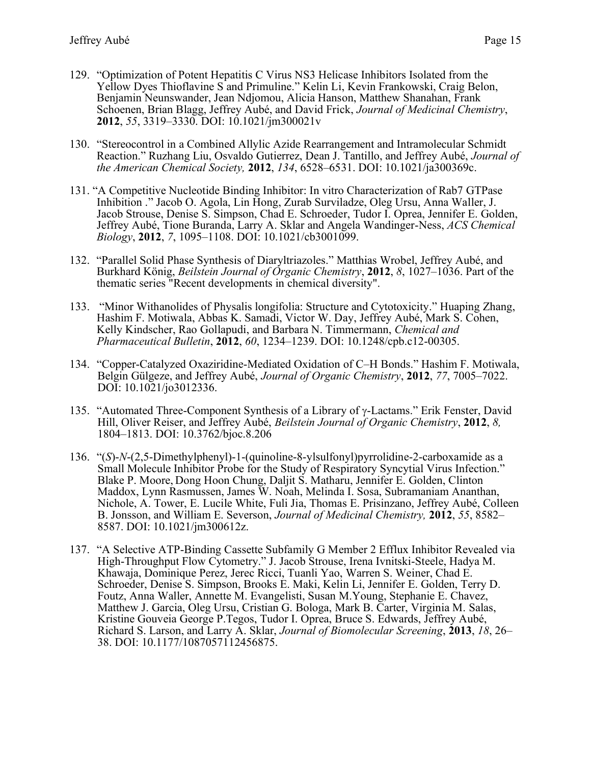- 129. "Optimization of Potent Hepatitis C Virus NS3 Helicase Inhibitors Isolated from the Yellow Dyes Thioflavine S and Primuline." Kelin Li, Kevin Frankowski, Craig Belon, Benjamin Neunswander, Jean Ndjomou, Alicia Hanson, Matthew Shanahan, Frank Schoenen, Brian Blagg, Jeffrey Aubé, and David Frick, *Journal of Medicinal Chemistry*, **2012**, *55*, 3319–3330. DOI: 10.1021/jm300021v
- 130. "Stereocontrol in a Combined Allylic Azide Rearrangement and Intramolecular Schmidt Reaction." Ruzhang Liu, Osvaldo Gutierrez, Dean J. Tantillo, and Jeffrey Aubé, *Journal of the American Chemical Society,* **2012**, *134*, 6528–6531. DOI: 10.1021/ja300369c.
- 131. "A Competitive Nucleotide Binding Inhibitor: In vitro Characterization of Rab7 GTPase Inhibition ." Jacob O. Agola, Lin Hong, Zurab Surviladze, Oleg Ursu, Anna Waller, J. Jacob Strouse, Denise S. Simpson, Chad E. Schroeder, Tudor I. Oprea, Jennifer E. Golden, Jeffrey Aubé, Tione Buranda, Larry A. Sklar and Angela Wandinger-Ness, *ACS Chemical Biology*, **2012**, *7*, 1095–1108. DOI: 10.1021/cb3001099.
- 132. "Parallel Solid Phase Synthesis of Diaryltriazoles." Matthias Wrobel, Jeffrey Aubé, and Burkhard König, *Beilstein Journal of Organic Chemistry*, **2012**, *8*, 1027–1036. Part of the thematic series "Recent developments in chemical diversity".
- 133. "Minor Withanolides of Physalis longifolia: Structure and Cytotoxicity." Huaping Zhang, Hashim F. Motiwala, Abbas K. Samadi, Victor W. Day, Jeffrey Aubé, Mark S. Cohen, Kelly Kindscher, Rao Gollapudi, and Barbara N. Timmermann, *Chemical and Pharmaceutical Bulletin*, **2012**, *60*, 1234–1239. DOI: 10.1248/cpb.c12-00305.
- 134. "Copper-Catalyzed Oxaziridine-Mediated Oxidation of C–H Bonds." Hashim F. Motiwala, Belgin Gülgeze, and Jeffrey Aubé, *Journal of Organic Chemistry*, **2012**, *77*, 7005–7022. DOI: 10.1021/jo3012336.
- 135. "Automated Three-Component Synthesis of a Library of  $\gamma$ -Lactams." Erik Fenster, David Hill, Oliver Reiser, and Jeffrey Aubé, *Beilstein Journal of Organic Chemistry*, **2012**, *8,*  1804–1813. DOI: 10.3762/bjoc.8.206
- 136. "(*S*)-*N*-(2,5-Dimethylphenyl)-1-(quinoline-8-ylsulfonyl)pyrrolidine-2-carboxamide as a Small Molecule Inhibitor Probe for the Study of Respiratory Syncytial Virus Infection." Blake P. Moore, Dong Hoon Chung, Daljit S. Matharu, Jennifer E. Golden, Clinton Maddox, Lynn Rasmussen, James W. Noah, Melinda I. Sosa, Subramaniam Ananthan, Nichole, A. Tower, E. Lucile White, Fuli Jia, Thomas E. Prisinzano, Jeffrey Aubé, Colleen B. Jonsson, and William E. Severson, *Journal of Medicinal Chemistry,* **2012**, *55*, 8582– 8587. DOI: 10.1021/jm300612z.
- 137. "A Selective ATP-Binding Cassette Subfamily G Member 2 Efflux Inhibitor Revealed via High-Throughput Flow Cytometry." J. Jacob Strouse, Irena Ivnitski-Steele, Hadya M. Khawaja, Dominique Perez, Jerec Ricci, Tuanli Yao, Warren S. Weiner, Chad E. Schroeder, Denise S. Simpson, Brooks E. Maki, Kelin Li, Jennifer E. Golden, Terry D. Foutz, Anna Waller, Annette M. Evangelisti, Susan M.Young, Stephanie E. Chavez, Matthew J. Garcia, Oleg Ursu, Cristian G. Bologa, Mark B. Carter, Virginia M. Salas, Kristine Gouveia George P.Tegos, Tudor I. Oprea, Bruce S. Edwards, Jeffrey Aubé, Richard S. Larson, and Larry A. Sklar, *Journal of Biomolecular Screening*, **2013**, *18*, 26– 38. DOI: 10.1177/1087057112456875.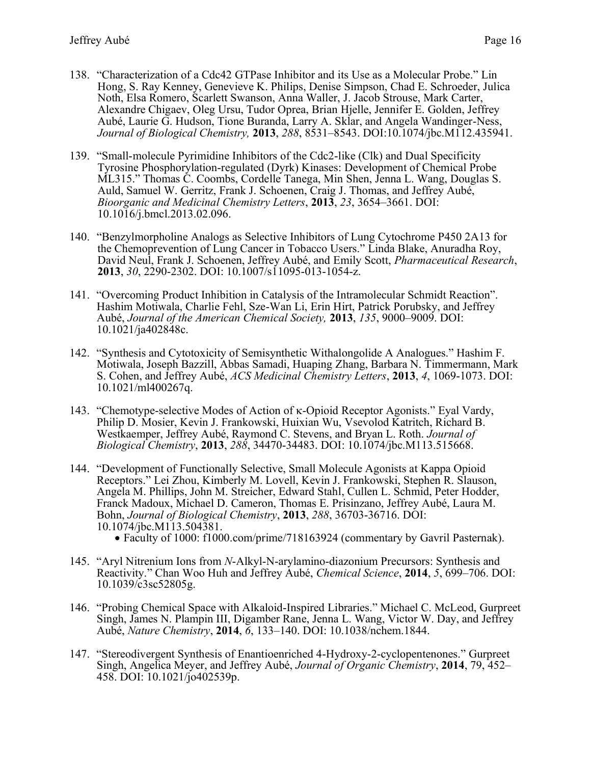- 138. "Characterization of a Cdc42 GTPase Inhibitor and its Use as a Molecular Probe." Lin Hong, S. Ray Kenney, Genevieve K. Philips, Denise Simpson, Chad E. Schroeder, Julica Noth, Elsa Romero, Scarlett Swanson, Anna Waller, J. Jacob Strouse, Mark Carter, Alexandre Chigaev, Oleg Ursu, Tudor Oprea, Brian Hjelle, Jennifer E. Golden, Jeffrey Aubé, Laurie G. Hudson, Tione Buranda, Larry A. Sklar, and Angela Wandinger-Ness, *Journal of Biological Chemistry,* **2013**, *288*, 8531–8543. DOI:10.1074/jbc.M112.435941.
- 139. "Small-molecule Pyrimidine Inhibitors of the Cdc2-like (Clk) and Dual Specificity Tyrosine Phosphorylation-regulated (Dyrk) Kinases: Development of Chemical Probe ML315." Thomas C. Coombs, Cordelle Tanega, Min Shen, Jenna L. Wang, Douglas S. Auld, Samuel W. Gerritz, Frank J. Schoenen, Craig J. Thomas, and Jeffrey Aubé, *Bioorganic and Medicinal Chemistry Letters*, **2013**, *23*, 3654–3661. DOI: 10.1016/j.bmcl.2013.02.096.
- 140. "Benzylmorpholine Analogs as Selective Inhibitors of Lung Cytochrome P450 2A13 for the Chemoprevention of Lung Cancer in Tobacco Users." Linda Blake, Anuradha Roy, David Neul, Frank J. Schoenen, Jeffrey Aubé, and Emily Scott, *Pharmaceutical Research*, **2013**, *30*, 2290-2302. DOI: 10.1007/s11095-013-1054-z.
- 141. "Overcoming Product Inhibition in Catalysis of the Intramolecular Schmidt Reaction". Hashim Motiwala, Charlie Fehl, Sze-Wan Li, Erin Hirt, Patrick Porubsky, and Jeffrey Aubé, *Journal of the American Chemical Society,* **2013**, *135*, 9000–9009. DOI: 10.1021/ja402848c.
- 142. "Synthesis and Cytotoxicity of Semisynthetic Withalongolide A Analogues." Hashim F. Motiwala, Joseph Bazzill, Abbas Samadi, Huaping Zhang, Barbara N. Timmermann, Mark S. Cohen, and Jeffrey Aubé, *ACS Medicinal Chemistry Letters*, **2013**, *4*, 1069-1073. DOI: 10.1021/ml400267q.
- 143. "Chemotype-selective Modes of Action of  $\kappa$ -Opioid Receptor Agonists." Eyal Vardy, Philip D. Mosier, Kevin J. Frankowski, Huixian Wu, Vsevolod Katritch, Richard B. Westkaemper, Jeffrey Aubé, Raymond C. Stevens, and Bryan L. Roth. *Journal of Biological Chemistry*, **2013**, *288*, 34470-34483. DOI: 10.1074/jbc.M113.515668.
- 144. "Development of Functionally Selective, Small Molecule Agonists at Kappa Opioid Receptors." Lei Zhou, Kimberly M. Lovell, Kevin J. Frankowski, Stephen R. Slauson, Angela M. Phillips, John M. Streicher, Edward Stahl, Cullen L. Schmid, Peter Hodder, Franck Madoux, Michael D. Cameron, Thomas E. Prisinzano, Jeffrey Aubé, Laura M. Bohn, *Journal of Biological Chemistry*, **2013**, *288*, 36703-36716. DOI: 10.1074/jbc.M113.504381.
	- Faculty of 1000: f1000.com/prime/718163924 (commentary by Gavril Pasternak).
- 145. "Aryl Nitrenium Ions from *N*-Alkyl-N-arylamino-diazonium Precursors: Synthesis and Reactivity." Chan Woo Huh and Jeffrey Aubé, *Chemical Science*, **2014**, *5*, 699–706. DOI: 10.1039/c3sc52805g.
- 146. "Probing Chemical Space with Alkaloid-Inspired Libraries." Michael C. McLeod, Gurpreet Singh, James N. Plampin III, Digamber Rane, Jenna L. Wang, Victor W. Day, and Jeffrey Aubé, *Nature Chemistry*, **2014**, *6*, 133–140. DOI: 10.1038/nchem.1844.
- 147. "Stereodivergent Synthesis of Enantioenriched 4-Hydroxy-2-cyclopentenones." Gurpreet Singh, Angelica Meyer, and Jeffrey Aubé, *Journal of Organic Chemistry*, **2014**, 79, 452– 458. DOI: 10.1021/jo402539p.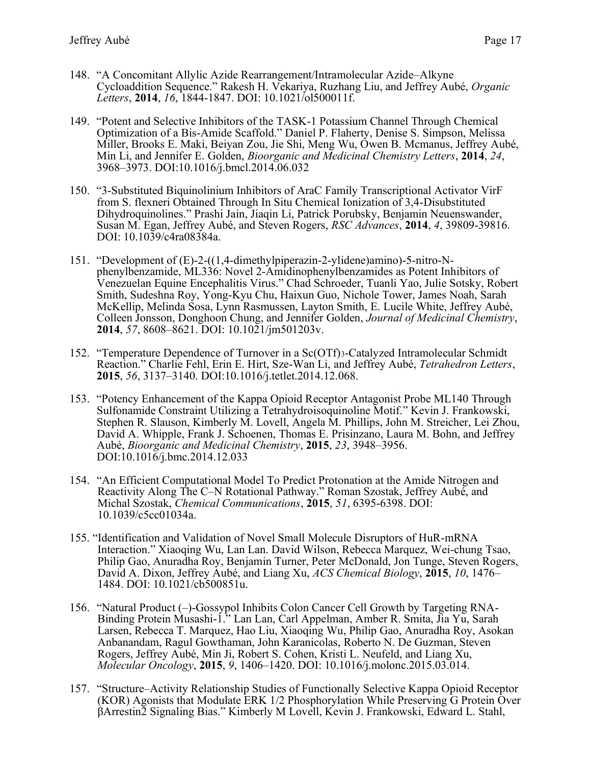- 148. "A Concomitant Allylic Azide Rearrangement/Intramolecular Azide–Alkyne Cycloaddition Sequence." Rakesh H. Vekariya, Ruzhang Liu, and Jeffrey Aubé, *Organic Letters*, **2014**, *16*, 1844-1847. DOI: 10.1021/ol500011f.
- 149. "Potent and Selective Inhibitors of the TASK-1 Potassium Channel Through Chemical Optimization of a Bis-Amide Scaffold." Daniel P. Flaherty, Denise S. Simpson, Melissa Miller, Brooks E. Maki, Beiyan Zou, Jie Shi, Meng Wu, Owen B. Mcmanus, Jeffrey Aubé, Min Li, and Jennifer E. Golden, *Bioorganic and Medicinal Chemistry Letters*, **2014**, *24*, 3968–3973. DOI:10.1016/j.bmcl.2014.06.032
- 150. "3-Substituted Biquinolinium Inhibitors of AraC Family Transcriptional Activator VirF from S. flexneri Obtained Through In Situ Chemical Ionization of 3,4-Disubstituted Dihydroquinolines." Prashi Jain, Jiaqin Li, Patrick Porubsky, Benjamin Neuenswander, Susan M. Egan, Jeffrey Aubé, and Steven Rogers, *RSC Advances*, **2014**, *4*, 39809-39816. DOI: 10.1039/c4ra08384a.
- 151. "Development of (E)-2-((1,4-dimethylpiperazin-2-ylidene)amino)-5-nitro-Nphenylbenzamide, ML336: Novel 2-Amidinophenylbenzamides as Potent Inhibitors of Venezuelan Equine Encephalitis Virus." Chad Schroeder, Tuanli Yao, Julie Sotsky, Robert Smith, Sudeshna Roy, Yong-Kyu Chu, Haixun Guo, Nichole Tower, James Noah, Sarah McKellip, Melinda Sosa, Lynn Rasmussen, Layton Smith, E. Lucile White, Jeffrey Aubé, Colleen Jonsson, Donghoon Chung, and Jennifer Golden, *Journal of Medicinal Chemistry*, **2014**, *57*, 8608–8621. DOI: 10.1021/jm501203v.
- 152. "Temperature Dependence of Turnover in a Sc(OTf)3-Catalyzed Intramolecular Schmidt Reaction." Charlie Fehl, Erin E. Hirt, Sze-Wan Li, and Jeffrey Aubé, *Tetrahedron Letters*, **2015**, *56*, 3137–3140. DOI:10.1016/j.tetlet.2014.12.068.
- 153. "Potency Enhancement of the Kappa Opioid Receptor Antagonist Probe ML140 Through Sulfonamide Constraint Utilizing a Tetrahydroisoquinoline Motif." Kevin J. Frankowski, Stephen R. Slauson, Kimberly M. Lovell, Angela M. Phillips, John M. Streicher, Lei Zhou, David A. Whipple, Frank J. Schoenen, Thomas E. Prisinzano, Laura M. Bohn, and Jeffrey Aubé, *Bioorganic and Medicinal Chemistry*, **2015**, *23*, 3948–3956. DOI:10.1016/j.bmc.2014.12.033
- 154. "An Efficient Computational Model To Predict Protonation at the Amide Nitrogen and Reactivity Along The C–N Rotational Pathway." Roman Szostak, Jeffrey Aubé, and Michal Szostak, *Chemical Communications*, **2015**, *51*, 6395-6398. DOI: 10.1039/c5cc01034a.
- 155. "Identification and Validation of Novel Small Molecule Disruptors of HuR-mRNA Interaction." Xiaoqing Wu, Lan Lan. David Wilson, Rebecca Marquez, Wei-chung Tsao, Philip Gao, Anuradha Roy, Benjamin Turner, Peter McDonald, Jon Tunge, Steven Rogers, David A. Dixon, Jeffrey Aubé, and Liang Xu, *ACS Chemical Biology*, **2015**, *10*, 1476– 1484. DOI: 10.1021/cb500851u.
- 156. "Natural Product (–)-Gossypol Inhibits Colon Cancer Cell Growth by Targeting RNA-Binding Protein Musashi-1." Lan Lan, Carl Appelman, Amber R. Smita, Jia Yu, Sarah Larsen, Rebecca T. Marquez, Hao Liu, Xiaoqing Wu, Philip Gao, Anuradha Roy, Asokan Anbanandam, Ragul Gowthaman, John Karanicolas, Roberto N. De Guzman, Steven Rogers, Jeffrey Aubé, Min Ji, Robert S. Cohen, Kristi L. Neufeld, and Liang Xu, *Molecular Oncology*, **2015**, *9*, 1406–1420. DOI: 10.1016/j.molonc.2015.03.014.
- 157. "Structure–Activity Relationship Studies of Functionally Selective Kappa Opioid Receptor (KOR) Agonists that Modulate ERK 1/2 Phosphorylation While Preserving G Protein Over βArrestin2 Signaling Bias." Kimberly M Lovell, Kevin J. Frankowski, Edward L. Stahl,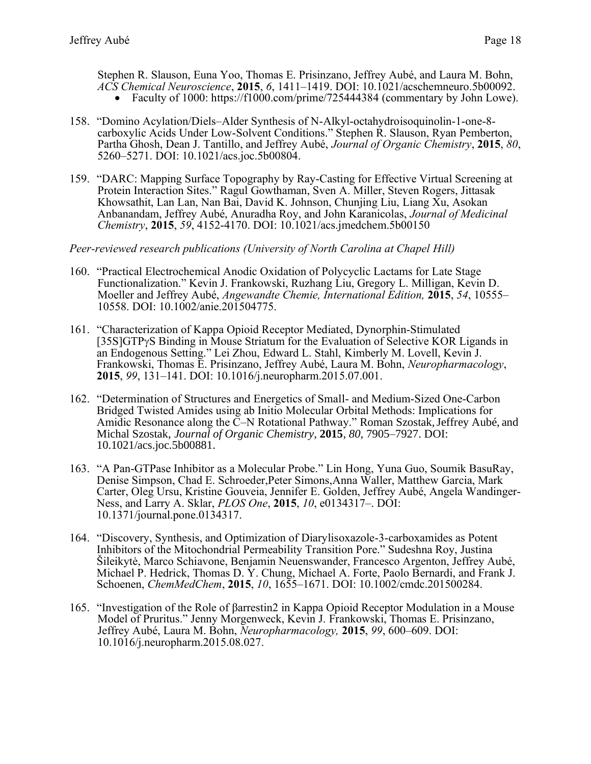Stephen R. Slauson, Euna Yoo, Thomas E. Prisinzano, Jeffrey Aubé, and Laura M. Bohn, *ACS Chemical Neuroscience*, **2015**, *6*, 1411–1419. DOI: 10.1021/acschemneuro.5b00092.

- Faculty of 1000: https://f1000.com/prime/725444384 (commentary by John Lowe).
- 158. "Domino Acylation/Diels–Alder Synthesis of N-Alkyl-octahydroisoquinolin-1-one-8 carboxylic Acids Under Low-Solvent Conditions." Stephen R. Slauson, Ryan Pemberton, Partha Ghosh, Dean J. Tantillo, and Jeffrey Aubé, *Journal of Organic Chemistry*, **2015**, *80*, 5260–5271. DOI: 10.1021/acs.joc.5b00804.
- 159. "DARC: Mapping Surface Topography by Ray-Casting for Effective Virtual Screening at Protein Interaction Sites." Ragul Gowthaman, Sven A. Miller, Steven Rogers, Jittasak Khowsathit, Lan Lan, Nan Bai, David K. Johnson, Chunjing Liu, Liang Xu, Asokan Anbanandam, Jeffrey Aubé, Anuradha Roy, and John Karanicolas, *Journal of Medicinal Chemistry*, **2015**, *59*, 4152-4170. DOI: 10.1021/acs.jmedchem.5b00150

*Peer-reviewed research publications (University of North Carolina at Chapel Hill)*

- 160. "Practical Electrochemical Anodic Oxidation of Polycyclic Lactams for Late Stage Functionalization." Kevin J. Frankowski, Ruzhang Liu, Gregory L. Milligan, Kevin D. Moeller and Jeffrey Aubé, *Angewandte Chemie, International Edition,* **2015**, *54*, 10555– 10558. DOI: 10.1002/anie.201504775.
- 161. "Characterization of Kappa Opioid Receptor Mediated, Dynorphin-Stimulated [35S]GTPyS Binding in Mouse Striatum for the Evaluation of Selective KOR Ligands in an Endogenous Setting." Lei Zhou, Edward L. Stahl, Kimberly M. Lovell, Kevin J. Frankowski, Thomas E. Prisinzano, Jeffrey Aubé, Laura M. Bohn, *Neuropharmacology*, **2015**, *99*, 131–141. DOI: 10.1016/j.neuropharm.2015.07.001.
- 162. "Determination of Structures and Energetics of Small- and Medium-Sized One-Carbon Bridged Twisted Amides using ab Initio Molecular Orbital Methods: Implications for Amidic Resonance along the  $\bar{C}-N$  Rotational Pathway." Roman Szostak, Jeffrey Aubé, and Michal Szostak, *Journal of Organic Chemistry*, **2015**, *80*, 7905–7927. DOI: 10.1021/acs.joc.5b00881.
- 163. "A Pan-GTPase Inhibitor as a Molecular Probe." Lin Hong, Yuna Guo, Soumik BasuRay, Denise Simpson, Chad E. Schroeder,Peter Simons,Anna Waller, Matthew Garcia, Mark Carter, Oleg Ursu, Kristine Gouveia, Jennifer E. Golden, Jeffrey Aubé, Angela Wandinger-Ness, and Larry A. Sklar, *PLOS One*, **2015**, *10*, e0134317–. DOI: 10.1371/journal.pone.0134317.
- 164. "Discovery, Synthesis, and Optimization of Diarylisoxazole-3-carboxamides as Potent Inhibitors of the Mitochondrial Permeability Transition Pore." Sudeshna Roy, Justina Šileikytė, Marco Schiavone, Benjamin Neuenswander, Francesco Argenton, Jeffrey Aubé, Michael P. Hedrick, Thomas D. Y. Chung, Michael A. Forte, Paolo Bernardi, and Frank J. Schoenen, *ChemMedChem*, **2015**, *10*, 1655–1671. DOI: 10.1002/cmdc.201500284.
- 165. "Investigation of the Role of βarrestin2 in Kappa Opioid Receptor Modulation in a Mouse Model of Pruritus." Jenny Morgenweck, Kevin J. Frankowski, Thomas E. Prisinzano, Jeffrey Aubé, Laura M. Bohn, *Neuropharmacology,* **2015**, *99*, 600–609. DOI: 10.1016/j.neuropharm.2015.08.027.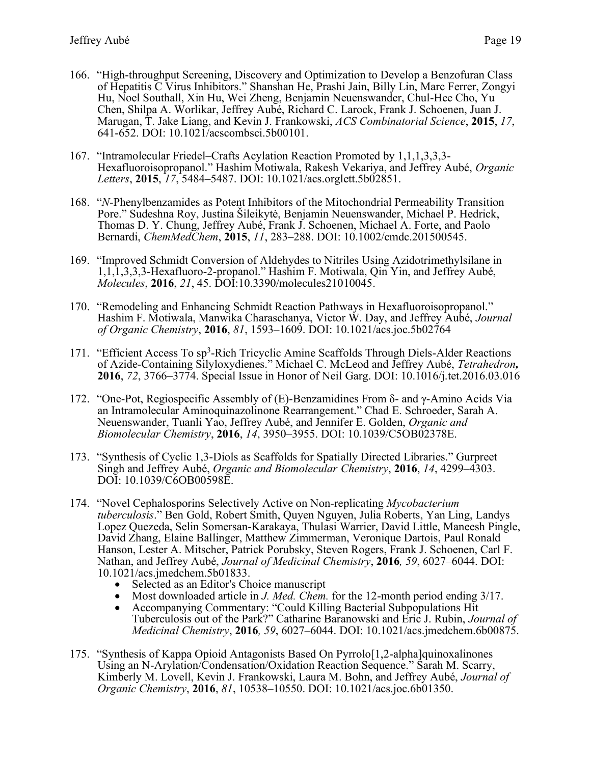- 166. "High-throughput Screening, Discovery and Optimization to Develop a Benzofuran Class of Hepatitis C Virus Inhibitors." Shanshan He, Prashi Jain, Billy Lin, Marc Ferrer, Zongyi Hu, Noel Southall, Xin Hu, Wei Zheng, Benjamin Neuenswander, Chul-Hee Cho, Yu Chen, Shilpa A. Worlikar, Jeffrey Aubé, Richard C. Larock, Frank J. Schoenen, Juan J. Marugan, T. Jake Liang, and Kevin J. Frankowski, *ACS Combinatorial Science*, **2015**, *17*, 641-652. DOI: 10.1021/acscombsci.5b00101.
- 167. "Intramolecular Friedel–Crafts Acylation Reaction Promoted by 1,1,1,3,3,3- Hexafluoroisopropanol." Hashim Motiwala, Rakesh Vekariya, and Jeffrey Aubé, *Organic Letters*, **2015**, *17*, 5484–5487. DOI: 10.1021/acs.orglett.5b02851.
- 168. "*N*-Phenylbenzamides as Potent Inhibitors of the Mitochondrial Permeability Transition Pore." Sudeshna Roy, Justina Šileikytė, Benjamin Neuenswander, Michael P. Hedrick, Thomas D. Y. Chung, Jeffrey Aubé, Frank J. Schoenen, Michael A. Forte, and Paolo Bernardi, *ChemMedChem*, **2015**, *11*, 283–288. DOI: 10.1002/cmdc.201500545.
- 169. "Improved Schmidt Conversion of Aldehydes to Nitriles Using Azidotrimethylsilane in 1,1,1,3,3,3-Hexafluoro-2-propanol." Hashim F. Motiwala, Qin Yin, and Jeffrey Aubé, *Molecules*, **2016**, *21*, 45. DOI:10.3390/molecules21010045.
- 170. "Remodeling and Enhancing Schmidt Reaction Pathways in Hexafluoroisopropanol." Hashim F. Motiwala, Manwika Charaschanya, Victor W. Day, and Jeffrey Aubé, *Journal of Organic Chemistry*, **2016**, *81*, 1593–1609. DOI: 10.1021/acs.joc.5b02764
- 171. "Efficient Access To sp<sup>3</sup>-Rich Tricyclic Amine Scaffolds Through Diels-Alder Reactions of Azide-Containing Silyloxydienes." Michael C. McLeod and Jeffrey Aubé, *Tetrahedron,*  **2016**, *72*, 3766–3774. Special Issue in Honor of Neil Garg. DOI: 10.1016/j.tet.2016.03.016
- 172. "One-Pot, Regiospecific Assembly of (E)-Benzamidines From δ- and γ-Amino Acids Via an Intramolecular Aminoquinazolinone Rearrangement." Chad E. Schroeder, Sarah A. Neuenswander, Tuanli Yao, Jeffrey Aubé, and Jennifer E. Golden, *Organic and Biomolecular Chemistry*, **2016**, *14*, 3950–3955. DOI: 10.1039/C5OB02378E.
- 173. "Synthesis of Cyclic 1,3-Diols as Scaffolds for Spatially Directed Libraries." Gurpreet Singh and Jeffrey Aubé, *Organic and Biomolecular Chemistry*, **2016**, *14*, 4299–4303. DOI: 10.1039/C6OB00598E.
- 174. "Novel Cephalosporins Selectively Active on Non-replicating *Mycobacterium tuberculosis*." Ben Gold, Robert Smith, Quyen Nguyen, Julia Roberts, Yan Ling, Landys Lopez Quezeda, Selin Somersan-Karakaya, Thulasi Warrier, David Little, Maneesh Pingle, David Zhang, Elaine Ballinger, Matthew Zimmerman, Veronique Dartois, Paul Ronald Hanson, Lester A. Mitscher, Patrick Porubsky, Steven Rogers, Frank J. Schoenen, Carl F. Nathan, and Jeffrey Aubé, *Journal of Medicinal Chemistry*, **2016***, 59*, 6027–6044. DOI: 10.1021/acs.jmedchem.5b01833.
	- Selected as an Editor's Choice manuscript
	- Most downloaded article in *J. Med. Chem.* for the 12-month period ending 3/17.
	- Accompanying Commentary: "Could Killing Bacterial Subpopulations Hit Tuberculosis out of the Park?" Catharine Baranowski and Eric J. Rubin, *Journal of Medicinal Chemistry*, **2016***, 59*, 6027–6044. DOI: 10.1021/acs.jmedchem.6b00875.
- 175. "Synthesis of Kappa Opioid Antagonists Based On Pyrrolo[1,2-alpha]quinoxalinones Using an N-Arylation/Condensation/Oxidation Reaction Sequence." Sarah M. Scarry, Kimberly M. Lovell, Kevin J. Frankowski, Laura M. Bohn, and Jeffrey Aubé, *Journal of Organic Chemistry*, **2016**, *81*, 10538–10550. DOI: 10.1021/acs.joc.6b01350.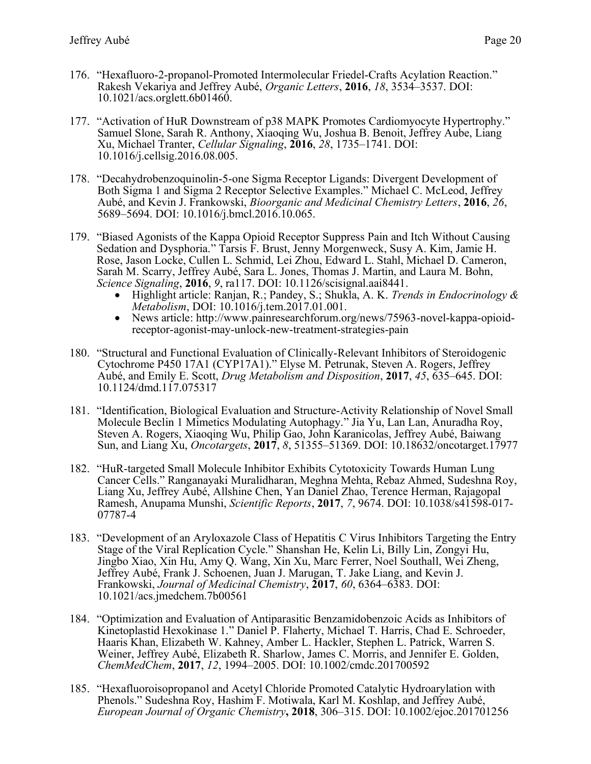- 176. "Hexafluoro-2-propanol-Promoted Intermolecular Friedel-Crafts Acylation Reaction." Rakesh Vekariya and Jeffrey Aubé, *Organic Letters*, **2016**, *18*, 3534–3537. DOI: 10.1021/acs.orglett.6b01460.
- 177. "Activation of HuR Downstream of p38 MAPK Promotes Cardiomyocyte Hypertrophy." Samuel Slone, Sarah R. Anthony, Xiaoqing Wu, Joshua B. Benoit, Jeffrey Aube, Liang Xu, Michael Tranter, *Cellular Signaling*, **2016**, *28*, 1735–1741. DOI: 10.1016/j.cellsig.2016.08.005.
- 178. "Decahydrobenzoquinolin-5-one Sigma Receptor Ligands: Divergent Development of Both Sigma 1 and Sigma 2 Receptor Selective Examples." Michael C. McLeod, Jeffrey Aubé, and Kevin J. Frankowski, *Bioorganic and Medicinal Chemistry Letters*, **2016**, *26*, 5689–5694. DOI: 10.1016/j.bmcl.2016.10.065.
- 179. "Biased Agonists of the Kappa Opioid Receptor Suppress Pain and Itch Without Causing Sedation and Dysphoria." Tarsis F. Brust, Jenny Morgenweck, Susy A. Kim, Jamie H. Rose, Jason Locke, Cullen L. Schmid, Lei Zhou, Edward L. Stahl, Michael D. Cameron, Sarah M. Scarry, Jeffrey Aubé, Sara L. Jones, Thomas J. Martin, and Laura M. Bohn, *Science Signaling*, **2016**, *9*, ra117. DOI: 10.1126/scisignal.aai8441.
	- Highlight article: Ranjan, R.; Pandey, S.; Shukla, A. K. *Trends in Endocrinology & Metabolism*, DOI: 10.1016/j.tem.2017.01.001.
	- News article: http://www.painresearchforum.org/news/75963-novel-kappa-opioidreceptor-agonist-may-unlock-new-treatment-strategies-pain
- 180. "Structural and Functional Evaluation of Clinically-Relevant Inhibitors of Steroidogenic Cytochrome P450 17A1 (CYP17A1)." Elyse M. Petrunak, Steven A. Rogers, Jeffrey Aubé, and Emily E. Scott, *Drug Metabolism and Disposition*, **2017**, *45*, 635–645. DOI: 10.1124/dmd.117.075317
- 181. "Identification, Biological Evaluation and Structure-Activity Relationship of Novel Small Molecule Beclin 1 Mimetics Modulating Autophagy." Jia Yu, Lan Lan, Anuradha Roy, Steven A. Rogers, Xiaoqing Wu, Philip Gao, John Karanicolas, Jeffrey Aubé, Baiwang Sun, and Liang Xu, *Oncotargets*, **2017**, *8*, 51355–51369. DOI: 10.18632/oncotarget.17977
- 182. "HuR-targeted Small Molecule Inhibitor Exhibits Cytotoxicity Towards Human Lung Cancer Cells." Ranganayaki Muralidharan, Meghna Mehta, Rebaz Ahmed, Sudeshna Roy, Liang Xu, Jeffrey Aubé, Allshine Chen, Yan Daniel Zhao, Terence Herman, Rajagopal Ramesh, Anupama Munshi, *Scientific Reports*, **2017**, *7*, 9674. DOI: 10.1038/s41598-017- 07787-4
- 183. "Development of an Aryloxazole Class of Hepatitis C Virus Inhibitors Targeting the Entry Stage of the Viral Replication Cycle." Shanshan He, Kelin Li, Billy Lin, Zongyi Hu, Jingbo Xiao, Xin Hu, Amy Q. Wang, Xin Xu, Marc Ferrer, Noel Southall, Wei Zheng, Jeffrey Aubé, Frank J. Schoenen, Juan J. Marugan, T. Jake Liang, and Kevin J. Frankowski, *Journal of Medicinal Chemistry*, **2017**, *60*, 6364–6383. DOI: 10.1021/acs.jmedchem.7b00561
- 184. "Optimization and Evaluation of Antiparasitic Benzamidobenzoic Acids as Inhibitors of Kinetoplastid Hexokinase 1." Daniel P. Flaherty, Michael T. Harris, Chad E. Schroeder, Haaris Khan, Elizabeth W. Kahney, Amber L. Hackler, Stephen L. Patrick, Warren S. Weiner, Jeffrey Aubé, Elizabeth R. Sharlow, James C. Morris, and Jennifer E. Golden, *ChemMedChem*, **2017**, *12*, 1994–2005. DOI: 10.1002/cmdc.201700592
- 185. "Hexafluoroisopropanol and Acetyl Chloride Promoted Catalytic Hydroarylation with Phenols." Sudeshna Roy, Hashim F. Motiwala, Karl M. Koshlap, and Jeffrey Aubé, *European Journal of Organic Chemistry***, 2018**, 306–315. DOI: 10.1002/ejoc.201701256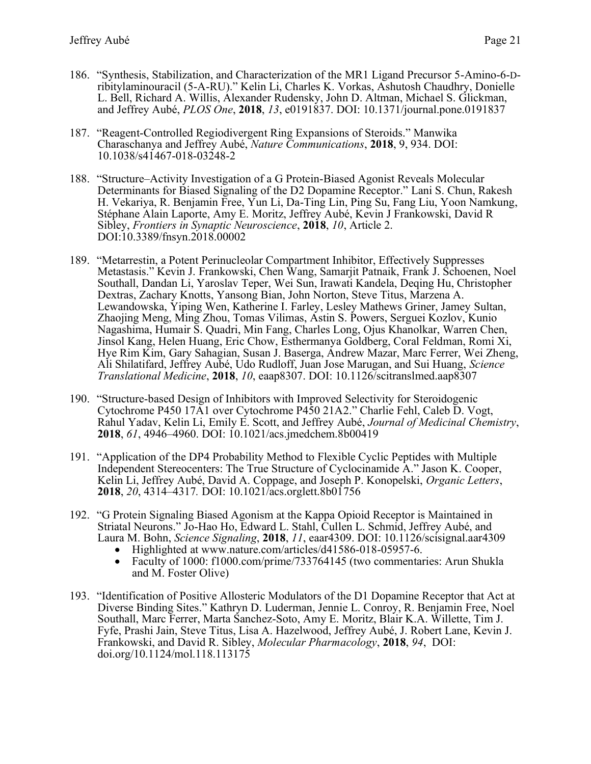- 186. "Synthesis, Stabilization, and Characterization of the MR1 Ligand Precursor 5-Amino-6-Dribitylaminouracil (5-A-RU)." Kelin Li, Charles K. Vorkas, Ashutosh Chaudhry, Donielle L. Bell, Richard A. Willis, Alexander Rudensky, John D. Altman, Michael S. Glickman, and Jeffrey Aubé, *PLOS One*, **2018**, *13*, e0191837. DOI: 10.1371/journal.pone.0191837
- 187. "Reagent-Controlled Regiodivergent Ring Expansions of Steroids." Manwika Charaschanya and Jeffrey Aubé, *Nature Communications*, **2018**, 9, 934. DOI: 10.1038/s41467-018-03248-2
- 188. "Structure–Activity Investigation of a G Protein-Biased Agonist Reveals Molecular Determinants for Biased Signaling of the D2 Dopamine Receptor." Lani S. Chun, Rakesh H. Vekariya, R. Benjamin Free, Yun Li, Da-Ting Lin, Ping Su, Fang Liu, Yoon Namkung, Stéphane Alain Laporte, Amy E. Moritz, Jeffrey Aubé, Kevin J Frankowski, David R Sibley, *Frontiers in Synaptic Neuroscience*, **2018**, *10*, Article 2. DOI:10.3389/fnsyn.2018.00002
- 189. "Metarrestin, a Potent Perinucleolar Compartment Inhibitor, Effectively Suppresses Metastasis." Kevin J. Frankowski, Chen Wang, Samarjit Patnaik, Frank J. Schoenen, Noel Southall, Dandan Li, Yaroslav Teper, Wei Sun, Irawati Kandela, Deqing Hu, Christopher Dextras, Zachary Knotts, Yansong Bian, John Norton, Steve Titus, Marzena A. Lewandowska, Yiping Wen, Katherine I. Farley, Lesley Mathews Griner, Jamey Sultan, Zhaojing Meng, Ming Zhou, Tomas Vilimas, Astin S. Powers, Serguei Kozlov, Kunio Nagashima, Humair S. Quadri, Min Fang, Charles Long, Ojus Khanolkar, Warren Chen, Jinsol Kang, Helen Huang, Eric Chow, Esthermanya Goldberg, Coral Feldman, Romi Xi, Hye Rim Kim, Gary Sahagian, Susan J. Baserga, Andrew Mazar, Marc Ferrer, Wei Zheng, Ali Shilatifard, Jeffrey Aubé, Udo Rudloff, Juan Jose Marugan, and Sui Huang, *Science Translational Medicine*, **2018**, *10*, eaap8307. DOI: 10.1126/scitranslmed.aap8307
- 190. "Structure-based Design of Inhibitors with Improved Selectivity for Steroidogenic Cytochrome P450 17A1 over Cytochrome P450 21A2." Charlie Fehl, Caleb D. Vogt, Rahul Yadav, Kelin Li, Emily E. Scott, and Jeffrey Aubé, *Journal of Medicinal Chemistry*, **2018**, *61*, 4946–4960. DOI: 10.1021/acs.jmedchem.8b00419
- 191. "Application of the DP4 Probability Method to Flexible Cyclic Peptides with Multiple Independent Stereocenters: The True Structure of Cyclocinamide A." Jason K. Cooper, Kelin Li, Jeffrey Aubé, David A. Coppage, and Joseph P. Konopelski, *Organic Letters*, **2018**, *20*, 4314–4317*.* DOI: 10.1021/acs.orglett.8b01756
- 192. "G Protein Signaling Biased Agonism at the Kappa Opioid Receptor is Maintained in Striatal Neurons." Jo-Hao Ho, Edward L. Stahl, Cullen L. Schmid, Jeffrey Aubé, and Laura M. Bohn, *Science Signaling*, **2018**, *11*, eaar4309. DOI: 10.1126/scisignal.aar4309
	- Highlighted at www.nature.com/articles/d41586-018-05957-6.
	- Faculty of 1000: f1000.com/prime/733764145 (two commentaries: Arun Shukla and M. Foster Olive)
- 193. "Identification of Positive Allosteric Modulators of the D1 Dopamine Receptor that Act at Diverse Binding Sites." Kathryn D. Luderman, Jennie L. Conroy, R. Benjamin Free, Noel Southall, Marc Ferrer, Marta Sanchez-Soto, Amy E. Moritz, Blair K.A. Willette, Tim J. Fyfe, Prashi Jain, Steve Titus, Lisa A. Hazelwood, Jeffrey Aubé, J. Robert Lane, Kevin J. Frankowski, and David R. Sibley, *Molecular Pharmacology*, **2018**, *94*, DOI: doi.org/10.1124/mol.118.113175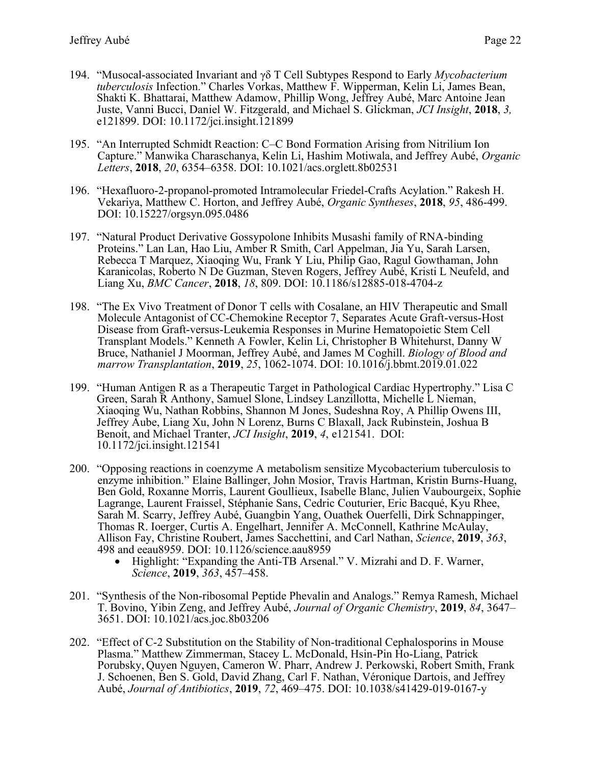- 194. "Musocal-associated Invariant and γδ T Cell Subtypes Respond to Early *Mycobacterium tuberculosis* Infection." Charles Vorkas, Matthew F. Wipperman, Kelin Li, James Bean, Shakti K. Bhattarai, Matthew Adamow, Phillip Wong, Jeffrey Aubé, Marc Antoine Jean Juste, Vanni Bucci, Daniel W. Fitzgerald, and Michael S. Glickman, *JCI Insight*, **2018**, *3,*  e121899. DOI: 10.1172/jci.insight.121899
- 195. "An Interrupted Schmidt Reaction: C–C Bond Formation Arising from Nitrilium Ion Capture." Manwika Charaschanya, Kelin Li, Hashim Motiwala, and Jeffrey Aubé, *Organic Letters*, **2018**, *20*, 6354–6358. DOI: 10.1021/acs.orglett.8b02531
- 196. "Hexafluoro-2-propanol-promoted Intramolecular Friedel-Crafts Acylation." Rakesh H. Vekariya, Matthew C. Horton, and Jeffrey Aubé, *Organic Syntheses*, **2018**, *95*, 486-499. DOI: 10.15227/orgsyn.095.0486
- 197. "Natural Product Derivative Gossypolone Inhibits Musashi family of RNA-binding Proteins." Lan Lan, Hao Liu, Amber R Smith, Carl Appelman, Jia Yu, Sarah Larsen, Rebecca T Marquez, Xiaoqing Wu, Frank Y Liu, Philip Gao, Ragul Gowthaman, John Karanicolas, Roberto N De Guzman, Steven Rogers, Jeffrey Aubé, Kristi L Neufeld, and Liang Xu, *BMC Cancer*, **2018**, *18*, 809. DOI: 10.1186/s12885-018-4704-z
- 198. "The Ex Vivo Treatment of Donor T cells with Cosalane, an HIV Therapeutic and Small Molecule Antagonist of CC-Chemokine Receptor 7, Separates Acute Graft-versus-Host Disease from Graft-versus-Leukemia Responses in Murine Hematopoietic Stem Cell Transplant Models." Kenneth A Fowler, Kelin Li, Christopher B Whitehurst, Danny W Bruce, Nathaniel J Moorman, Jeffrey Aubé, and James M Coghill. *Biology of Blood and marrow Transplantation*, **2019**, *25*, 1062-1074. DOI: 10.1016/j.bbmt.2019.01.022
- 199. "Human Antigen R as a Therapeutic Target in Pathological Cardiac Hypertrophy." Lisa C Green, Sarah R Anthony, Samuel Slone, Lindsey Lanzillotta, Michelle L Nieman, Xiaoqing Wu, Nathan Robbins, Shannon M Jones, Sudeshna Roy, A Phillip Owens III, Jeffrey Aube, Liang Xu, John N Lorenz, Burns C Blaxall, Jack Rubinstein, Joshua B Benoit, and Michael Tranter, *JCI Insight*, **2019**, *4*, e121541. DOI: 10.1172/jci.insight.121541
- 200. "Opposing reactions in coenzyme A metabolism sensitize Mycobacterium tuberculosis to enzyme inhibition." Elaine Ballinger, John Mosior, Travis Hartman, Kristin Burns-Huang, Ben Gold, Roxanne Morris, Laurent Goullieux, Isabelle Blanc, Julien Vaubourgeix, Sophie Lagrange, Laurent Fraisse‖, Stéphanie Sans, Cedric Couturier, Eric Bacqué, Kyu Rhee, Sarah M. Scarry, Jeffrey Aubé, Guangbin Yang, Ouathek Ouerfelli, Dirk Schnappinger, Thomas R. Ioerger, Curtis A. Engelhart, Jennifer A. McConnell, Kathrine McAulay, Allison Fay, Christine Roubert, James Sacchettini, and Carl Nathan, *Science*, **2019**, *363*, 498 and eeau8959. DOI: 10.1126/science.aau8959
	- Highlight: "Expanding the Anti-TB Arsenal." V. Mizrahi and D. F. Warner, *Science*, **2019**, *363*, 457–458.
- 201. "Synthesis of the Non-ribosomal Peptide Phevalin and Analogs." Remya Ramesh, Michael T. Bovino, Yibin Zeng, and Jeffrey Aubé, *Journal of Organic Chemistry*, **2019**, *84*, 3647– 3651. DOI: 10.1021/acs.joc.8b03206
- 202. "Effect of C-2 Substitution on the Stability of Non-traditional Cephalosporins in Mouse Plasma." Matthew Zimmerman, Stacey L. McDonald, Hsin-Pin Ho-Liang, Patrick Porubsky, Quyen Nguyen, Cameron W. Pharr, Andrew J. Perkowski, Robert Smith, Frank J. Schoenen, Ben S. Gold, David Zhang, Carl F. Nathan, Véronique Dartois, and Jeffrey Aubé, *Journal of Antibiotics*, **2019**, *72*, 469–475. DOI: 10.1038/s41429-019-0167-y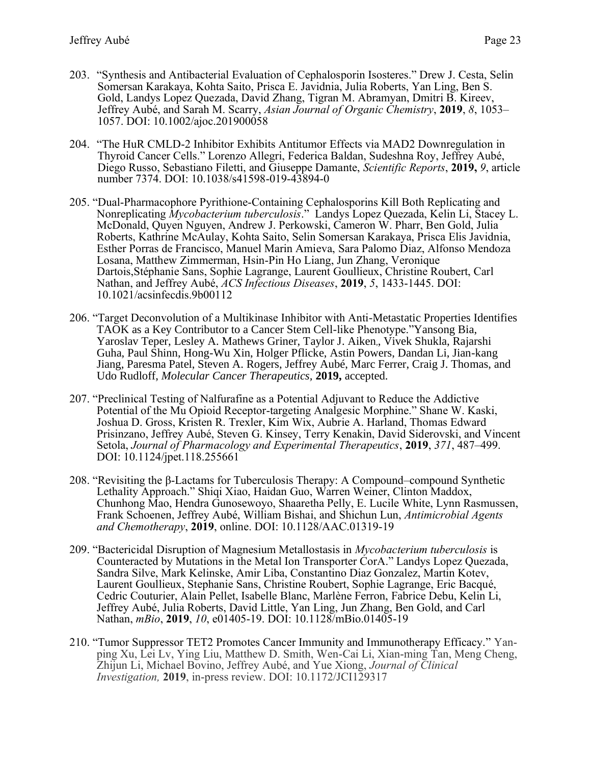- 203. "Synthesis and Antibacterial Evaluation of Cephalosporin Isosteres." Drew J. Cesta, Selin Somersan Karakaya, Kohta Saito, Prisca E. Javidnia, Julia Roberts, Yan Ling, Ben S. Gold, Landys Lopez Quezada, David Zhang, Tigran M. Abramyan, Dmitri B. Kireev, Jeffrey Aubé, and Sarah M. Scarry, *Asian Journal of Organic Chemistry*, **2019**, *8*, 1053– 1057. DOI: 10.1002/ajoc.201900058
- 204. "The HuR CMLD-2 Inhibitor Exhibits Antitumor Effects via MAD2 Downregulation in Thyroid Cancer Cells." Lorenzo Allegri, Federica Baldan, Sudeshna Roy, Jeffrey Aubé, Diego Russo, Sebastiano Filetti, and Giuseppe Damante, *Scientific Reports*, **2019,** *9*, article number 7374. DOI: 10.1038/s41598-019-43894-0
- 205. "Dual-Pharmacophore Pyrithione-Containing Cephalosporins Kill Both Replicating and Nonreplicating *Mycobacterium tuberculosis*." Landys Lopez Quezada, Kelin Li, Stacey L. McDonald, Quyen Nguyen, Andrew J. Perkowski, Cameron W. Pharr, Ben Gold, Julia Roberts, Kathrine McAulay, Kohta Saito, Selin Somersan Karakaya, Prisca Elis Javidnia, Esther Porras de Francisco, Manuel Marin Amieva, Sara Palomo Diaz, Alfonso Mendoza Losana, Matthew Zimmerman, Hsin-Pin Ho Liang, Jun Zhang, Veronique Dartois,Stéphanie Sans, Sophie Lagrange, Laurent Goullieux, Christine Roubert, Carl Nathan, and Jeffrey Aubé, *ACS Infectious Diseases*, **2019**, *5*, 1433-1445. DOI: 10.1021/acsinfecdis.9b00112
- 206. "Target Deconvolution of a Multikinase Inhibitor with Anti-Metastatic Properties Identifies TAOK as a Key Contributor to a Cancer Stem Cell-like Phenotype."Yansong Bia, Yaroslav Teper, Lesley A. Mathews Griner, Taylor J. Aiken,, Vivek Shukla, Rajarshi Guha, Paul Shinn, Hong-Wu Xin, Holger Pflicke, Astin Powers, Dandan Li, Jian-kang Jiang, Paresma Patel, Steven A. Rogers, Jeffrey Aubé, Marc Ferrer, Craig J. Thomas, and Udo Rudloff, *Molecular Cancer Therapeutics,* **2019,** accepted.
- 207. "Preclinical Testing of Nalfurafine as a Potential Adjuvant to Reduce the Addictive Potential of the Mu Opioid Receptor-targeting Analgesic Morphine." Shane W. Kaski, Joshua D. Gross, Kristen R. Trexler, Kim Wix, Aubrie A. Harland, Thomas Edward Prisinzano, Jeffrey Aubé, Steven G. Kinsey, Terry Kenakin, David Siderovski, and Vincent Setola, *Journal of Pharmacology and Experimental Therapeutics*, **2019**, *371*, 487–499. DOI: 10.1124/jpet.118.255661
- 208. "Revisiting the β-Lactams for Tuberculosis Therapy: A Compound–compound Synthetic Lethality Approach." Shiqi Xiao, Haidan Guo, Warren Weiner, Clinton Maddox, Chunhong Mao, Hendra Gunosewoyo, Shaaretha Pelly, E. Lucile White, Lynn Rasmussen, Frank Schoenen, Jeffrey Aubé, William Bishai, and Shichun Lun, *Antimicrobial Agents and Chemotherapy*, **2019**, online. DOI: 10.1128/AAC.01319-19
- 209. "Bactericidal Disruption of Magnesium Metallostasis in *Mycobacterium tuberculosis* is Counteracted by Mutations in the Metal Ion Transporter CorA." Landys Lopez Quezada, Sandra Silve, Mark Kelinske, Amir Liba, Constantino Diaz Gonzalez, Martin Kotev, Laurent Goullieux, Stephanie Sans, Christine Roubert, Sophie Lagrange, Eric Bacqué, Cedric Couturier, Alain Pellet, Isabelle Blanc, Marlène Ferron, Fabrice Debu, Kelin Li, Jeffrey Aubé, Julia Roberts, David Little, Yan Ling, Jun Zhang, Ben Gold, and Carl Nathan, *mBio*, **2019**, *10*, e01405-19. DOI: 10.1128/mBio.01405-19
- 210. "Tumor Suppressor TET2 Promotes Cancer Immunity and Immunotherapy Efficacy." Yanping Xu, Lei Lv, Ying Liu, Matthew D. Smith, Wen-Cai Li, Xian-ming Tan, Meng Cheng, Zhijun Li, Michael Bovino, Jeffrey Aubé, and Yue Xiong, *Journal of Clinical Investigation,* **2019**, in-press review. DOI: 10.1172/JCI129317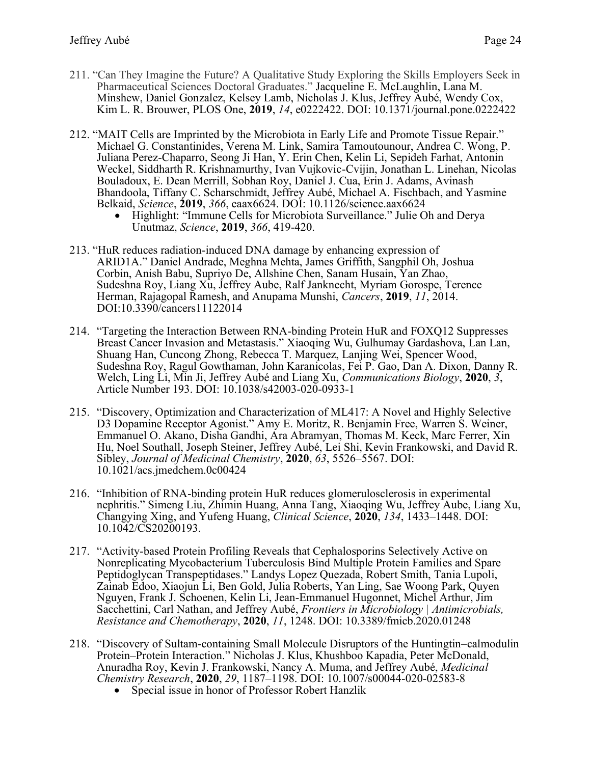- 211. "Can They Imagine the Future? A Qualitative Study Exploring the Skills Employers Seek in Pharmaceutical Sciences Doctoral Graduates." Jacqueline E. McLaughlin, Lana M. Minshew, Daniel Gonzalez, Kelsey Lamb, Nicholas J. Klus, Jeffrey Aubé, Wendy Cox, Kim L. R. Brouwer, PLOS One, **2019**, *14*, e0222422. DOI: 10.1371/journal.pone.0222422
- 212. "MAIT Cells are Imprinted by the Microbiota in Early Life and Promote Tissue Repair." Michael G. Constantinides, Verena M. Link, Samira Tamoutounour, Andrea C. Wong, P. Juliana Perez-Chaparro, Seong Ji Han, Y. Erin Chen, Kelin Li, Sepideh Farhat, Antonin Weckel, Siddharth R. Krishnamurthy, Ivan Vujkovic-Cvijin, Jonathan L. Linehan, Nicolas Bouladoux, E. Dean Merrill, Sobhan Roy, Daniel J. Cua, Erin J. Adams, Avinash Bhandoola, Tiffany C. Scharschmidt, Jeffrey Aubé, Michael A. Fischbach, and Yasmine Belkaid, *Science*, **2019**, *366*, eaax6624. DOI: 10.1126/science.aax6624
	- Highlight: "Immune Cells for Microbiota Surveillance." Julie Oh and Derya Unutmaz, *Science*, **2019**, *366*, 419-420.
- 213. "HuR reduces radiation-induced DNA damage by enhancing expression of ARID1A." Daniel Andrade, Meghna Mehta, James Griffith, Sangphil Oh, Joshua Corbin, Anish Babu, Supriyo De, Allshine Chen, Sanam Husain, Yan Zhao, Sudeshna Roy, Liang Xu, Jeffrey Aube, Ralf Janknecht, Myriam Gorospe, Terence Herman, Rajagopal Ramesh, and Anupama Munshi, *Cancers*, **2019**, *11*, 2014. DOI:10.3390/cancers11122014
- 214. "Targeting the Interaction Between RNA-binding Protein HuR and FOXQ12 Suppresses Breast Cancer Invasion and Metastasis." Xiaoqing Wu, Gulhumay Gardashova, Lan Lan, Shuang Han, Cuncong Zhong, Rebecca T. Marquez, Lanjing Wei, Spencer Wood, Sudeshna Roy, Ragul Gowthaman, John Karanicolas, Fei P. Gao, Dan A. Dixon, Danny R. Welch, Ling Li, Min Ji, Jeffrey Aubé and Liang Xu, *Communications Biology*, **2020**, *3*, Article Number 193. DOI: 10.1038/s42003-020-0933-1
- 215. "Discovery, Optimization and Characterization of ML417: A Novel and Highly Selective D3 Dopamine Receptor Agonist." Amy E. Moritz, R. Benjamin Free, Warren S. Weiner, Emmanuel O. Akano, Disha Gandhi, Ara Abramyan, Thomas M. Keck, Marc Ferrer, Xin Hu, Noel Southall, Joseph Steiner, Jeffrey Aubé, Lei Shi, Kevin Frankowski, and David R. Sibley, *Journal of Medicinal Chemistry*, **2020**, *63*, 5526–5567. DOI: 10.1021/acs.jmedchem.0c00424
- 216. "Inhibition of RNA-binding protein HuR reduces glomerulosclerosis in experimental nephritis." Simeng Liu, Zhimin Huang, Anna Tang, Xiaoqing Wu, Jeffrey Aube, Liang Xu, Changying Xing, and Yufeng Huang, *Clinical Science*, **2020**, *134*, 1433–1448. DOI: 10.1042/CS20200193.
- 217. "Activity-based Protein Profiling Reveals that Cephalosporins Selectively Active on Nonreplicating Mycobacterium Tuberculosis Bind Multiple Protein Families and Spare Peptidoglycan Transpeptidases." Landys Lopez Quezada, Robert Smith, Tania Lupoli, Zainab Edoo, Xiaojun Li, Ben Gold, Julia Roberts, Yan Ling, Sae Woong Park, Quyen Nguyen, Frank J. Schoenen, Kelin Li, Jean-Emmanuel Hugonnet, Michel Arthur, Jim Sacchettini, Carl Nathan, and Jeffrey Aubé, *Frontiers in Microbiology | Antimicrobials, Resistance and Chemotherapy*, **2020**, *11*, 1248. DOI: 10.3389/fmicb.2020.01248
- 218. "Discovery of Sultam-containing Small Molecule Disruptors of the Huntingtin–calmodulin Protein–Protein Interaction." Nicholas J. Klus, Khushboo Kapadia, Peter McDonald, Anuradha Roy, Kevin J. Frankowski, Nancy A. Muma, and Jeffrey Aubé, *Medicinal Chemistry Research*, **2020**, *29*, 1187–1198. DOI: 10.1007/s00044-020-02583-8
	- Special issue in honor of Professor Robert Hanzlik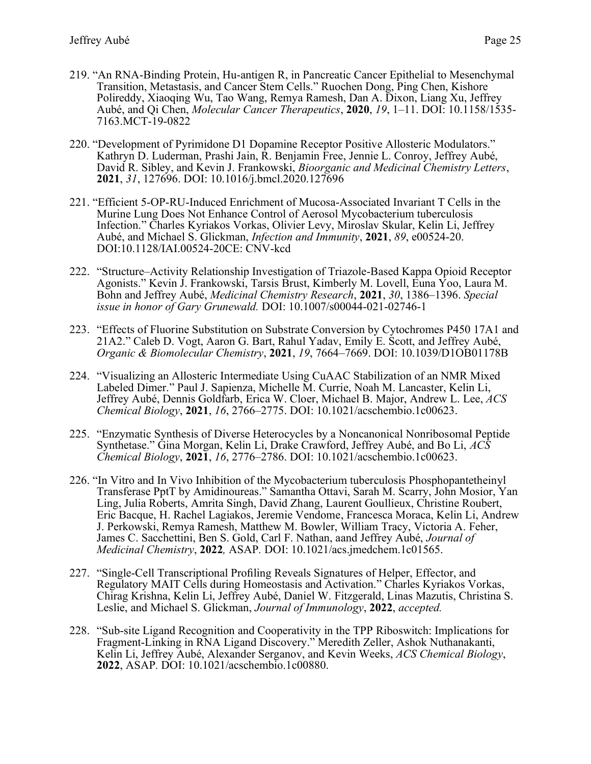- 219. "An RNA-Binding Protein, Hu-antigen R, in Pancreatic Cancer Epithelial to Mesenchymal Transition, Metastasis, and Cancer Stem Cells." Ruochen Dong, Ping Chen, Kishore Polireddy, Xiaoqing Wu, Tao Wang, Remya Ramesh, Dan A. Dixon, Liang Xu, Jeffrey Aubé, and Qi Chen, *Molecular Cancer Therapeutics*, **2020**, *19*, 1–11. DOI: 10.1158/1535- 7163.MCT-19-0822
- 220. "Development of Pyrimidone D1 Dopamine Receptor Positive Allosteric Modulators." Kathryn D. Luderman, Prashi Jain, R. Benjamin Free, Jennie L. Conroy, Jeffrey Aubé, David R. Sibley, and Kevin J. Frankowski, *Bioorganic and Medicinal Chemistry Letters*, **2021**, *31*, 127696. DOI: 10.1016/j.bmcl.2020.127696
- 221. "Efficient 5-OP-RU-Induced Enrichment of Mucosa-Associated Invariant T Cells in the Murine Lung Does Not Enhance Control of Aerosol Mycobacterium tuberculosis Infection." Charles Kyriakos Vorkas, Olivier Levy, Miroslav Skular, Kelin Li, Jeffrey Aubé, and Michael S. Glickman, *Infection and Immunity*, **2021**, *89*, e00524-20. DOI:10.1128/IAI.00524-20CE: CNV-kcd
- 222. "Structure–Activity Relationship Investigation of Triazole-Based Kappa Opioid Receptor Agonists." Kevin J. Frankowski, Tarsis Brust, Kimberly M. Lovell, Euna Yoo, Laura M. Bohn and Jeffrey Aubé, *Medicinal Chemistry Research*, **2021**, *30*, 1386–1396. *Special issue in honor of Gary Grunewald.* DOI: 10.1007/s00044-021-02746-1
- 223. "Effects of Fluorine Substitution on Substrate Conversion by Cytochromes P450 17A1 and 21A2." Caleb D. Vogt, Aaron G. Bart, Rahul Yadav, Emily E. Scott, and Jeffrey Aubé, *Organic & Biomolecular Chemistry*, **2021**, *19*, 7664–7669. DOI: 10.1039/D1OB01178B
- 224. "Visualizing an Allosteric Intermediate Using CuAAC Stabilization of an NMR Mixed Labeled Dimer." Paul J. Sapienza, Michelle M. Currie, Noah M. Lancaster, Kelin Li, Jeffrey Aubé, Dennis Goldfarb, Erica W. Cloer, Michael B. Major, Andrew L. Lee, *ACS Chemical Biology*, **2021**, *16*, 2766–2775. DOI: 10.1021/acschembio.1c00623.
- 225. "Enzymatic Synthesis of Diverse Heterocycles by a Noncanonical Nonribosomal Peptide Synthetase." Gina Morgan, Kelin Li, Drake Crawford, Jeffrey Aubé, and Bo Li, *ACS Chemical Biology*, **2021**, *16*, 2776–2786. DOI: 10.1021/acschembio.1c00623.
- 226. "In Vitro and In Vivo Inhibition of the Mycobacterium tuberculosis Phosphopantetheinyl Transferase PptT by Amidinoureas." Samantha Ottavi, Sarah M. Scarry, John Mosior, Yan Ling, Julia Roberts, Amrita Singh, David Zhang, Laurent Goullieux, Christine Roubert, Eric Bacque, H. Rachel Lagiakos, Jeremie Vendome, Francesca Moraca, Kelin Li, Andrew J. Perkowski, Remya Ramesh, Matthew M. Bowler, William Tracy, Victoria A. Feher, James C. Sacchettini, Ben S. Gold, Carl F. Nathan, aand Jeffrey Aubé, *Journal of Medicinal Chemistry*, **2022***,* ASAP*.* DOI: 10.1021/acs.jmedchem.1c01565.
- 227. "Single-Cell Transcriptional Profiling Reveals Signatures of Helper, Effector, and Regulatory MAIT Cells during Homeostasis and Activation." Charles Kyriakos Vorkas, Chirag Krishna, Kelin Li, Jeffrey Aubé, Daniel W. Fitzgerald, Linas Mazutis, Christina S. Leslie, and Michael S. Glickman, *Journal of Immunology*, **2022**, *accepted.*
- 228. "Sub-site Ligand Recognition and Cooperativity in the TPP Riboswitch: Implications for Fragment-Linking in RNA Ligand Discovery." Meredith Zeller, Ashok Nuthanakanti, Kelin Li, Jeffrey Aubé, Alexander Serganov, and Kevin Weeks, *ACS Chemical Biology*, **2022**, ASAP*.* DOI: 10.1021/acschembio.1c00880.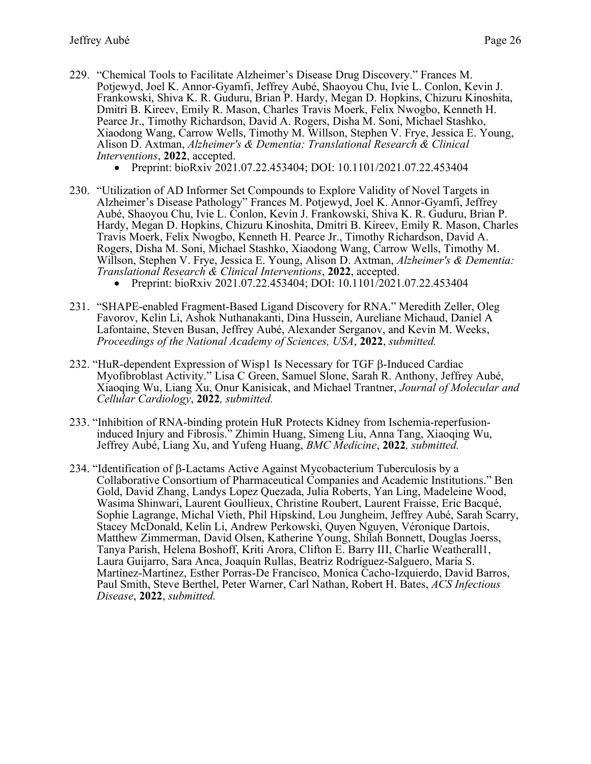- 229. "Chemical Tools to Facilitate Alzheimer's Disease Drug Discovery." Frances M. Potjewyd, Joel K. Annor-Gyamfi, Jeffrey Aubé, Shaoyou Chu, Ivie L. Conlon, Kevin J. Frankowski, Shiva K. R. Guduru, Brian P. Hardy, Megan D. Hopkins, Chizuru Kinoshita, Dmitri B. Kireev, Emily R. Mason, Charles Travis Moerk, Felix Nwogbo, Kenneth H. Pearce Jr., Timothy Richardson, David A. Rogers, Disha M. Soni, Michael Stashko, Xiaodong Wang, Carrow Wells, Timothy M. Willson, Stephen V. Frye, Jessica E. Young, Alison D. Axtman, *Alzheimer's & Dementia: Translational Research & Clinical Interventions*, **2022**, accepted.
	- Preprint: bioRxiv 2021.07.22.453404; DOI: 10.1101/2021.07.22.453404
- 230. "Utilization of AD Informer Set Compounds to Explore Validity of Novel Targets in Alzheimer's Disease Pathology" Frances M. Potjewyd, Joel K. Annor-Gyamfi, Jeffrey Aubé, Shaoyou Chu, Ivie L. Conlon, Kevin J. Frankowski, Shiva K. R. Guduru, Brian P. Hardy, Megan D. Hopkins, Chizuru Kinoshita, Dmitri B. Kireev, Emily R. Mason, Charles Travis Moerk, Felix Nwogbo, Kenneth H. Pearce Jr., Timothy Richardson, David A. Rogers, Disha M. Soni, Michael Stashko, Xiaodong Wang, Carrow Wells, Timothy M. Willson, Stephen V. Frye, Jessica E. Young, Alison D. Axtman, *Alzheimer's & Dementia: Translational Research & Clinical Interventions*, **2022**, accepted.
	- Preprint: bioRxiv 2021.07.22.453404; DOI: 10.1101/2021.07.22.453404
- 231. "SHAPE-enabled Fragment-Based Ligand Discovery for RNA." Meredith Zeller, Oleg Favorov, Kelin Li, Ashok Nuthanakanti, Dina Hussein, Aureliane Michaud, Daniel A Lafontaine, Steven Busan, Jeffrey Aubé, Alexander Serganov, and Kevin M. Weeks, *Proceedings of the National Academy of Sciences, USA*, **2022**, *submitted.*
- 232. "HuR-dependent Expression of Wisp1 Is Necessary for TGF  $\beta$ -Induced Cardiac Myofibroblast Activity." Lisa C Green, Samuel Slone, Sarah R. Anthony, Jeffrey Aubé, Xiaoqing Wu, Liang Xu, Onur Kanisicak, and Michael Trantner, *Journal of Molecular and Cellular Cardiology*, **2022***, submitted.*
- 233. "Inhibition of RNA-binding protein HuR Protects Kidney from Ischemia-reperfusioninduced Injury and Fibrosis." Zhimin Huang, Simeng Liu, Anna Tang, Xiaoqing Wu, Jeffrey Aubé, Liang Xu, and Yufeng Huang, *BMC Medicine*, **2022***, submitted.*
- 234. "Identification of  $\beta$ -Lactams Active Against Mycobacterium Tuberculosis by a Collaborative Consortium of Pharmaceutical Companies and Academic Institutions." Ben Gold, David Zhang, Landys Lopez Quezada, Julia Roberts, Yan Ling, Madeleine Wood, Wasima Shinwari, Laurent Goullieux, Christine Roubert, Laurent Fraisse, Eric Bacqué, Sophie Lagrange, Michal Vieth, Phil Hipskind, Lou Jungheim, Jeffrey Aubé, Sarah Scarry, Stacey McDonald, Kelin Li, Andrew Perkowski, Quyen Nguyen, Véronique Dartois, Matthew Zimmerman, David Olsen, Katherine Young, Shilah Bonnett, Douglas Joerss, Tanya Parish, Helena Boshoff, Kriti Arora, Clifton E. Barry III, Charlie Weatherall1, Laura Guijarro, Sara Anca, Joaquín Rullas, Beatriz Rodríguez-Salguero, Maria S. Martínez-Martínez, Esther Porras-De Francisco, Monica Cacho-Izquierdo, David Barros, Paul Smith, Steve Berthel, Peter Warner, Carl Nathan, Robert H. Bates, *ACS Infectious Disease*, **2022**, *submitted.*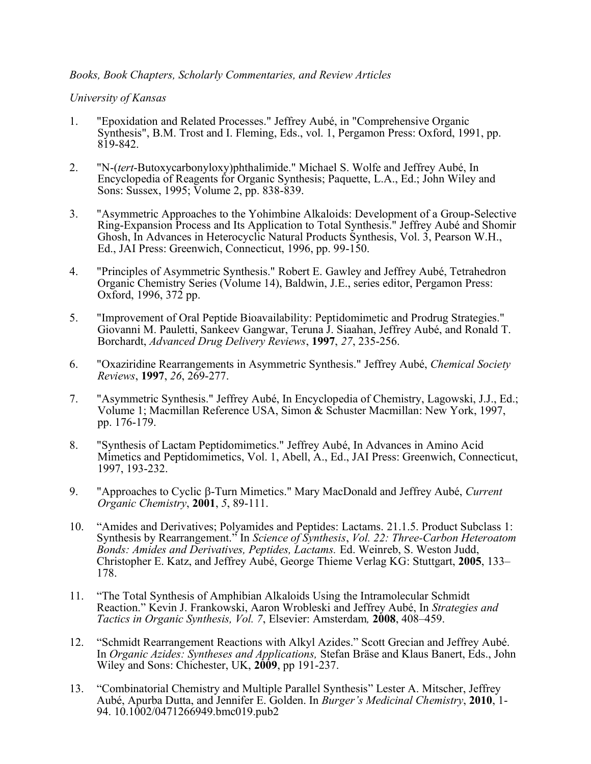#### *Books, Book Chapters, Scholarly Commentaries, and Review Articles*

#### *University of Kansas*

- 1. "Epoxidation and Related Processes." Jeffrey Aubé, in "Comprehensive Organic Synthesis", B.M. Trost and I. Fleming, Eds., vol. 1, Pergamon Press: Oxford, 1991, pp. 819-842.
- 2. "N-(*tert*-Butoxycarbonyloxy)phthalimide." Michael S. Wolfe and Jeffrey Aubé, In Encyclopedia of Reagents for Organic Synthesis; Paquette, L.A., Ed.; John Wiley and Sons: Sussex, 1995; Volume 2, pp. 838-839.
- 3. "Asymmetric Approaches to the Yohimbine Alkaloids: Development of a Group-Selective Ring-Expansion Process and Its Application to Total Synthesis." Jeffrey Aubé and Shomir Ghosh, In Advances in Heterocyclic Natural Products Synthesis, Vol. 3, Pearson W.H., Ed., JAI Press: Greenwich, Connecticut, 1996, pp. 99-150.
- 4. "Principles of Asymmetric Synthesis." Robert E. Gawley and Jeffrey Aubé, Tetrahedron Organic Chemistry Series (Volume 14), Baldwin, J.E., series editor, Pergamon Press: Oxford, 1996, 372 pp.
- 5. "Improvement of Oral Peptide Bioavailability: Peptidomimetic and Prodrug Strategies." Giovanni M. Pauletti, Sankeev Gangwar, Teruna J. Siaahan, Jeffrey Aubé, and Ronald T. Borchardt, *Advanced Drug Delivery Reviews*, **1997**, *27*, 235-256.
- 6. "Oxaziridine Rearrangements in Asymmetric Synthesis." Jeffrey Aubé, *Chemical Society Reviews*, **1997**, *26*, 269-277.
- 7. "Asymmetric Synthesis." Jeffrey Aubé, In Encyclopedia of Chemistry, Lagowski, J.J., Ed.; Volume 1; Macmillan Reference USA, Simon & Schuster Macmillan: New York, 1997, pp. 176-179.
- 8. "Synthesis of Lactam Peptidomimetics." Jeffrey Aubé, In Advances in Amino Acid Mimetics and Peptidomimetics, Vol. 1, Abell, A., Ed., JAI Press: Greenwich, Connecticut, 1997, 193-232.
- 9. "Approaches to Cyclic β-Turn Mimetics." Mary MacDonald and Jeffrey Aubé, *Current Organic Chemistry*, **2001**, *5*, 89-111.
- 10. "Amides and Derivatives; Polyamides and Peptides: Lactams. 21.1.5. Product Subclass 1: Synthesis by Rearrangement." In *Science of Synthesis*, *Vol. 22: Three-Carbon Heteroatom Bonds: Amides and Derivatives, Peptides, Lactams.* Ed. Weinreb, S. Weston Judd, Christopher E. Katz, and Jeffrey Aubé, George Thieme Verlag KG: Stuttgart, **2005**, 133– 178.
- 11. "The Total Synthesis of Amphibian Alkaloids Using the Intramolecular Schmidt Reaction." Kevin J. Frankowski, Aaron Wrobleski and Jeffrey Aubé, In *Strategies and Tactics in Organic Synthesis, Vol. 7*, Elsevier: Amsterdam*,* **2008**, 408–459.
- 12. "Schmidt Rearrangement Reactions with Alkyl Azides." Scott Grecian and Jeffrey Aubé. In *Organic Azides: Syntheses and Applications,* Stefan Bräse and Klaus Banert, Eds., John Wiley and Sons: Chichester, UK, **2009**, pp 191-237.
- 13. "Combinatorial Chemistry and Multiple Parallel Synthesis" Lester A. Mitscher, Jeffrey Aubé, Apurba Dutta, and Jennifer E. Golden. In *Burger's Medicinal Chemistry*, **2010**, 1- 94. 10.1002/0471266949.bmc019.pub2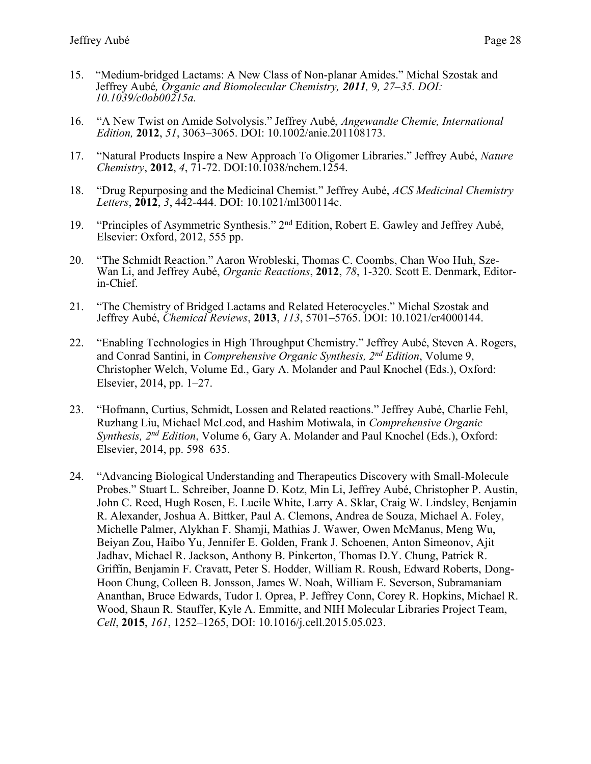- 15. "Medium-bridged Lactams: A New Class of Non-planar Amides." Michal Szostak and Jeffrey Aubé*, Organic and Biomolecular Chemistry, 2011,* 9*, 27–35. DOI: 10.1039/c0ob00215a.*
- 16. "A New Twist on Amide Solvolysis." Jeffrey Aubé, *Angewandte Chemie, International Edition,* **2012**, *51*, 3063–3065. DOI: 10.1002/anie.201108173.
- 17. "Natural Products Inspire a New Approach To Oligomer Libraries." Jeffrey Aubé, *Nature Chemistry*, **2012**, *4*, 71-72. DOI:10.1038/nchem.1254.
- 18. "Drug Repurposing and the Medicinal Chemist." Jeffrey Aubé, *ACS Medicinal Chemistry Letters*, **2012**, *3*, 442-444. DOI: 10.1021/ml300114c.
- 19. "Principles of Asymmetric Synthesis." 2nd Edition, Robert E. Gawley and Jeffrey Aubé, Elsevier: Oxford, 2012, 555 pp.
- 20. "The Schmidt Reaction." Aaron Wrobleski, Thomas C. Coombs, Chan Woo Huh, Sze-Wan Li, and Jeffrey Aubé, *Organic Reactions*, **2012**, *78*, 1-320. Scott E. Denmark, Editorin-Chief.
- 21. "The Chemistry of Bridged Lactams and Related Heterocycles." Michal Szostak and Jeffrey Aubé, *Chemical Reviews*, **2013**, *113*, 5701–5765. DOI: 10.1021/cr4000144.
- 22. "Enabling Technologies in High Throughput Chemistry." Jeffrey Aubé, Steven A. Rogers, and Conrad Santini, in *Comprehensive Organic Synthesis, 2nd Edition*, Volume 9, Christopher Welch, Volume Ed., Gary A. Molander and Paul Knochel (Eds.), Oxford: Elsevier, 2014, pp. 1–27.
- 23. "Hofmann, Curtius, Schmidt, Lossen and Related reactions." Jeffrey Aubé, Charlie Fehl, Ruzhang Liu, Michael McLeod, and Hashim Motiwala, in *Comprehensive Organic Synthesis, 2nd Edition*, Volume 6, Gary A. Molander and Paul Knochel (Eds.), Oxford: Elsevier, 2014, pp. 598–635.
- 24. "Advancing Biological Understanding and Therapeutics Discovery with Small-Molecule Probes." Stuart L. Schreiber, Joanne D. Kotz, Min Li, Jeffrey Aubé, Christopher P. Austin, John C. Reed, Hugh Rosen, E. Lucile White, Larry A. Sklar, Craig W. Lindsley, Benjamin R. Alexander, Joshua A. Bittker, Paul A. Clemons, Andrea de Souza, Michael A. Foley, Michelle Palmer, Alykhan F. Shamji, Mathias J. Wawer, Owen McManus, Meng Wu, Beiyan Zou, Haibo Yu, Jennifer E. Golden, Frank J. Schoenen, Anton Simeonov, Ajit Jadhav, Michael R. Jackson, Anthony B. Pinkerton, Thomas D.Y. Chung, Patrick R. Griffin, Benjamin F. Cravatt, Peter S. Hodder, William R. Roush, Edward Roberts, Dong-Hoon Chung, Colleen B. Jonsson, James W. Noah, William E. Severson, Subramaniam Ananthan, Bruce Edwards, Tudor I. Oprea, P. Jeffrey Conn, Corey R. Hopkins, Michael R. Wood, Shaun R. Stauffer, Kyle A. Emmitte, and NIH Molecular Libraries Project Team, *Cell*, **2015**, *161*, 1252–1265, DOI: 10.1016/j.cell.2015.05.023.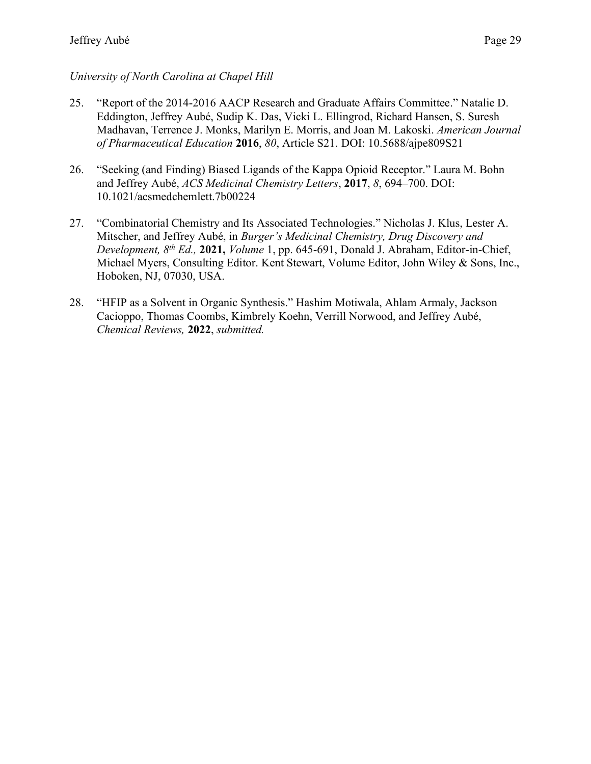# *University of North Carolina at Chapel Hill*

- 25. "Report of the 2014-2016 AACP Research and Graduate Affairs Committee." Natalie D. Eddington, Jeffrey Aubé, Sudip K. Das, Vicki L. Ellingrod, Richard Hansen, S. Suresh Madhavan, Terrence J. Monks, Marilyn E. Morris, and Joan M. Lakoski. *American Journal of Pharmaceutical Education* **2016**, *80*, Article S21. DOI: 10.5688/ajpe809S21
- 26. "Seeking (and Finding) Biased Ligands of the Kappa Opioid Receptor." Laura M. Bohn and Jeffrey Aubé, *ACS Medicinal Chemistry Letters*, **2017**, *8*, 694–700. DOI: 10.1021/acsmedchemlett.7b00224
- 27. "Combinatorial Chemistry and Its Associated Technologies." Nicholas J. Klus, Lester A. Mitscher, and Jeffrey Aubé, in *Burger's Medicinal Chemistry, Drug Discovery and Development, 8th Ed.,* **2021,** *Volume* 1, pp. 645-691, Donald J. Abraham, Editor-in-Chief, Michael Myers, Consulting Editor. Kent Stewart, Volume Editor, John Wiley & Sons, Inc., Hoboken, NJ, 07030, USA.
- 28. "HFIP as a Solvent in Organic Synthesis." Hashim Motiwala, Ahlam Armaly, Jackson Cacioppo, Thomas Coombs, Kimbrely Koehn, Verrill Norwood, and Jeffrey Aubé, *Chemical Reviews,* **2022**, *submitted.*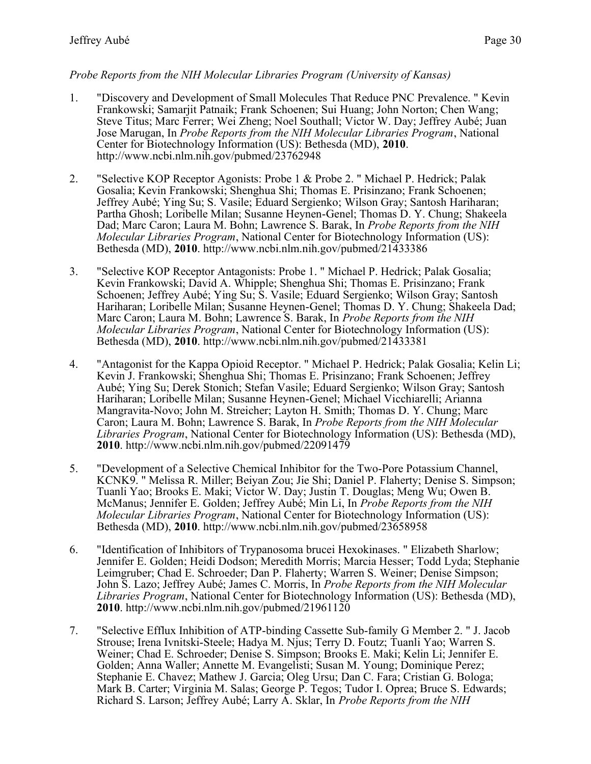#### *Probe Reports from the NIH Molecular Libraries Program (University of Kansas)*

- 1. "Discovery and Development of Small Molecules That Reduce PNC Prevalence. " Kevin Frankowski; Samarjit Patnaik; Frank Schoenen; Sui Huang; John Norton; Chen Wang; Steve Titus; Marc Ferrer; Wei Zheng; Noel Southall; Victor W. Day; Jeffrey Aubé; Juan Jose Marugan, In *Probe Reports from the NIH Molecular Libraries Program*, National Center for Biotechnology Information (US): Bethesda (MD), **2010**. http://www.ncbi.nlm.nih.gov/pubmed/23762948
- 2. "Selective KOP Receptor Agonists: Probe 1 & Probe 2. " Michael P. Hedrick; Palak Gosalia; Kevin Frankowski; Shenghua Shi; Thomas E. Prisinzano; Frank Schoenen; Jeffrey Aubé; Ying Su; S. Vasile; Eduard Sergienko; Wilson Gray; Santosh Hariharan; Partha Ghosh; Loribelle Milan; Susanne Heynen-Genel; Thomas D. Y. Chung; Shakeela Dad; Marc Caron; Laura M. Bohn; Lawrence S. Barak, In *Probe Reports from the NIH Molecular Libraries Program*, National Center for Biotechnology Information (US): Bethesda (MD), **2010**. http://www.ncbi.nlm.nih.gov/pubmed/21433386
- 3. "Selective KOP Receptor Antagonists: Probe 1. " Michael P. Hedrick; Palak Gosalia; Kevin Frankowski; David A. Whipple; Shenghua Shi; Thomas E. Prisinzano; Frank Schoenen; Jeffrey Aubé; Ying Su; S. Vasile; Eduard Sergienko; Wilson Gray; Santosh Hariharan; Loribelle Milan; Susanne Heynen-Genel; Thomas D. Y. Chung; Shakeela Dad; Marc Caron; Laura M. Bohn; Lawrence S. Barak, In *Probe Reports from the NIH Molecular Libraries Program*, National Center for Biotechnology Information (US): Bethesda (MD), **2010**. http://www.ncbi.nlm.nih.gov/pubmed/21433381
- 4. "Antagonist for the Kappa Opioid Receptor. " Michael P. Hedrick; Palak Gosalia; Kelin Li; Kevin J. Frankowski; Shenghua Shi; Thomas E. Prisinzano; Frank Schoenen; Jeffrey Aubé; Ying Su; Derek Stonich; Stefan Vasile; Eduard Sergienko; Wilson Gray; Santosh Hariharan; Loribelle Milan; Susanne Heynen-Genel; Michael Vicchiarelli; Arianna Mangravita-Novo; John M. Streicher; Layton H. Smith; Thomas D. Y. Chung; Marc Caron; Laura M. Bohn; Lawrence S. Barak, In *Probe Reports from the NIH Molecular Libraries Program*, National Center for Biotechnology Information (US): Bethesda (MD), **2010**. http://www.ncbi.nlm.nih.gov/pubmed/22091479
- 5. "Development of a Selective Chemical Inhibitor for the Two-Pore Potassium Channel, KCNK9. " Melissa R. Miller; Beiyan Zou; Jie Shi; Daniel P. Flaherty; Denise S. Simpson; Tuanli Yao; Brooks E. Maki; Victor W. Day; Justin T. Douglas; Meng Wu; Owen B. McManus; Jennifer E. Golden; Jeffrey Aubé; Min Li, In *Probe Reports from the NIH Molecular Libraries Program*, National Center for Biotechnology Information (US): Bethesda (MD), **2010**. http://www.ncbi.nlm.nih.gov/pubmed/23658958
- 6. "Identification of Inhibitors of Trypanosoma brucei Hexokinases. " Elizabeth Sharlow; Jennifer E. Golden; Heidi Dodson; Meredith Morris; Marcia Hesser; Todd Lyda; Stephanie Leimgruber; Chad E. Schroeder; Dan P. Flaherty; Warren S. Weiner; Denise Simpson; John S. Lazo; Jeffrey Aubé; James C. Morris, In *Probe Reports from the NIH Molecular Libraries Program*, National Center for Biotechnology Information (US): Bethesda (MD), **2010**. http://www.ncbi.nlm.nih.gov/pubmed/21961120
- 7. "Selective Efflux Inhibition of ATP-binding Cassette Sub-family G Member 2. " J. Jacob Strouse; Irena Ivnitski-Steele; Hadya M. Njus; Terry D. Foutz; Tuanli Yao; Warren S. Weiner; Chad E. Schroeder; Denise S. Simpson; Brooks E. Maki; Kelin Li; Jennifer E. Golden; Anna Waller; Annette M. Evangelisti; Susan M. Young; Dominique Perez; Stephanie E. Chavez; Mathew J. Garcia; Oleg Ursu; Dan C. Fara; Cristian G. Bologa; Mark B. Carter; Virginia M. Salas; George P. Tegos; Tudor I. Oprea; Bruce S. Edwards; Richard S. Larson; Jeffrey Aubé; Larry A. Sklar, In *Probe Reports from the NIH*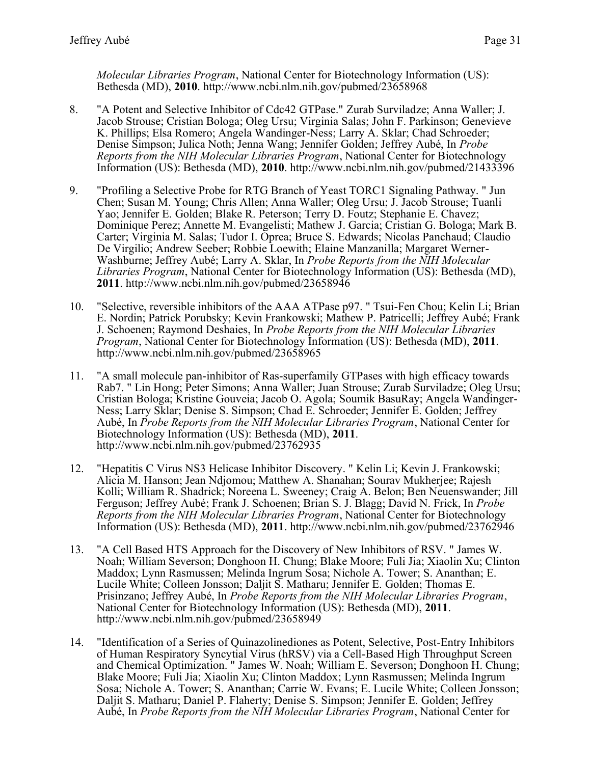*Molecular Libraries Program*, National Center for Biotechnology Information (US): Bethesda (MD), **2010**. http://www.ncbi.nlm.nih.gov/pubmed/23658968

- 8. "A Potent and Selective Inhibitor of Cdc42 GTPase." Zurab Surviladze; Anna Waller; J. Jacob Strouse; Cristian Bologa; Oleg Ursu; Virginia Salas; John F. Parkinson; Genevieve K. Phillips; Elsa Romero; Angela Wandinger-Ness; Larry A. Sklar; Chad Schroeder; Denise Simpson; Julica Noth; Jenna Wang; Jennifer Golden; Jeffrey Aubé, In *Probe Reports from the NIH Molecular Libraries Program*, National Center for Biotechnology Information (US): Bethesda (MD), **2010**. http://www.ncbi.nlm.nih.gov/pubmed/21433396
- 9. "Profiling a Selective Probe for RTG Branch of Yeast TORC1 Signaling Pathway. " Jun Chen; Susan M. Young; Chris Allen; Anna Waller; Oleg Ursu; J. Jacob Strouse; Tuanli Yao; Jennifer E. Golden; Blake R. Peterson; Terry D. Foutz; Stephanie E. Chavez; Dominique Perez; Annette M. Evangelisti; Mathew J. Garcia; Cristian G. Bologa; Mark B. Carter; Virginia M. Salas; Tudor I. Oprea; Bruce S. Edwards; Nicolas Panchaud; Claudio De Virgilio; Andrew Seeber; Robbie Loewith; Elaine Manzanilla; Margaret Werner-Washburne; Jeffrey Aubé; Larry A. Sklar, In *Probe Reports from the NIH Molecular Libraries Program*, National Center for Biotechnology Information (US): Bethesda (MD), **2011**. http://www.ncbi.nlm.nih.gov/pubmed/23658946
- 10. "Selective, reversible inhibitors of the AAA ATPase p97. " Tsui-Fen Chou; Kelin Li; Brian E. Nordin; Patrick Porubsky; Kevin Frankowski; Mathew P. Patricelli; Jeffrey Aubé; Frank J. Schoenen; Raymond Deshaies, In *Probe Reports from the NIH Molecular Libraries Program*, National Center for Biotechnology Information (US): Bethesda (MD), **2011**. http://www.ncbi.nlm.nih.gov/pubmed/23658965
- 11. "A small molecule pan-inhibitor of Ras-superfamily GTPases with high efficacy towards Rab7. " Lin Hong; Peter Simons; Anna Waller; Juan Strouse; Zurab Surviladze; Oleg Ursu; Cristian Bologa; Kristine Gouveia; Jacob O. Agola; Soumik BasuRay; Angela Wandinger-Ness; Larry Sklar; Denise S. Simpson; Chad E. Schroeder; Jennifer E. Golden; Jeffrey Aubé, In *Probe Reports from the NIH Molecular Libraries Program*, National Center for Biotechnology Information (US): Bethesda (MD), **2011**. http://www.ncbi.nlm.nih.gov/pubmed/23762935
- 12. "Hepatitis C Virus NS3 Helicase Inhibitor Discovery. " Kelin Li; Kevin J. Frankowski; Alicia M. Hanson; Jean Ndjomou; Matthew A. Shanahan; Sourav Mukherjee; Rajesh Kolli; William R. Shadrick; Noreena L. Sweeney; Craig A. Belon; Ben Neuenswander; Jill Ferguson; Jeffrey Aubé; Frank J. Schoenen; Brian S. J. Blagg; David N. Frick, In *Probe Reports from the NIH Molecular Libraries Program*, National Center for Biotechnology Information (US): Bethesda (MD), **2011**. http://www.ncbi.nlm.nih.gov/pubmed/23762946
- 13. "A Cell Based HTS Approach for the Discovery of New Inhibitors of RSV. " James W. Noah; William Severson; Donghoon H. Chung; Blake Moore; Fuli Jia; Xiaolin Xu; Clinton Maddox; Lynn Rasmussen; Melinda Ingrum Sosa; Nichole A. Tower; S. Ananthan; E. Lucile White; Colleen Jonsson; Daljit S. Matharu; Jennifer E. Golden; Thomas E. Prisinzano; Jeffrey Aubé, In *Probe Reports from the NIH Molecular Libraries Program*, National Center for Biotechnology Information (US): Bethesda (MD), **2011**. http://www.ncbi.nlm.nih.gov/pubmed/23658949
- 14. "Identification of a Series of Quinazolinediones as Potent, Selective, Post-Entry Inhibitors of Human Respiratory Syncytial Virus (hRSV) via a Cell-Based High Throughput Screen and Chemical Optimization. " James W. Noah; William E. Severson; Donghoon H. Chung; Blake Moore; Fuli Jia; Xiaolin Xu; Clinton Maddox; Lynn Rasmussen; Melinda Ingrum Sosa; Nichole A. Tower; S. Ananthan; Carrie W. Evans; E. Lucile White; Colleen Jonsson; Daljit S. Matharu; Daniel P. Flaherty; Denise S. Simpson; Jennifer E. Golden; Jeffrey Aubé, In *Probe Reports from the NIH Molecular Libraries Program*, National Center for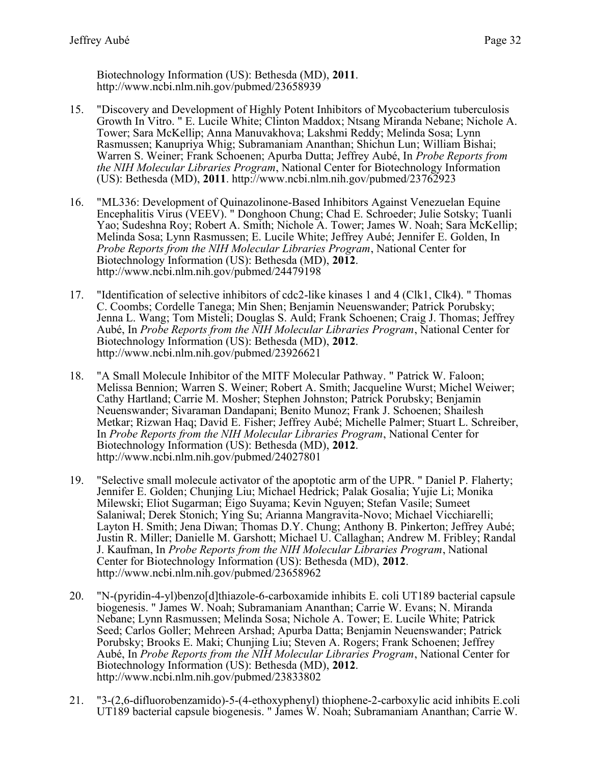Biotechnology Information (US): Bethesda (MD), **2011**. http://www.ncbi.nlm.nih.gov/pubmed/23658939

- 15. "Discovery and Development of Highly Potent Inhibitors of Mycobacterium tuberculosis Growth In Vitro. " E. Lucile White; Clinton Maddox; Ntsang Miranda Nebane; Nichole A. Tower; Sara McKellip; Anna Manuvakhova; Lakshmi Reddy; Melinda Sosa; Lynn Rasmussen; Kanupriya Whig; Subramaniam Ananthan; Shichun Lun; William Bishai; Warren S. Weiner; Frank Schoenen; Apurba Dutta; Jeffrey Aubé, In *Probe Reports from the NIH Molecular Libraries Program*, National Center for Biotechnology Information (US): Bethesda (MD), **2011**. http://www.ncbi.nlm.nih.gov/pubmed/23762923
- 16. "ML336: Development of Quinazolinone-Based Inhibitors Against Venezuelan Equine Encephalitis Virus (VEEV). " Donghoon Chung; Chad E. Schroeder; Julie Sotsky; Tuanli Yao; Sudeshna Roy; Robert A. Smith; Nichole A. Tower; James W. Noah; Sara McKellip; Melinda Sosa; Lynn Rasmussen; E. Lucile White; Jeffrey Aubé; Jennifer E. Golden, In *Probe Reports from the NIH Molecular Libraries Program*, National Center for Biotechnology Information (US): Bethesda (MD), **2012**. http://www.ncbi.nlm.nih.gov/pubmed/24479198
- 17. "Identification of selective inhibitors of cdc2-like kinases 1 and 4 (Clk1, Clk4). " Thomas C. Coombs; Cordelle Tanega; Min Shen; Benjamin Neuenswander; Patrick Porubsky; Jenna L. Wang; Tom Misteli; Douglas S. Auld; Frank Schoenen; Craig J. Thomas; Jeffrey Aubé, In *Probe Reports from the NIH Molecular Libraries Program*, National Center for Biotechnology Information (US): Bethesda (MD), **2012**. http://www.ncbi.nlm.nih.gov/pubmed/23926621
- 18. "A Small Molecule Inhibitor of the MITF Molecular Pathway. " Patrick W. Faloon; Melissa Bennion; Warren S. Weiner; Robert A. Smith; Jacqueline Wurst; Michel Weiwer; Cathy Hartland; Carrie M. Mosher; Stephen Johnston; Patrick Porubsky; Benjamin Neuenswander; Sivaraman Dandapani; Benito Munoz; Frank J. Schoenen; Shailesh Metkar; Rizwan Haq; David E. Fisher; Jeffrey Aubé; Michelle Palmer; Stuart L. Schreiber, In *Probe Reports from the NIH Molecular Libraries Program*, National Center for Biotechnology Information (US): Bethesda (MD), **2012**. http://www.ncbi.nlm.nih.gov/pubmed/24027801
- 19. "Selective small molecule activator of the apoptotic arm of the UPR. " Daniel P. Flaherty; Jennifer E. Golden; Chunjing Liu; Michael Hedrick; Palak Gosalia; Yujie Li; Monika Milewski; Eliot Sugarman; Eigo Suyama; Kevin Nguyen; Stefan Vasile; Sumeet Salaniwal; Derek Stonich; Ying Su; Arianna Mangravita-Novo; Michael Vicchiarelli; Layton H. Smith; Jena Diwan; Thomas D.Y. Chung; Anthony B. Pinkerton; Jeffrey Aubé; Justin R. Miller; Danielle M. Garshott; Michael U. Callaghan; Andrew M. Fribley; Randal J. Kaufman, In *Probe Reports from the NIH Molecular Libraries Program*, National Center for Biotechnology Information (US): Bethesda (MD), **2012**. http://www.ncbi.nlm.nih.gov/pubmed/23658962
- 20. "N-(pyridin-4-yl)benzo[d]thiazole-6-carboxamide inhibits E. coli UT189 bacterial capsule biogenesis. " James W. Noah; Subramaniam Ananthan; Carrie W. Evans; N. Miranda Nebane; Lynn Rasmussen; Melinda Sosa; Nichole A. Tower; E. Lucile White; Patrick Seed; Carlos Goller; Mehreen Arshad; Apurba Datta; Benjamin Neuenswander; Patrick Porubsky; Brooks E. Maki; Chunjing Liu; Steven A. Rogers; Frank Schoenen; Jeffrey Aubé, In *Probe Reports from the NIH Molecular Libraries Program*, National Center for Biotechnology Information (US): Bethesda (MD), **2012**. http://www.ncbi.nlm.nih.gov/pubmed/23833802
- 21. "3-(2,6-difluorobenzamido)-5-(4-ethoxyphenyl) thiophene-2-carboxylic acid inhibits E.coli UT189 bacterial capsule biogenesis. " James W. Noah; Subramaniam Ananthan; Carrie W.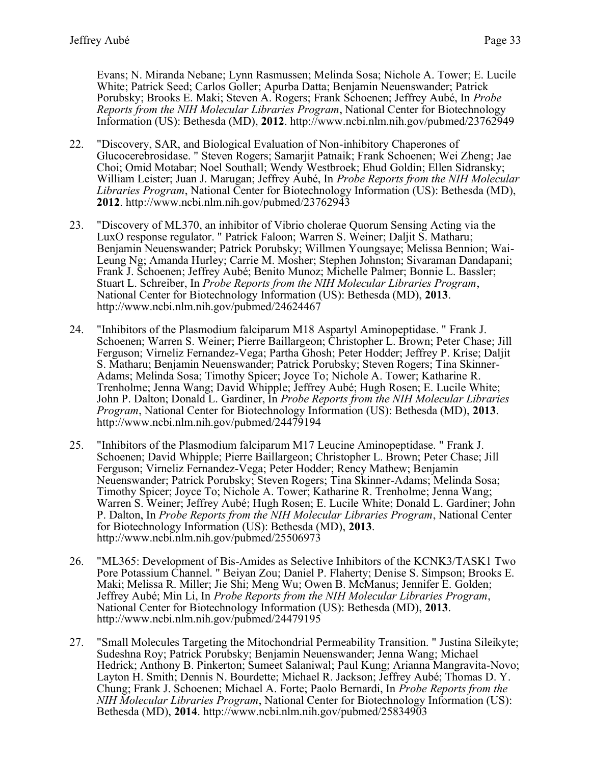Evans; N. Miranda Nebane; Lynn Rasmussen; Melinda Sosa; Nichole A. Tower; E. Lucile White; Patrick Seed; Carlos Goller; Apurba Datta; Benjamin Neuenswander; Patrick Porubsky; Brooks E. Maki; Steven A. Rogers; Frank Schoenen; Jeffrey Aubé, In *Probe Reports from the NIH Molecular Libraries Program*, National Center for Biotechnology Information (US): Bethesda (MD), **2012**. http://www.ncbi.nlm.nih.gov/pubmed/23762949

- 22. "Discovery, SAR, and Biological Evaluation of Non-inhibitory Chaperones of Glucocerebrosidase. " Steven Rogers; Samarjit Patnaik; Frank Schoenen; Wei Zheng; Jae Choi; Omid Motabar; Noel Southall; Wendy Westbroek; Ehud Goldin; Ellen Sidransky; William Leister; Juan J. Marugan; Jeffrey Aubé, In *Probe Reports from the NIH Molecular Libraries Program*, National Center for Biotechnology Information (US): Bethesda (MD), **2012**. http://www.ncbi.nlm.nih.gov/pubmed/23762943
- 23. "Discovery of ML370, an inhibitor of Vibrio cholerae Quorum Sensing Acting via the LuxO response regulator. " Patrick Faloon; Warren S. Weiner; Daljit S. Matharu; Benjamin Neuenswander; Patrick Porubsky; Willmen Youngsaye; Melissa Bennion; Wai-Leung Ng; Amanda Hurley; Carrie M. Mosher; Stephen Johnston; Sivaraman Dandapani; Frank J. Schoenen; Jeffrey Aubé; Benito Munoz; Michelle Palmer; Bonnie L. Bassler; Stuart L. Schreiber, In *Probe Reports from the NIH Molecular Libraries Program*, National Center for Biotechnology Information (US): Bethesda (MD), **2013**. http://www.ncbi.nlm.nih.gov/pubmed/24624467
- 24. "Inhibitors of the Plasmodium falciparum M18 Aspartyl Aminopeptidase. " Frank J. Schoenen; Warren S. Weiner; Pierre Baillargeon; Christopher L. Brown; Peter Chase; Jill Ferguson; Virneliz Fernandez-Vega; Partha Ghosh; Peter Hodder; Jeffrey P. Krise; Daljit S. Matharu; Benjamin Neuenswander; Patrick Porubsky; Steven Rogers; Tina Skinner-Adams; Melinda Sosa; Timothy Spicer; Joyce To; Nichole A. Tower; Katharine R. Trenholme; Jenna Wang; David Whipple; Jeffrey Aubé; Hugh Rosen; E. Lucile White; John P. Dalton; Donald L. Gardiner, In *Probe Reports from the NIH Molecular Libraries Program*, National Center for Biotechnology Information (US): Bethesda (MD), **2013**. http://www.ncbi.nlm.nih.gov/pubmed/24479194
- 25. "Inhibitors of the Plasmodium falciparum M17 Leucine Aminopeptidase. " Frank J. Schoenen; David Whipple; Pierre Baillargeon; Christopher L. Brown; Peter Chase; Jill Ferguson; Virneliz Fernandez-Vega; Peter Hodder; Rency Mathew; Benjamin Neuenswander; Patrick Porubsky; Steven Rogers; Tina Skinner-Adams; Melinda Sosa; Timothy Spicer; Joyce To; Nichole A. Tower; Katharine R. Trenholme; Jenna Wang; Warren S. Weiner; Jeffrey Aubé; Hugh Rosen; E. Lucile White; Donald L. Gardiner; John P. Dalton, In *Probe Reports from the NIH Molecular Libraries Program*, National Center for Biotechnology Information (US): Bethesda (MD), **2013**. http://www.ncbi.nlm.nih.gov/pubmed/25506973
- 26. "ML365: Development of Bis-Amides as Selective Inhibitors of the KCNK3/TASK1 Two Pore Potassium Channel. " Beiyan Zou; Daniel P. Flaherty; Denise S. Simpson; Brooks E. Maki; Melissa R. Miller; Jie Shi; Meng Wu; Owen B. McManus; Jennifer E. Golden; Jeffrey Aubé; Min Li, In *Probe Reports from the NIH Molecular Libraries Program*, National Center for Biotechnology Information (US): Bethesda (MD), **2013**. http://www.ncbi.nlm.nih.gov/pubmed/24479195
- 27. "Small Molecules Targeting the Mitochondrial Permeability Transition. " Justina Sileikyte; Sudeshna Roy; Patrick Porubsky; Benjamin Neuenswander; Jenna Wang; Michael Hedrick; Anthony B. Pinkerton; Sumeet Salaniwal; Paul Kung; Arianna Mangravita-Novo; Layton H. Smith; Dennis N. Bourdette; Michael R. Jackson; Jeffrey Aubé; Thomas D. Y. Chung; Frank J. Schoenen; Michael A. Forte; Paolo Bernardi, In *Probe Reports from the NIH Molecular Libraries Program*, National Center for Biotechnology Information (US): Bethesda (MD), **2014**. http://www.ncbi.nlm.nih.gov/pubmed/25834903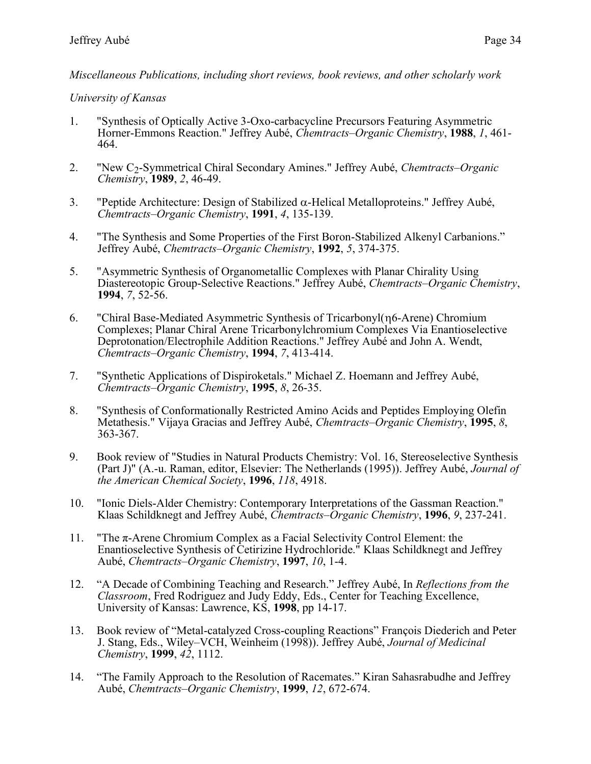*Miscellaneous Publications, including short reviews, book reviews, and other scholarly work*

#### *University of Kansas*

- 1. "Synthesis of Optically Active 3-Oxo-carbacycline Precursors Featuring Asymmetric Horner-Emmons Reaction." Jeffrey Aubé, *Chemtracts–Organic Chemistry*, **1988**, *1*, 461- 464.
- 2. "New C2-Symmetrical Chiral Secondary Amines." Jeffrey Aubé, *Chemtracts–Organic Chemistry*, **1989**, *2*, 46-49.
- 3. "Peptide Architecture: Design of Stabilized  $\alpha$ -Helical Metalloproteins." Jeffrey Aubé, *Chemtracts–Organic Chemistry*, **1991**, *4*, 135-139.
- 4. "The Synthesis and Some Properties of the First Boron-Stabilized Alkenyl Carbanions." Jeffrey Aubé, *Chemtracts–Organic Chemistry*, **1992**, *5*, 374-375.
- 5. "Asymmetric Synthesis of Organometallic Complexes with Planar Chirality Using Diastereotopic Group-Selective Reactions." Jeffrey Aubé, *Chemtracts–Organic Chemistry*, **1994**, *7*, 52-56.
- 6. "Chiral Base-Mediated Asymmetric Synthesis of Tricarbonyl(6-Arene) Chromium Complexes; Planar Chiral Arene Tricarbonylchromium Complexes Via Enantioselective Deprotonation/Electrophile Addition Reactions." Jeffrey Aubé and John A. Wendt, *Chemtracts–Organic Chemistry*, **1994**, *7*, 413-414.
- 7. "Synthetic Applications of Dispiroketals." Michael Z. Hoemann and Jeffrey Aubé, *Chemtracts–Organic Chemistry*, **1995**, *8*, 26-35.
- 8. "Synthesis of Conformationally Restricted Amino Acids and Peptides Employing Olefin Metathesis." Vijaya Gracias and Jeffrey Aubé, *Chemtracts–Organic Chemistry*, **1995**, *8*, 363-367.
- 9. Book review of "Studies in Natural Products Chemistry: Vol. 16, Stereoselective Synthesis (Part J)" (A.-u. Raman, editor, Elsevier: The Netherlands (1995)). Jeffrey Aubé, *Journal of the American Chemical Society*, **1996**, *118*, 4918.
- 10. "Ionic Diels-Alder Chemistry: Contemporary Interpretations of the Gassman Reaction." Klaas Schildknegt and Jeffrey Aubé, *Chemtracts–Organic Chemistry*, **1996**, *9*, 237-241.
- 11. "The π-Arene Chromium Complex as a Facial Selectivity Control Element: the Enantioselective Synthesis of Cetirizine Hydrochloride." Klaas Schildknegt and Jeffrey Aubé, *Chemtracts–Organic Chemistry*, **1997**, *10*, 1-4.
- 12. "A Decade of Combining Teaching and Research." Jeffrey Aubé, In *Reflections from the Classroom*, Fred Rodriguez and Judy Eddy, Eds., Center for Teaching Excellence, University of Kansas: Lawrence, KS, **1998**, pp 14-17.
- 13. Book review of "Metal-catalyzed Cross-coupling Reactions" François Diederich and Peter J. Stang, Eds., Wiley–VCH, Weinheim (1998)). Jeffrey Aubé, *Journal of Medicinal Chemistry*, **1999**, *42*, 1112.
- 14. "The Family Approach to the Resolution of Racemates." Kiran Sahasrabudhe and Jeffrey Aubé, *Chemtracts–Organic Chemistry*, **1999**, *12*, 672-674.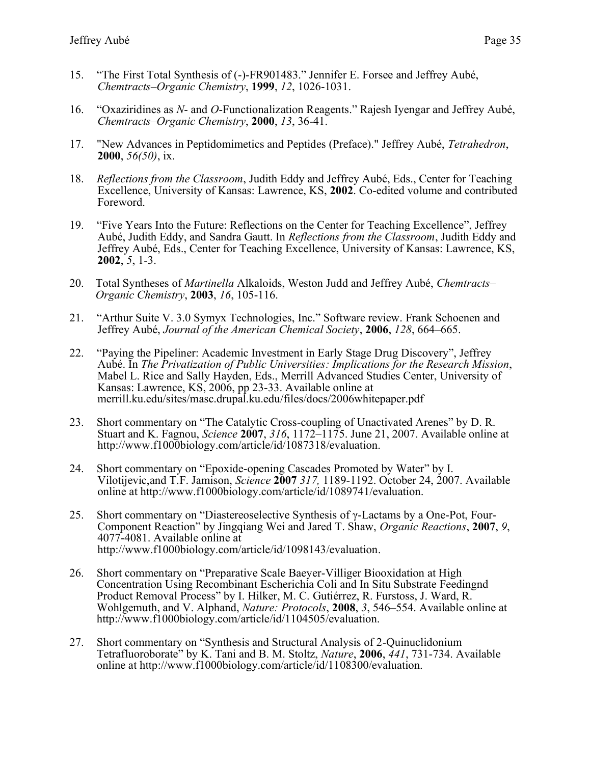- 15. "The First Total Synthesis of (-)-FR901483." Jennifer E. Forsee and Jeffrey Aubé, *Chemtracts–Organic Chemistry*, **1999**, *12*, 1026-1031.
- 16. "Oxaziridines as *N* and *O*-Functionalization Reagents." Rajesh Iyengar and Jeffrey Aubé, *Chemtracts–Organic Chemistry*, **2000**, *13*, 36-41.
- 17. "New Advances in Peptidomimetics and Peptides (Preface)." Jeffrey Aubé, *Tetrahedron*, **2000**, *56(50)*, ix.
- 18. *Reflections from the Classroom*, Judith Eddy and Jeffrey Aubé, Eds., Center for Teaching Excellence, University of Kansas: Lawrence, KS, **2002**. Co-edited volume and contributed Foreword.
- 19. "Five Years Into the Future: Reflections on the Center for Teaching Excellence", Jeffrey Aubé, Judith Eddy, and Sandra Gautt. In *Reflections from the Classroom*, Judith Eddy and Jeffrey Aubé, Eds., Center for Teaching Excellence, University of Kansas: Lawrence, KS, **2002**, *5*, 1-3.
- 20. Total Syntheses of *Martinella* Alkaloids, Weston Judd and Jeffrey Aubé, *Chemtracts– Organic Chemistry*, **2003**, *16*, 105-116.
- 21. "Arthur Suite V. 3.0 Symyx Technologies, Inc." Software review. Frank Schoenen and Jeffrey Aubé, *Journal of the American Chemical Society*, **2006**, *128*, 664–665.
- 22. "Paying the Pipeliner: Academic Investment in Early Stage Drug Discovery", Jeffrey Aubé. In *The Privatization of Public Universities: Implications for the Research Mission*, Mabel L. Rice and Sally Hayden, Eds., Merrill Advanced Studies Center, University of Kansas: Lawrence, KS, 2006, pp 23-33. Available online at merrill.ku.edu/sites/masc.drupal.ku.edu/files/docs/2006whitepaper.pdf
- 23. Short commentary on "The Catalytic Cross-coupling of Unactivated Arenes" by D. R. Stuart and K. Fagnou, *Science* **2007**, *316*, 1172–1175. June 21, 2007. Available online at http://www.f1000biology.com/article/id/1087318/evaluation.
- 24. Short commentary on "Epoxide-opening Cascades Promoted by Water" by I. Vilotijevic,and T.F. Jamison, *Science* **2007** *317,* 1189-1192. October 24, 2007. Available online at http://www.f1000biology.com/article/id/1089741/evaluation.
- 25. Short commentary on "Diastereoselective Synthesis of  $\gamma$ -Lactams by a One-Pot, Four-Component Reaction" by Jingqiang Wei and Jared T. Shaw, *Organic Reactions*, **2007**, *9*, 4077-4081. Available online at [http://www.f1000biology.com/article/id/1098143/evaluation.](http://www.f1000biology.com/article/id/1098143/evaluation)
- 26. Short commentary on "Preparative Scale Baeyer-Villiger Biooxidation at High Concentration Using Recombinant Escherichia Coli and In Situ Substrate Feedingnd Product Removal Process" by I. Hilker, M. C. Gutiérrez, R. Furstoss, J. Ward, R. Wohlgemuth, and V. Alphand, *Nature: Protocols*, **2008**, *3*, 546–554. Available online at http://www.f1000biology.com/article/id/1104505/evaluation.
- 27. Short commentary on "Synthesis and Structural Analysis of 2-Quinuclidonium Tetrafluoroborate" by K. Tani and B. M. Stoltz, *Nature*, **2006**, *441*, 731-734. Available online at http://www.f1000biology.com/article/id/1108300/evaluation.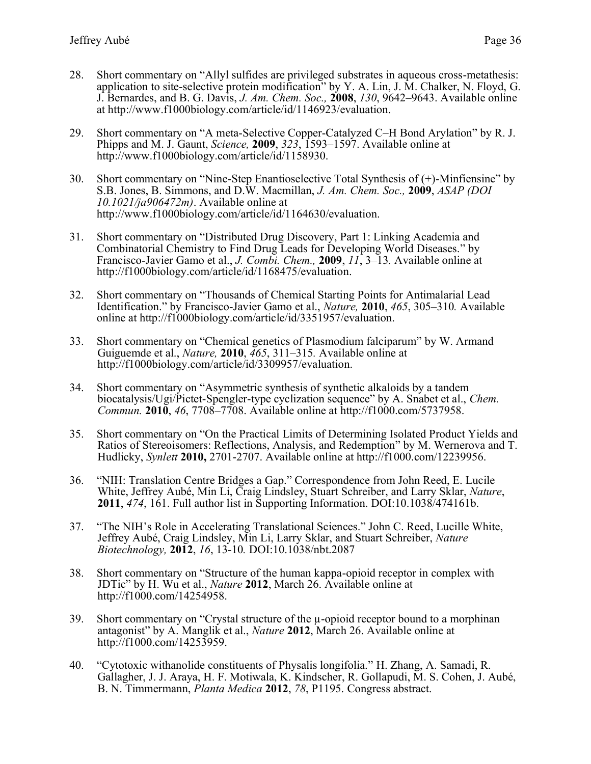- 28. Short commentary on "Allyl sulfides are privileged substrates in aqueous cross-metathesis: application to site-selective protein modification" by Y. A. Lin, J. M. Chalker, N. Floyd, G. J. Bernardes, and B. G. Davis, *J. Am. Chem. Soc.,* **2008**, *130*, 9642–9643. Available online at http://www.f1000biology.com/article/id/1146923/evaluation.
- 29. Short commentary on "A meta-Selective Copper-Catalyzed C–H Bond Arylation" by R. J. Phipps and M. J. Gaunt, *Science,* **2009**, *323*, 1593–1597. Available online at http://www.f1000biology.com/article/id/1158930.
- 30. Short commentary on "Nine-Step Enantioselective Total Synthesis of (+)-Minfiensine" by S.B. Jones, B. Simmons, and D.W. Macmillan, *J. Am. Chem. Soc.,* **2009**, *ASAP (DOI 10.1021/ja906472m)*. Available online at http://www.f1000biology.com/article/id/1164630/evaluation.
- 31. Short commentary on "Distributed Drug Discovery, Part 1: Linking Academia and Combinatorial Chemistry to Find Drug Leads for Developing World Diseases." by Francisco-Javier Gamo et al., *J. Combi. Chem.,* **2009**, *11*, 3–13*.* Available online at http://f1000biology.com/article/id/1168475/evaluation.
- 32. Short commentary on "Thousands of Chemical Starting Points for Antimalarial Lead Identification." by Francisco-Javier Gamo et al., *Nature,* **2010**, *465*, 305–310*.* Available online at http://f1000biology.com/article/id/3351957/evaluation.
- 33. Short commentary on "Chemical genetics of Plasmodium falciparum" by W. Armand Guiguemde et al., *Nature,* **2010**, *465*, 311–315*.* Available online at http://f1000biology.com/article/id/3309957/evaluation.
- 34. Short commentary on "Asymmetric synthesis of synthetic alkaloids by a tandem biocatalysis/Ugi/Pictet-Spengler-type cyclization sequence" by A. Snabet et al., *Chem. Commun.* **2010**, *46*, 7708–7708. Available online at http://f1000.com/5737958.
- 35. Short commentary on "[On the Practical Limits of Determining Isolated Product Yields and](http://f1000.com/12239956)  [Ratios of Stereoisomers: Reflections, Analysis, and Redemption](http://f1000.com/12239956)" by M. Wernerova and T. Hudlicky, *Synlett* **2010,** 2701-2707. Available online at http://f1000.com/12239956.
- 36. "NIH: Translation Centre Bridges a Gap." Correspondence from John Reed, E. Lucile White, Jeffrey Aubé, Min Li, Craig Lindsley, Stuart Schreiber, and Larry Sklar, *Nature*, **2011**, *474*, 161. Full author list in Supporting Information. DOI:10.1038/474161b.
- 37. "The NIH's Role in Accelerating Translational Sciences." John C. Reed, Lucille White, Jeffrey Aubé, Craig Lindsley, Min Li, Larry Sklar, and Stuart Schreiber, *Nature Biotechnology,* **2012**, *16*, 13-10*.* DOI:10.1038/nbt.2087
- 38. Short commentary on "Structure of the human kappa-opioid receptor in complex with JDTic" by H. Wu et al., *Nature* **2012**, March 26. Available online at http://f1000.com/14254958.
- 39. Short commentary on "Crystal structure of the  $\mu$ -opioid receptor bound to a morphinan antagonist" by A. Manglik et al., *Nature* **2012**, March 26. Available online at http://f1000.com/14253959.
- 40. "Cytotoxic withanolide constituents of Physalis longifolia." H. Zhang, A. Samadi, R. Gallagher, J. J. Araya, H. F. Motiwala, K. Kindscher, R. Gollapudi, M. S. Cohen, J. Aubé, B. N. Timmermann, *Planta Medica* **2012**, *78*, P1195. Congress abstract.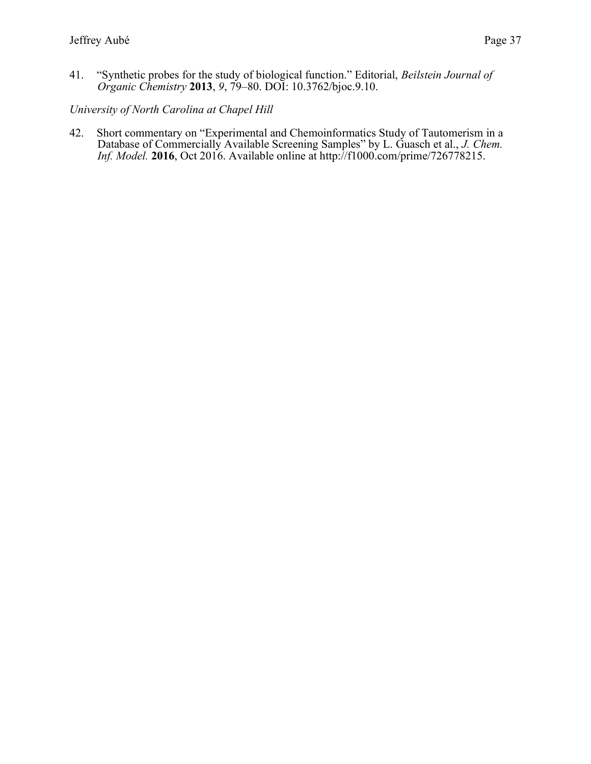41. "Synthetic probes for the study of biological function." Editorial, *Beilstein Journal of Organic Chemistry* **2013**, *9*, 79–80. DOI: 10.3762/bjoc.9.10.

#### *University of North Carolina at Chapel Hill*

42. Short commentary on "Experimental and Chemoinformatics Study of Tautomerism in a Database of Commercially Available Screening Samples" by L. Guasch et al., *J. Chem. Inf. Model.* **2016**, Oct 2016. Available online at http://f1000.com/prime/726778215.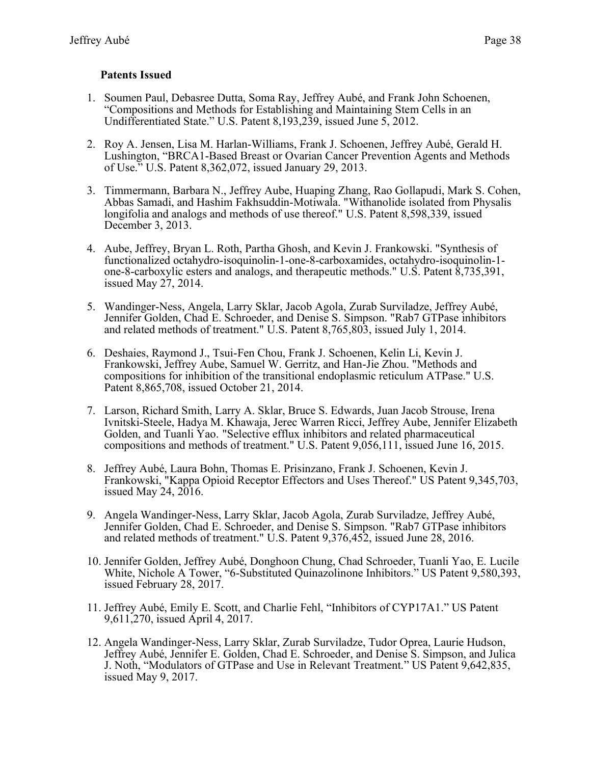#### **Patents Issued**

- 1. Soumen Paul, Debasree Dutta, Soma Ray, Jeffrey Aubé, and Frank John Schoenen, "Compositions and Methods for Establishing and Maintaining Stem Cells in an Undifferentiated State." U.S. Patent 8,193,239, issued June 5, 2012.
- 2. Roy A. Jensen, Lisa M. Harlan-Williams, Frank J. Schoenen, Jeffrey Aubé, Gerald H. Lushington, "BRCA1-Based Breast or Ovarian Cancer Prevention Agents and Methods of Use." U.S. Patent 8,362,072, issued January 29, 2013.
- 3. Timmermann, Barbara N., Jeffrey Aube, Huaping Zhang, Rao Gollapudi, Mark S. Cohen, Abbas Samadi, and Hashim Fakhsuddin-Motiwala. "Withanolide isolated from Physalis longifolia and analogs and methods of use thereof." U.S. Patent 8,598,339, issued December 3, 2013.
- 4. Aube, Jeffrey, Bryan L. Roth, Partha Ghosh, and Kevin J. Frankowski. "Synthesis of functionalized octahydro-isoquinolin-1-one-8-carboxamides, octahydro-isoquinolin-1 one-8-carboxylic esters and analogs, and therapeutic methods." U.S. Patent 8,735,391, issued May 27, 2014.
- 5. Wandinger-Ness, Angela, Larry Sklar, Jacob Agola, Zurab Surviladze, Jeffrey Aubé, Jennifer Golden, Chad E. Schroeder, and Denise S. Simpson. "Rab7 GTPase inhibitors and related methods of treatment." U.S. Patent 8,765,803, issued July 1, 2014.
- 6. Deshaies, Raymond J., Tsui-Fen Chou, Frank J. Schoenen, Kelin Li, Kevin J. Frankowski, Jeffrey Aube, Samuel W. Gerritz, and Han-Jie Zhou. "Methods and compositions for inhibition of the transitional endoplasmic reticulum ATPase." U.S. Patent 8,865,708, issued October 21, 2014.
- 7. Larson, Richard Smith, Larry A. Sklar, Bruce S. Edwards, Juan Jacob Strouse, Irena Ivnitski-Steele, Hadya M. Khawaja, Jerec Warren Ricci, Jeffrey Aube, Jennifer Elizabeth Golden, and Tuanli Yao. "Selective efflux inhibitors and related pharmaceutical compositions and methods of treatment." U.S. Patent 9,056,111, issued June 16, 2015.
- 8. Jeffrey Aubé, Laura Bohn, Thomas E. Prisinzano, Frank J. Schoenen, Kevin J. Frankowski, "Kappa Opioid Receptor Effectors and Uses Thereof." US Patent 9,345,703, issued May 24, 2016.
- 9. Angela Wandinger-Ness, Larry Sklar, Jacob Agola, Zurab Surviladze, Jeffrey Aubé, Jennifer Golden, Chad E. Schroeder, and Denise S. Simpson. "Rab7 GTPase inhibitors and related methods of treatment." U.S. Patent 9,376,452, issued June 28, 2016.
- 10. Jennifer Golden, Jeffrey Aubé, Donghoon Chung, Chad Schroeder, Tuanli Yao, E. Lucile White, Nichole A Tower, "6-Substituted Quinazolinone Inhibitors." US Patent 9,580,393, issued February 28, 2017.
- 11. Jeffrey Aubé, Emily E. Scott, and Charlie Fehl, "Inhibitors of CYP17A1." US Patent 9,611,270, issued April 4, 2017.
- 12. Angela Wandinger-Ness, Larry Sklar, Zurab Surviladze, Tudor Oprea, Laurie Hudson, Jeffrey Aubé, Jennifer E. Golden, Chad E. Schroeder, and Denise S. Simpson, and Julica J. Noth, "Modulators of GTPase and Use in Relevant Treatment." US Patent 9,642,835, issued May 9, 2017.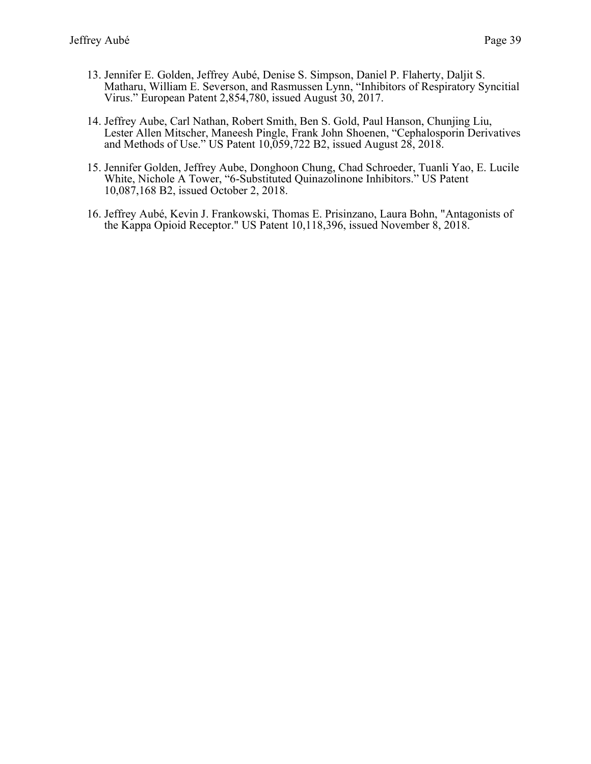- 13. Jennifer E. Golden, Jeffrey Aubé, Denise S. Simpson, Daniel P. Flaherty, Daljit S. Matharu, William E. Severson, and Rasmussen Lynn, "Inhibitors of Respiratory Syncitial Virus." European Patent 2,854,780, issued August 30, 2017.
- 14. Jeffrey Aube, Carl Nathan, Robert Smith, Ben S. Gold, Paul Hanson, Chunjing Liu, Lester Allen Mitscher, Maneesh Pingle, Frank John Shoenen, "Cephalosporin Derivatives and Methods of Use." US Patent 10,059,722 B2, issued August 28, 2018.
- 15. Jennifer Golden, Jeffrey Aube, Donghoon Chung, Chad Schroeder, Tuanli Yao, E. Lucile White, Nichole A Tower, "6-Substituted Quinazolinone Inhibitors." US Patent 10,087,168 B2, issued October 2, 2018.
- 16. Jeffrey Aubé, Kevin J. Frankowski, Thomas E. Prisinzano, Laura Bohn, "Antagonists of the Kappa Opioid Receptor." US Patent 10,118,396, issued November 8, 2018.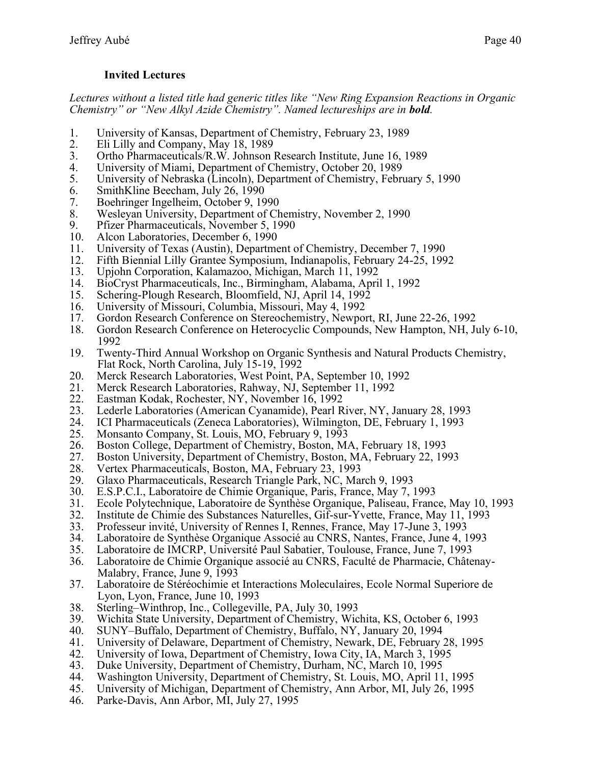#### **Invited Lectures**

*Lectures without a listed title had generic titles like "New Ring Expansion Reactions in Organic Chemistry" or "New Alkyl Azide Chemistry". Named lectureships are in bold.* 

- 1. University of Kansas, Department of Chemistry, February 23, 1989
- 2. Eli Lilly and Company, May 18, 1989
- 3. Ortho Pharmaceuticals/R.W. Johnson Research Institute, June 16, 1989
- 4. University of Miami, Department of Chemistry, October 20, 1989
- 5. University of Nebraska (Lincoln), Department of Chemistry, February 5, 1990
- 6. SmithKline Beecham, July 26, 1990
- 7. Boehringer Ingelheim, October 9, 1990
- 8. Wesleyan University, Department of Chemistry, November 2, 1990
- 9. Pfizer Pharmaceuticals, November 5, 1990
- 10. Alcon Laboratories, December 6, 1990
- 11. University of Texas (Austin), Department of Chemistry, December 7, 1990
- 12. Fifth Biennial Lilly Grantee Symposium, Indianapolis, February 24-25, 1992
- 13. Upjohn Corporation, Kalamazoo, Michigan, March 11, 1992
- 14. BioCryst Pharmaceuticals, Inc., Birmingham, Alabama, April 1, 1992
- 15. Schering-Plough Research, Bloomfield, NJ, April 14, 1992
- 16. University of Missouri, Columbia, Missouri, May 4, 1992
- 17. Gordon Research Conference on Stereochemistry, Newport, RI, June 22-26, 1992
- 18. Gordon Research Conference on Heterocyclic Compounds, New Hampton, NH, July 6-10, 1992
- 19. Twenty-Third Annual Workshop on Organic Synthesis and Natural Products Chemistry, Flat Rock, North Carolina, July 15-19, 1992
- 20. Merck Research Laboratories, West Point, PA, September 10, 1992
- 21. Merck Research Laboratories, Rahway, NJ, September 11, 1992
- 22. Eastman Kodak, Rochester, NY, November 16, 1992
- 23. Lederle Laboratories (American Cyanamide), Pearl River, NY, January 28, 1993
- 24. ICI Pharmaceuticals (Zeneca Laboratories), Wilmington, DE, February 1, 1993
- 25. Monsanto Company, St. Louis, MO, February 9, 1993
- 26. Boston College, Department of Chemistry, Boston, MA, February 18, 1993
- 27. Boston University, Department of Chemistry, Boston, MA, February 22, 1993<br>28. Vertex Pharmaceuticals, Boston, MA, February 23, 1993
- 28. Vertex Pharmaceuticals, Boston, MA, February 23, 1993
- 29. Glaxo Pharmaceuticals, Research Triangle Park, NC, March 9, 1993
- 30. E.S.P.C.I., Laboratoire de Chimie Organique, Paris, France, May 7, 1993
- 31. Ecole Polytechnique, Laboratoire de Synthèse Organique, Paliseau, France, May 10, 1993<br>32. Institute de Chimie des Substances Naturelles, Gif-sur-Yvette, France, May 11, 1993
- 32. Institute de Chimie des Substances Naturelles, Gif-sur-Yvette, France, May 11, 1993
- 33. Professeur invité, University of Rennes I, Rennes, France, May 17-June 3, 1993
- 34. Laboratoire de Synthèse Organique Associé au CNRS, Nantes, France, June 4, 1993
- 
- 35. Laboratoire de IMCRP, Université Paul Sabatier, Toulouse, France, June 7, 1993 Laboratoire de Chimie Organique associé au CNRS, Faculté de Pharmacie, Châtenay-Malabry, France, June 9, 1993
- 37. Laboratoire de Stéréochimie et Interactions Moleculaires, Ecole Normal Superiore de Lyon, Lyon, France, June 10, 1993
- 38. Sterling–Winthrop, Inc., Collegeville, PA, July 30, 1993
- 39. Wichita State University, Department of Chemistry, Wichita, KS, October 6, 1993
- 
- 40. SUNY–Buffalo, Department of Chemistry, Buffalo, NY, January 20, 1994<br>41. University of Delaware, Department of Chemistry, Newark, DE, February 41. University of Delaware, Department of Chemistry, Newark, DE, February 28, 1995
- 42. University of Iowa, Department of Chemistry, Iowa City, IA, March 3, 1995
- 43. Duke University, Department of Chemistry, Durham, NC, March 10, 1995
- 44. Washington University, Department of Chemistry, St. Louis, MO, April 11, 1995
- 45. University of Michigan, Department of Chemistry, Ann Arbor, MI, July 26, 1995
- 46. Parke-Davis, Ann Arbor, MI, July 27, 1995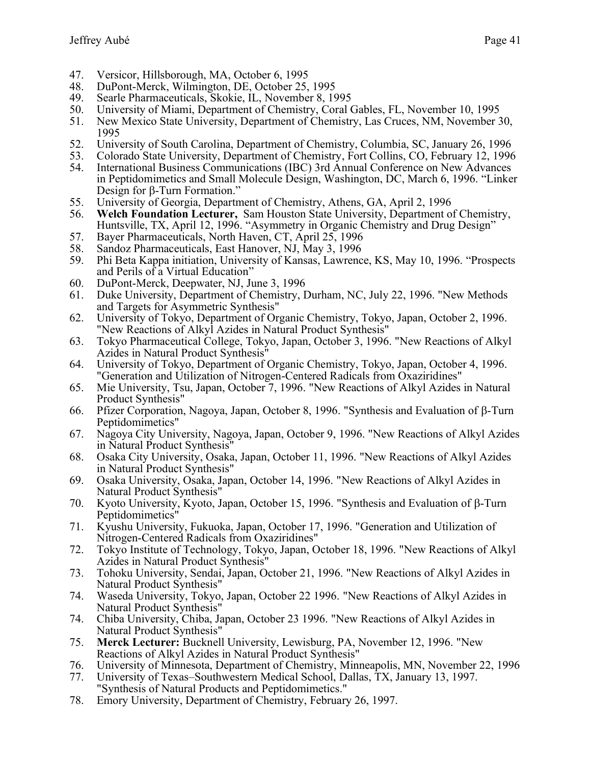- 47. Versicor, Hillsborough, MA, October 6, 1995<br>48. DuPont-Merck, Wilmington, DE, October 25,
- 48. DuPont-Merck, Wilmington, DE, October 25, 1995
- 49. Searle Pharmaceuticals, Skokie, IL, November 8, 1995
- 50. University of Miami, Department of Chemistry, Coral Gables, FL, November 10, 1995
- 51. New Mexico State University, Department of Chemistry, Las Cruces, NM, November 30, 1995
- 52. University of South Carolina, Department of Chemistry, Columbia, SC, January 26, 1996
- 53. Colorado State University, Department of Chemistry, Fort Collins, CO, February 12, 1996
- 54. International Business Communications (IBC) 3rd Annual Conference on New Advances in Peptidomimetics and Small Molecule Design, Washington, DC, March 6, 1996. "Linker Design for  $\beta$ -Turn Formation."
- 55. University of Georgia, Department of Chemistry, Athens, GA, April 2, 1996
- 56. **Welch Foundation Lecturer,** Sam Houston State University, Department of Chemistry, Huntsville, TX, April 12, 1996. "Asymmetry in Organic Chemistry and Drug Design"
- 57. Bayer Pharmaceuticals, North Haven, CT, April 25, 1996
- 58. Sandoz Pharmaceuticals, East Hanover, NJ, May 3, 1996
- 59. Phi Beta Kappa initiation, University of Kansas, Lawrence, KS, May 10, 1996. "Prospects and Perils of a Virtual Education"
- 60. DuPont-Merck, Deepwater, NJ, June 3, 1996
- 61. Duke University, Department of Chemistry, Durham, NC, July 22, 1996. "New Methods and Targets for Asymmetric Synthesis"
- 62. University of Tokyo, Department of Organic Chemistry, Tokyo, Japan, October 2, 1996. "New Reactions of Alkyl Azides in Natural Product Synthesis"
- 63. Tokyo Pharmaceutical College, Tokyo, Japan, October 3, 1996. "New Reactions of Alkyl Azides in Natural Product Synthesis"
- 64. University of Tokyo, Department of Organic Chemistry, Tokyo, Japan, October 4, 1996. "Generation and Utilization of Nitrogen-Centered Radicals from Oxaziridines"
- 65. Mie University, Tsu, Japan, October 7, 1996. "New Reactions of Alkyl Azides in Natural Product Synthesis"
- 66. Pfizer Corporation, Nagoya, Japan, October 8, 1996. "Synthesis and Evaluation of  $\beta$ -Turn Peptidomimetics"
- 67. Nagoya City University, Nagoya, Japan, October 9, 1996. "New Reactions of Alkyl Azides in Natural Product Synthesis"
- 68. Osaka City University, Osaka, Japan, October 11, 1996. "New Reactions of Alkyl Azides in Natural Product Synthesis"
- 69. Osaka University, Osaka, Japan, October 14, 1996. "New Reactions of Alkyl Azides in Natural Product Synthesis"
- 70. Kyoto University, Kyoto, Japan, October 15, 1996. "Synthesis and Evaluation of  $\beta$ -Turn Peptidomimetics"
- 71. Kyushu University, Fukuoka, Japan, October 17, 1996. "Generation and Utilization of Nitrogen-Centered Radicals from Oxaziridines"
- 72. Tokyo Institute of Technology, Tokyo, Japan, October 18, 1996. "New Reactions of Alkyl Azides in Natural Product Synthesis"
- 73. Tohoku University, Sendai, Japan, October 21, 1996. "New Reactions of Alkyl Azides in Natural Product Synthesis"
- 74. Waseda University, Tokyo, Japan, October 22 1996. "New Reactions of Alkyl Azides in Natural Product Synthesis"
- 74. Chiba University, Chiba, Japan, October 23 1996. "New Reactions of Alkyl Azides in Natural Product Synthesis"
- 75. **Merck Lecturer:** Bucknell University, Lewisburg, PA, November 12, 1996. "New Reactions of Alkyl Azides in Natural Product Synthesis"
- 76. University of Minnesota, Department of Chemistry, Minneapolis, MN, November 22, 1996
- 77. University of Texas–Southwestern Medical School, Dallas, TX, January 13, 1997. "Synthesis of Natural Products and Peptidomimetics."
- 78. Emory University, Department of Chemistry, February 26, 1997.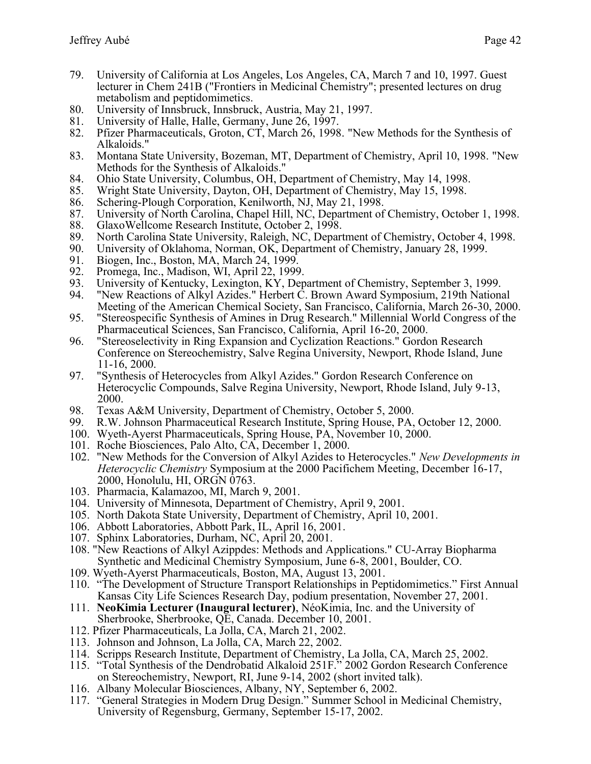- 79. University of California at Los Angeles, Los Angeles, CA, March 7 and 10, 1997. Guest lecturer in Chem 241B ("Frontiers in Medicinal Chemistry"; presented lectures on drug metabolism and peptidomimetics.
- 80. University of Innsbruck, Innsbruck, Austria, May 21, 1997.
- 81. University of Halle, Halle, Germany, June 26, 1997.
- 82. Pfizer Pharmaceuticals, Groton, CT, March 26, 1998. "New Methods for the Synthesis of Alkaloids."
- 83. Montana State University, Bozeman, MT, Department of Chemistry, April 10, 1998. "New Methods for the Synthesis of Alkaloids."
- 84. Ohio State University, Columbus, OH, Department of Chemistry, May 14, 1998.
- 85. Wright State University, Dayton, OH, Department of Chemistry, May 15, 1998.
- 86. Schering-Plough Corporation, Kenilworth, NJ, May 21, 1998.
- 87. University of North Carolina, Chapel Hill, NC, Department of Chemistry, October 1, 1998.
- 88. GlaxoWellcome Research Institute, October 2, 1998.
- 89. North Carolina State University, Raleigh, NC, Department of Chemistry, October 4, 1998.
- 90. University of Oklahoma, Norman, OK, Department of Chemistry, January 28, 1999.
- 91. Biogen, Inc., Boston, MA, March 24, 1999.<br>92. Promega, Inc., Madison, WI, April 22, 1999
- Promega, Inc., Madison, WI, April 22, 1999.
- 93. University of Kentucky, Lexington, KY, Department of Chemistry, September 3, 1999.
- 94. "New Reactions of Alkyl Azides." Herbert C. Brown Award Symposium, 219th National Meeting of the American Chemical Society, San Francisco, California, March 26-30, 2000.
- 95. "Stereospecific Synthesis of Amines in Drug Research." Millennial World Congress of the Pharmaceutical Sciences, San Francisco, California, April 16-20, 2000.
- 96. "Stereoselectivity in Ring Expansion and Cyclization Reactions." Gordon Research Conference on Stereochemistry, Salve Regina University, Newport, Rhode Island, June 11-16, 2000.
- 97. "Synthesis of Heterocycles from Alkyl Azides." Gordon Research Conference on Heterocyclic Compounds, Salve Regina University, Newport, Rhode Island, July 9-13, 2000.
- 98. Texas A&M University, Department of Chemistry, October 5, 2000.
- 99. R.W. Johnson Pharmaceutical Research Institute, Spring House, PA, October 12, 2000.
- 100. Wyeth-Ayerst Pharmaceuticals, Spring House, PA, November 10, 2000.
- 101. Roche Biosciences, Palo Alto, CA, December 1, 2000.
- 102. "New Methods for the Conversion of Alkyl Azides to Heterocycles." *New Developments in Heterocyclic Chemistry* Symposium at the 2000 Pacifichem Meeting, December 16-17, 2000, Honolulu, HI, ORGN 0763.
- 103. Pharmacia, Kalamazoo, MI, March 9, 2001.
- 104. University of Minnesota, Department of Chemistry, April 9, 2001.
- 105. North Dakota State University, Department of Chemistry, April 10, 2001.
- 106. Abbott Laboratories, Abbott Park, IL, April 16, 2001.
- 107. Sphinx Laboratories, Durham, NC, April 20, 2001.
- 108. "New Reactions of Alkyl Azippdes: Methods and Applications." CU-Array Biopharma Synthetic and Medicinal Chemistry Symposium, June 6-8, 2001, Boulder, CO.
- 109. Wyeth-Ayerst Pharmaceuticals, Boston, MA, August 13, 2001.
- 110. "The Development of Structure Transport Relationships in Peptidomimetics." First Annual Kansas City Life Sciences Research Day, podium presentation, November 27, 2001.
- 111. **NeoKimia Lecturer (Inaugural lecturer)**, NéoKimia, Inc. and the University of Sherbrooke, Sherbrooke, QE, Canada. December 10, 2001.
- 112. Pfizer Pharmaceuticals, La Jolla, CA, March 21, 2002.
- 113. Johnson and Johnson, La Jolla, CA, March 22, 2002.
- 114. Scripps Research Institute, Department of Chemistry, La Jolla, CA, March 25, 2002.
- 115. "Total Synthesis of the Dendrobatid Alkaloid 251F." 2002 Gordon Research Conference on Stereochemistry, Newport, RI, June 9-14, 2002 (short invited talk).
- 116. Albany Molecular Biosciences, Albany, NY, September 6, 2002.
- 117. "General Strategies in Modern Drug Design." Summer School in Medicinal Chemistry, University of Regensburg, Germany, September 15-17, 2002.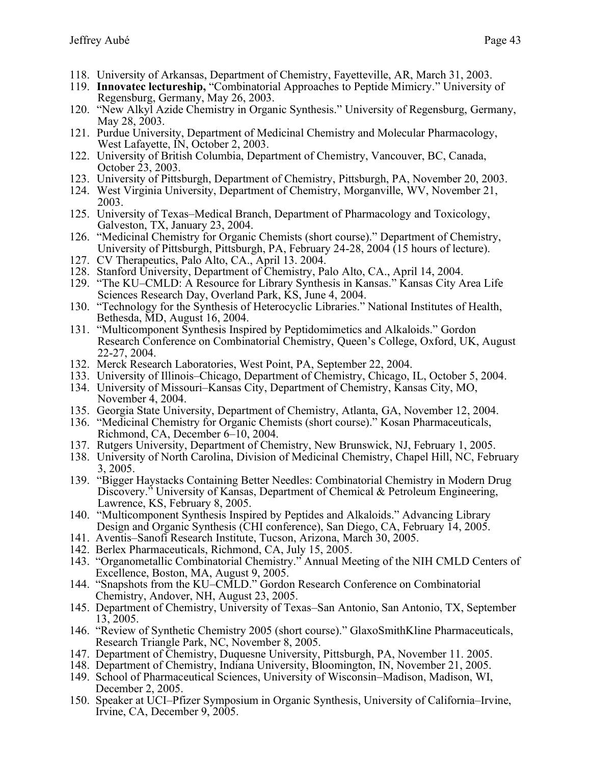- 118. University of Arkansas, Department of Chemistry, Fayetteville, AR, March 31, 2003.
- 119. **Innovatec lectureship,** "Combinatorial Approaches to Peptide Mimicry." University of Regensburg, Germany, May 26, 2003.
- 120. "New Alkyl Azide Chemistry in Organic Synthesis." University of Regensburg, Germany, May 28, 2003.
- 121. Purdue University, Department of Medicinal Chemistry and Molecular Pharmacology, West Lafayette, IN, October 2, 2003.
- 122. University of British Columbia, Department of Chemistry, Vancouver, BC, Canada, October 23, 2003.
- 123. University of Pittsburgh, Department of Chemistry, Pittsburgh, PA, November 20, 2003.
- 124. West Virginia University, Department of Chemistry, Morganville, WV, November 21, 2003.
- 125. University of Texas–Medical Branch, Department of Pharmacology and Toxicology, Galveston, TX, January 23, 2004.
- 126. "Medicinal Chemistry for Organic Chemists (short course)." Department of Chemistry, University of Pittsburgh, Pittsburgh, PA, February 24-28, 2004 (15 hours of lecture).
- 127. CV Therapeutics, Palo Alto, CA., April 13. 2004.
- 128. Stanford University, Department of Chemistry, Palo Alto, CA., April 14, 2004.
- 129. "The KU–CMLD: A Resource for Library Synthesis in Kansas." Kansas City Area Life Sciences Research Day, Overland Park, KS, June 4, 2004.
- 130. "Technology for the Synthesis of Heterocyclic Libraries." National Institutes of Health, Bethesda, MD, August 16, 2004.
- 131. "Multicomponent Synthesis Inspired by Peptidomimetics and Alkaloids." Gordon Research Conference on Combinatorial Chemistry, Queen's College, Oxford, UK, August 22-27, 2004.
- 132. Merck Research Laboratories, West Point, PA, September 22, 2004.
- 133. University of Illinois–Chicago, Department of Chemistry, Chicago, IL, October 5, 2004.
- 134. University of Missouri–Kansas City, Department of Chemistry, Kansas City, MO, November 4, 2004.
- 135. Georgia State University, Department of Chemistry, Atlanta, GA, November 12, 2004.
- 136. "Medicinal Chemistry for Organic Chemists (short course)." Kosan Pharmaceuticals, Richmond, CA, December 6–10, 2004.
- 137. Rutgers University, Department of Chemistry, New Brunswick, NJ, February 1, 2005.
- 138. University of North Carolina, Division of Medicinal Chemistry, Chapel Hill, NC, February 3, 2005.
- 139. "Bigger Haystacks Containing Better Needles: Combinatorial Chemistry in Modern Drug Discovery." University of Kansas, Department of Chemical & Petroleum Engineering, Lawrence, KS, February 8, 2005.
- 140. "Multicomponent Synthesis Inspired by Peptides and Alkaloids." Advancing Library Design and Organic Synthesis (CHI conference), San Diego, CA, February 14, 2005.
- 141. Aventis–Sanofi Research Institute, Tucson, Arizona, March 30, 2005.
- 142. Berlex Pharmaceuticals, Richmond, CA, July 15, 2005.
- 143. "Organometallic Combinatorial Chemistry." Annual Meeting of the NIH CMLD Centers of Excellence, Boston, MA, August 9, 2005.
- 144. "Snapshots from the KU–CMLD." Gordon Research Conference on Combinatorial Chemistry, Andover, NH, August 23, 2005.
- 145. Department of Chemistry, University of Texas–San Antonio, San Antonio, TX, September 13, 2005.
- 146. "Review of Synthetic Chemistry 2005 (short course)." GlaxoSmithKline Pharmaceuticals, Research Triangle Park, NC, November 8, 2005.
- 147. Department of Chemistry, Duquesne University, Pittsburgh, PA, November 11. 2005.
- 148. Department of Chemistry, Indiana University, Bloomington, IN, November 21, 2005.
- 149. School of Pharmaceutical Sciences, University of Wisconsin–Madison, Madison, WI, December 2, 2005.
- 150. Speaker at UCI–Pfizer Symposium in Organic Synthesis, University of California–Irvine, Irvine, CA, December 9, 2005.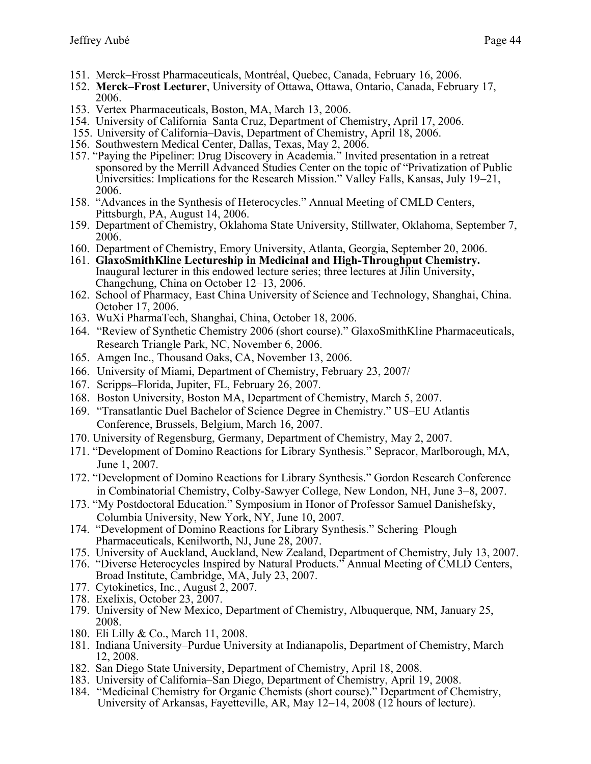- 151. Merck–Frosst Pharmaceuticals, Montréal, Quebec, Canada, February 16, 2006.
- 152. **Merck–Frost Lecturer**, University of Ottawa, Ottawa, Ontario, Canada, February 17, 2006.
- 153. Vertex Pharmaceuticals, Boston, MA, March 13, 2006.
- 154. University of California–Santa Cruz, Department of Chemistry, April 17, 2006.
- 155. University of California–Davis, Department of Chemistry, April 18, 2006.
- 156. Southwestern Medical Center, Dallas, Texas, May 2, 2006.
- 157. "Paying the Pipeliner: Drug Discovery in Academia." Invited presentation in a retreat sponsored by the Merrill Advanced Studies Center on the topic of "Privatization of Public Universities: Implications for the Research Mission." Valley Falls, Kansas, July 19–21, 2006.
- 158. "Advances in the Synthesis of Heterocycles." Annual Meeting of CMLD Centers, Pittsburgh, PA, August 14, 2006.
- 159. Department of Chemistry, Oklahoma State University, Stillwater, Oklahoma, September 7, 2006.
- 160. Department of Chemistry, Emory University, Atlanta, Georgia, September 20, 2006.
- 161. **GlaxoSmithKline Lectureship in Medicinal and High-Throughput Chemistry.**  Inaugural lecturer in this endowed lecture series; three lectures at Jilin University, Changchung, China on October 12–13, 2006.
- 162. School of Pharmacy, East China University of Science and Technology, Shanghai, China. October 17, 2006.
- 163. WuXi PharmaTech, Shanghai, China, October 18, 2006.
- 164. "Review of Synthetic Chemistry 2006 (short course)." GlaxoSmithKline Pharmaceuticals, Research Triangle Park, NC, November 6, 2006.
- 165. Amgen Inc., Thousand Oaks, CA, November 13, 2006.
- 166. University of Miami, Department of Chemistry, February 23, 2007/
- 167. Scripps–Florida, Jupiter, FL, February 26, 2007.
- 168. Boston University, Boston MA, Department of Chemistry, March 5, 2007.
- 169. "Transatlantic Duel Bachelor of Science Degree in Chemistry." US–EU Atlantis Conference, Brussels, Belgium, March 16, 2007.
- 170. University of Regensburg, Germany, Department of Chemistry, May 2, 2007.
- 171. "Development of Domino Reactions for Library Synthesis." Sepracor, Marlborough, MA, June 1, 2007.
- 172. "Development of Domino Reactions for Library Synthesis." Gordon Research Conference in Combinatorial Chemistry, Colby-Sawyer College, New London, NH, June 3–8, 2007.
- 173. "My Postdoctoral Education." Symposium in Honor of Professor Samuel Danishefsky, Columbia University, New York, NY, June 10, 2007.
- 174. "Development of Domino Reactions for Library Synthesis." Schering–Plough Pharmaceuticals, Kenilworth, NJ, June 28, 2007.
- 175. University of Auckland, Auckland, New Zealand, Department of Chemistry, July 13, 2007.
- 176. "Diverse Heterocycles Inspired by Natural Products." Annual Meeting of CMLD Centers, Broad Institute, Cambridge, MA, July 23, 2007.
- 177. Cytokinetics, Inc., August 2, 2007.
- 178. Exelixis, October 23, 2007.
- 179. University of New Mexico, Department of Chemistry, Albuquerque, NM, January 25, 2008.
- 180. Eli Lilly & Co., March 11, 2008.
- 181. Indiana University–Purdue University at Indianapolis, Department of Chemistry, March 12, 2008.
- 182. San Diego State University, Department of Chemistry, April 18, 2008.
- 183. University of California–San Diego, Department of Chemistry, April 19, 2008.
- 184. "Medicinal Chemistry for Organic Chemists (short course)." Department of Chemistry, University of Arkansas, Fayetteville, AR, May 12–14, 2008 (12 hours of lecture).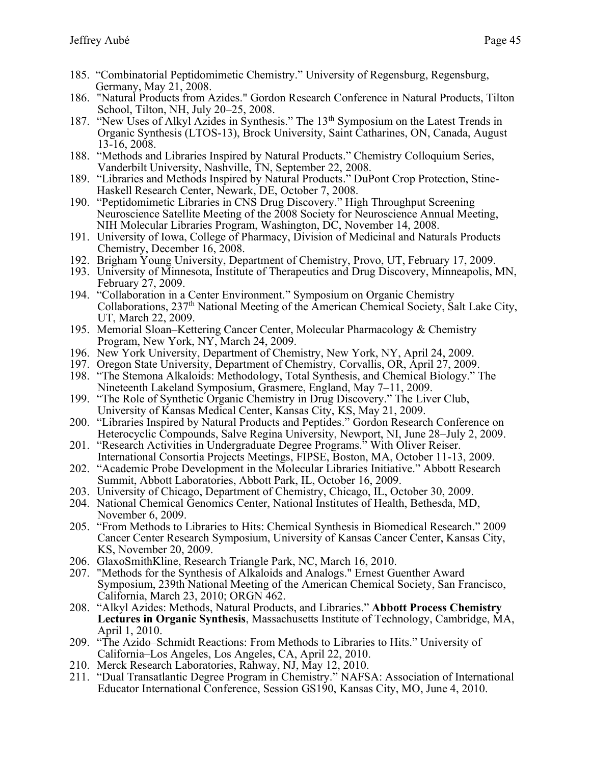- 185. "Combinatorial Peptidomimetic Chemistry." University of Regensburg, Regensburg, Germany, May 21, 2008.
- 186. "Natural Products from Azides." Gordon Research Conference in Natural Products, Tilton School, Tilton, NH, July 20–25, 2008.
- 187. "New Uses of Alkyl Azides in Synthesis." The 13<sup>th</sup> Symposium on the Latest Trends in Organic Synthesis (LTOS-13), Brock University, Saint Catharines, ON, Canada, August 13-16, 2008.
- 188. "Methods and Libraries Inspired by Natural Products." Chemistry Colloquium Series, Vanderbilt University, Nashville, TN, September 22, 2008.
- 189. "Libraries and Methods Inspired by Natural Products." DuPont Crop Protection, Stine-Haskell Research Center, Newark, DE, October 7, 2008.
- 190. "Peptidomimetic Libraries in CNS Drug Discovery." High Throughput Screening Neuroscience Satellite Meeting of the 2008 Society for Neuroscience Annual Meeting, NIH Molecular Libraries Program, Washington, DC, November 14, 2008.
- 191. University of Iowa, College of Pharmacy, Division of Medicinal and Naturals Products Chemistry, December 16, 2008.
- 192. Brigham Young University, Department of Chemistry, Provo, UT, February 17, 2009.
- 193. University of Minnesota, Institute of Therapeutics and Drug Discovery, Minneapolis, MN, February 27, 2009.
- 194. "Collaboration in a Center Environment." Symposium on Organic Chemistry Collaborations, 237th National Meeting of the American Chemical Society, Salt Lake City, UT, March 22, 2009.
- 195. Memorial Sloan–Kettering Cancer Center, Molecular Pharmacology & Chemistry Program, New York, NY, March 24, 2009.
- 196. New York University, Department of Chemistry, New York, NY, April 24, 2009.
- 197. Oregon State University, Department of Chemistry, Corvallis, OR, April 27, 2009.
- 198. "The Stemona Alkaloids: Methodology, Total Synthesis, and Chemical Biology." The Nineteenth Lakeland Symposium, Grasmere, England, May 7–11, 2009.
- 199. "The Role of Synthetic Organic Chemistry in Drug Discovery." The Liver Club, University of Kansas Medical Center, Kansas City, KS, May 21, 2009.
- 200. "Libraries Inspired by Natural Products and Peptides." Gordon Research Conference on Heterocyclic Compounds, Salve Regina University, Newport, NI, June 28–July 2, 2009.
- 201. "Research Activities in Undergraduate Degree Programs." With Oliver Reiser. International Consortia Projects Meetings, FIPSE, Boston, MA, October 11-13, 2009.
- 202. "Academic Probe Development in the Molecular Libraries Initiative." Abbott Research Summit, Abbott Laboratories, Abbott Park, IL, October 16, 2009.
- 203. University of Chicago, Department of Chemistry, Chicago, IL, October 30, 2009.
- 204. National Chemical Genomics Center, National Institutes of Health, Bethesda, MD, November 6, 2009.
- 205. "From Methods to Libraries to Hits: Chemical Synthesis in Biomedical Research." 2009 Cancer Center Research Symposium, University of Kansas Cancer Center, Kansas City, KS, November 20, 2009.
- 206. GlaxoSmithKline, Research Triangle Park, NC, March 16, 2010.
- 207. "Methods for the Synthesis of Alkaloids and Analogs." Ernest Guenther Award Symposium, 239th National Meeting of the American Chemical Society, San Francisco, California, March 23, 2010; ORGN 462.
- 208. "Alkyl Azides: Methods, Natural Products, and Libraries." **Abbott Process Chemistry Lectures in Organic Synthesis**, Massachusetts Institute of Technology, Cambridge, MA, April 1, 2010.
- 209. "The Azido–Schmidt Reactions: From Methods to Libraries to Hits." University of California–Los Angeles, Los Angeles, CA, April 22, 2010.
- 210. Merck Research Laboratories, Rahway, NJ, May 12, 2010.
- 211. "Dual Transatlantic Degree Program in Chemistry." NAFSA: Association of International Educator International Conference, Session GS190, Kansas City, MO, June 4, 2010.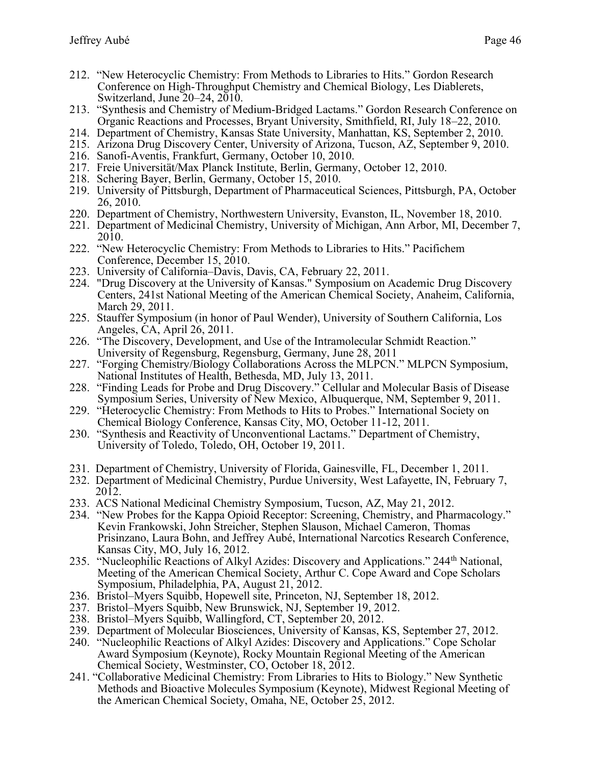- 212. "New Heterocyclic Chemistry: From Methods to Libraries to Hits." Gordon Research Conference on High-Throughput Chemistry and Chemical Biology, Les Diablerets, Switzerland, June 20–24, 2010.
- 213. "Synthesis and Chemistry of Medium-Bridged Lactams." Gordon Research Conference on Organic Reactions and Processes, Bryant University, Smithfield, RI, July 18–22, 2010.
- 214. Department of Chemistry, Kansas State University, Manhattan, KS, September 2, 2010.
- 215. Arizona Drug Discovery Center, University of Arizona, Tucson, AZ, September 9, 2010.
- 216. Sanofi-Aventis, Frankfurt, Germany, October 10, 2010.
- 217. Freie Universität/Max Planck Institute, Berlin, Germany, October 12, 2010.
- 218. Schering Bayer, Berlin, Germany, October 15, 2010.
- 219. University of Pittsburgh, Department of Pharmaceutical Sciences, Pittsburgh, PA, October 26, 2010.
- 220. Department of Chemistry, Northwestern University, Evanston, IL, November 18, 2010.
- 221. Department of Medicinal Chemistry, University of Michigan, Ann Arbor, MI, December 7, 2010.
- 222. "New Heterocyclic Chemistry: From Methods to Libraries to Hits." Pacifichem Conference, December 15, 2010.
- 223. University of California–Davis, Davis, CA, February 22, 2011.
- 224. "Drug Discovery at the University of Kansas." Symposium on Academic Drug Discovery Centers, 241st National Meeting of the American Chemical Society, Anaheim, California, March 29, 2011.
- 225. Stauffer Symposium (in honor of Paul Wender), University of Southern California, Los Angeles, CA, April 26, 2011.
- 226. "The Discovery, Development, and Use of the Intramolecular Schmidt Reaction." University of Regensburg, Regensburg, Germany, June 28, 2011
- 227. "Forging Chemistry/Biology Collaborations Across the MLPCN." MLPCN Symposium, National Institutes of Health, Bethesda, MD, July 13, 2011.
- 228. "Finding Leads for Probe and Drug Discovery." Cellular and Molecular Basis of Disease Symposium Series, University of New Mexico, Albuquerque, NM, September 9, 2011.
- 229. "Heterocyclic Chemistry: From Methods to Hits to Probes." International Society on Chemical Biology Conference, Kansas City, MO, October 11-12, 2011.
- 230. "Synthesis and Reactivity of Unconventional Lactams." Department of Chemistry, University of Toledo, Toledo, OH, October 19, 2011.
- 231. Department of Chemistry, University of Florida, Gainesville, FL, December 1, 2011.
- 232. Department of Medicinal Chemistry, Purdue University, West Lafayette, IN, February 7, 2012.
- 233. ACS National Medicinal Chemistry Symposium, Tucson, AZ, May 21, 2012.
- 234. "New Probes for the Kappa Opioid Receptor: Screening, Chemistry, and Pharmacology." Kevin Frankowski, John Streicher, Stephen Slauson, Michael Cameron, Thomas Prisinzano, Laura Bohn, and Jeffrey Aubé, International Narcotics Research Conference, Kansas City, MO, July 16, 2012.
- 235. "Nucleophilic Reactions of Alkyl Azides: Discovery and Applications." 244<sup>th</sup> National, Meeting of the American Chemical Society, Arthur C. Cope Award and Cope Scholars Symposium, Philadelphia, PA, August 21, 2012.
- 236. Bristol–Myers Squibb, Hopewell site, Princeton, NJ, September 18, 2012.
- 237. Bristol–Myers Squibb, New Brunswick, NJ, September 19, 2012.
- 238. Bristol–Myers Squibb, Wallingford, CT, September 20, 2012.
- 239. Department of Molecular Biosciences, University of Kansas, KS, September 27, 2012.
- 240. "Nucleophilic Reactions of Alkyl Azides: Discovery and Applications." Cope Scholar Award Symposium (Keynote), Rocky Mountain Regional Meeting of the American Chemical Society, Westminster, CO, October 18, 2012.
- 241. "Collaborative Medicinal Chemistry: From Libraries to Hits to Biology." New Synthetic Methods and Bioactive Molecules Symposium (Keynote), Midwest Regional Meeting of the American Chemical Society, Omaha, NE, October 25, 2012.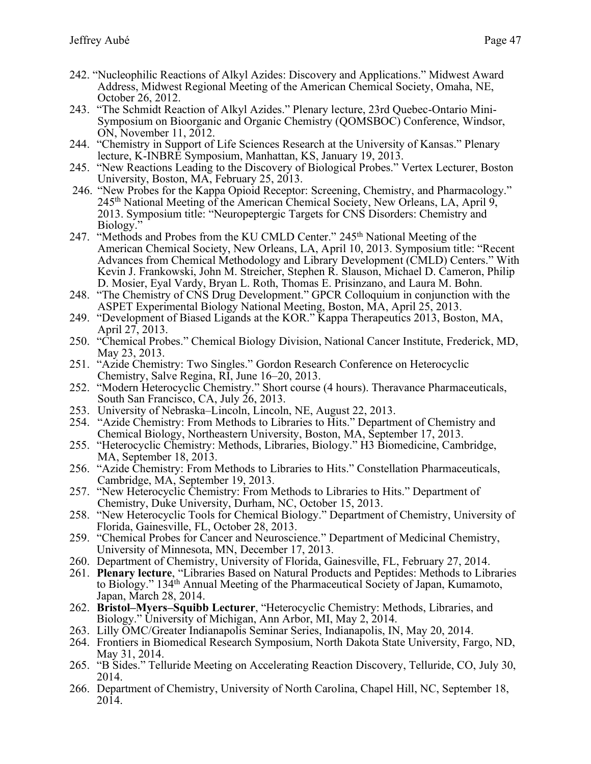- Address, Midwest Regional Meeting of the American Chemical Society, Omaha, NE, October 26, 2012.
- 243. "The Schmidt Reaction of Alkyl Azides." Plenary lecture, 23rd Quebec-Ontario Mini-Symposium on Bioorganic and Organic Chemistry (QOMSBOC) Conference, Windsor, ON, November 11, 2012.
- 244. "Chemistry in Support of Life Sciences Research at the University of Kansas." Plenary lecture, K-INBRE Symposium, Manhattan, KS, January 19, 2013.
- 245. "New Reactions Leading to the Discovery of Biological Probes." Vertex Lecturer, Boston University, Boston, MA, February 25, 2013.
- 246. "New Probes for the Kappa Opioid Receptor: Screening, Chemistry, and Pharmacology." 245th National Meeting of the American Chemical Society, New Orleans, LA, April 9, 2013. Symposium title: "Neuropeptergic Targets for CNS Disorders: Chemistry and Biology."
- 247. "Methods and Probes from the KU CMLD Center." 245<sup>th</sup> National Meeting of the American Chemical Society, New Orleans, LA, April 10, 2013. Symposium title: "Recent Advances from Chemical Methodology and Library Development (CMLD) Centers." With Kevin J. Frankowski, John M. Streicher, Stephen R. Slauson, Michael D. Cameron, Philip D. Mosier, Eyal Vardy, Bryan L. Roth, Thomas E. Prisinzano, and Laura M. Bohn.
- 248. "The Chemistry of CNS Drug Development." GPCR Colloquium in conjunction with the ASPET Experimental Biology National Meeting, Boston, MA, April 25, 2013.
- 249. "Development of Biased Ligands at the KOR." Kappa Therapeutics 2013, Boston, MA, April 27, 2013.
- 250. "Chemical Probes." Chemical Biology Division, National Cancer Institute, Frederick, MD, May 23, 2013.
- 251. "Azide Chemistry: Two Singles." Gordon Research Conference on Heterocyclic Chemistry, Salve Regina, RI, June 16–20, 2013.
- 252. "Modern Heterocyclic Chemistry." Short course (4 hours). Theravance Pharmaceuticals, South San Francisco, CA, July 26, 2013.
- 253. University of Nebraska–Lincoln, Lincoln, NE, August 22, 2013.
- 254. "Azide Chemistry: From Methods to Libraries to Hits." Department of Chemistry and Chemical Biology, Northeastern University, Boston, MA, September 17, 2013.
- 255. "Heterocyclic Chemistry: Methods, Libraries, Biology." H3 Biomedicine, Cambridge, MA, September 18, 2013.
- 256. "Azide Chemistry: From Methods to Libraries to Hits." Constellation Pharmaceuticals, Cambridge, MA, September 19, 2013.
- 257. "New Heterocyclic Chemistry: From Methods to Libraries to Hits." Department of Chemistry, Duke University, Durham, NC, October 15, 2013.
- 258. "New Heterocyclic Tools for Chemical Biology." Department of Chemistry, University of Florida, Gainesville, FL, October 28, 2013.
- 259. "Chemical Probes for Cancer and Neuroscience." Department of Medicinal Chemistry, University of Minnesota, MN, December 17, 2013.
- 260. Department of Chemistry, University of Florida, Gainesville, FL, February 27, 2014.
- 261. **Plenary lecture**, "Libraries Based on Natural Products and Peptides: Methods to Libraries to Biology." 134th Annual Meeting of the Pharmaceutical Society of Japan, Kumamoto, Japan, March 28, 2014.
- 262. **Bristol–Myers–Squibb Lecturer**, "Heterocyclic Chemistry: Methods, Libraries, and Biology." University of Michigan, Ann Arbor, MI, May 2, 2014.
- 263. Lilly OMC/Greater Indianapolis Seminar Series, Indianapolis, IN, May 20, 2014.
- 264. Frontiers in Biomedical Research Symposium, North Dakota State University, Fargo, ND, May 31, 2014.
- 265. "B Sides." Telluride Meeting on Accelerating Reaction Discovery, Telluride, CO, July 30, 2014.
- 266. Department of Chemistry, University of North Carolina, Chapel Hill, NC, September 18, 2014.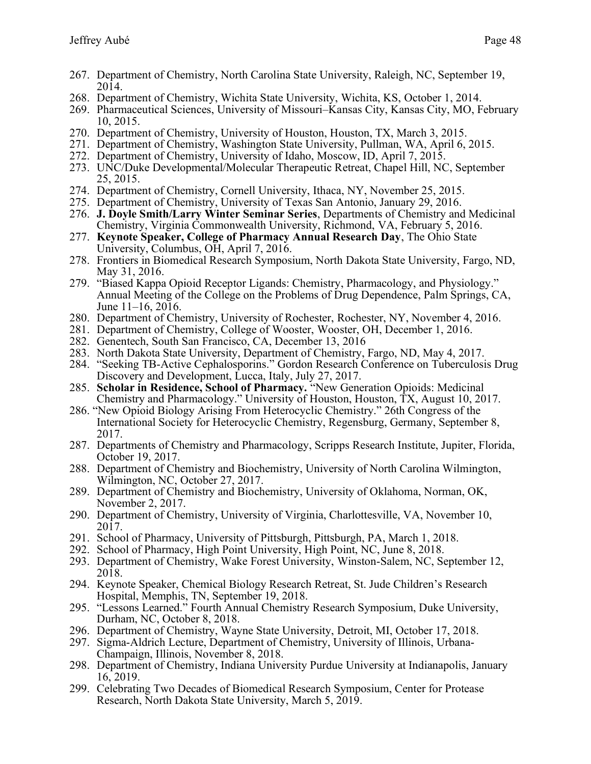- 268. Department of Chemistry, Wichita State University, Wichita, KS, October 1, 2014.
- 269. Pharmaceutical Sciences, University of Missouri–Kansas City, Kansas City, MO, February 10, 2015.
- 270. Department of Chemistry, University of Houston, Houston, TX, March 3, 2015.
- 271. Department of Chemistry, Washington State University, Pullman, WA, April 6, 2015.
- 272. Department of Chemistry, University of Idaho, Moscow, ID, April 7, 2015.
- 273. UNC/Duke Developmental/Molecular Therapeutic Retreat, Chapel Hill, NC, September 25, 2015.
- 274. Department of Chemistry, Cornell University, Ithaca, NY, November 25, 2015.
- 275. Department of Chemistry, University of Texas San Antonio, January 29, 2016.
- 276. **J. Doyle Smith/Larry Winter Seminar Series**, Departments of Chemistry and Medicinal Chemistry, Virginia Commonwealth University, Richmond, VA, February 5, 2016.
- 277. **Keynote Speaker, College of Pharmacy Annual Research Day**, The Ohio State University, Columbus, OH, April 7, 2016.
- 278. Frontiers in Biomedical Research Symposium, North Dakota State University, Fargo, ND, May 31, 2016.
- 279. "Biased Kappa Opioid Receptor Ligands: Chemistry, Pharmacology, and Physiology." Annual Meeting of the College on the Problems of Drug Dependence, Palm Springs, CA, June 11–16, 2016.
- 280. Department of Chemistry, University of Rochester, Rochester, NY, November 4, 2016.
- 281. Department of Chemistry, College of Wooster, Wooster, OH, December 1, 2016.
- 282. Genentech, South San Francisco, CA, December 13, 2016
- 283. North Dakota State University, Department of Chemistry, Fargo, ND, May 4, 2017.
- 284. "Seeking TB-Active Cephalosporins." Gordon Research Conference on Tuberculosis Drug Discovery and Development, Lucca, Italy, July 27, 2017.
- 285. **Scholar in Residence, School of Pharmacy.** "New Generation Opioids: Medicinal Chemistry and Pharmacology." University of Houston, Houston, TX, August 10, 2017.
- 286. "New Opioid Biology Arising From Heterocyclic Chemistry." 26th Congress of the International Society for Heterocyclic Chemistry, Regensburg, Germany, September 8, 2017.
- 287. Departments of Chemistry and Pharmacology, Scripps Research Institute, Jupiter, Florida, October 19, 2017.
- 288. Department of Chemistry and Biochemistry, University of North Carolina Wilmington, Wilmington, NC, October 27, 2017.
- 289. Department of Chemistry and Biochemistry, University of Oklahoma, Norman, OK, November 2, 2017.
- 290. Department of Chemistry, University of Virginia, Charlottesville, VA, November 10, 2017.
- 291. School of Pharmacy, University of Pittsburgh, Pittsburgh, PA, March 1, 2018.
- 292. School of Pharmacy, High Point University, High Point, NC, June 8, 2018.
- 293. Department of Chemistry, Wake Forest University, Winston-Salem, NC, September 12, 2018.
- 294. Keynote Speaker, Chemical Biology Research Retreat, St. Jude Children's Research Hospital, Memphis, TN, September 19, 2018.
- 295. "Lessons Learned." Fourth Annual Chemistry Research Symposium, Duke University, Durham, NC, October 8, 2018.
- 296. Department of Chemistry, Wayne State University, Detroit, MI, October 17, 2018.
- 297. Sigma-Aldrich Lecture, Department of Chemistry, University of Illinois, Urbana-Champaign, Illinois, November 8, 2018.
- 298. Department of Chemistry, Indiana University Purdue University at Indianapolis, January 16, 2019.
- 299. Celebrating Two Decades of Biomedical Research Symposium, Center for Protease Research, North Dakota State University, March 5, 2019.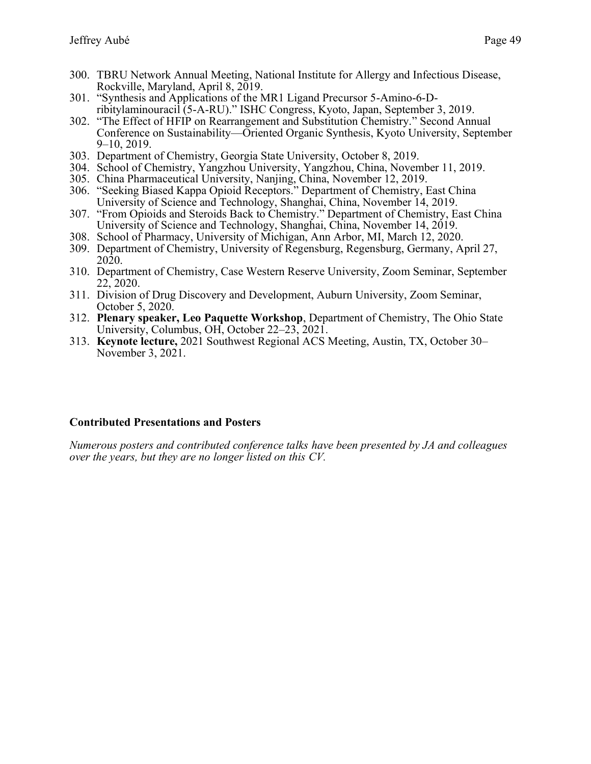- 300. TBRU Network Annual Meeting, National Institute for Allergy and Infectious Disease, Rockville, Maryland, April 8, 2019.
- 301. "Synthesis and Applications of the MR1 Ligand Precursor 5-Amino-6-Dribitylaminouracil (5-A-RU)." ISHC Congress, Kyoto, Japan, September 3, 2019.
- 302. "The Effect of HFIP on Rearrangement and Substitution Chemistry." Second Annual Conference on Sustainability—Oriented Organic Synthesis, Kyoto University, September 9–10, 2019.
- 303. Department of Chemistry, Georgia State University, October 8, 2019.
- 304. School of Chemistry, Yangzhou University, Yangzhou, China, November 11, 2019.
- 305. China Pharmaceutical University, Nanjing, China, November 12, 2019.
- 306. "Seeking Biased Kappa Opioid Receptors." Department of Chemistry, East China University of Science and Technology, Shanghai, China, November 14, 2019.
- 307. "From Opioids and Steroids Back to Chemistry." Department of Chemistry, East China University of Science and Technology, Shanghai, China, November 14, 2019.
- 308. School of Pharmacy, University of Michigan, Ann Arbor, MI, March 12, 2020.
- 309. Department of Chemistry, University of Regensburg, Regensburg, Germany, April 27, 2020.
- 310. Department of Chemistry, Case Western Reserve University, Zoom Seminar, September 22, 2020.
- 311. Division of Drug Discovery and Development, Auburn University, Zoom Seminar, October 5, 2020.
- 312. **Plenary speaker, Leo Paquette Workshop**, Department of Chemistry, The Ohio State University, Columbus, OH, October 22–23, 2021.
- 313. **Keynote lecture,** 2021 Southwest Regional ACS Meeting, Austin, TX, October 30– November 3, 2021.

#### **Contributed Presentations and Posters**

*Numerous posters and contributed conference talks have been presented by JA and colleagues over the years, but they are no longer listed on this CV.*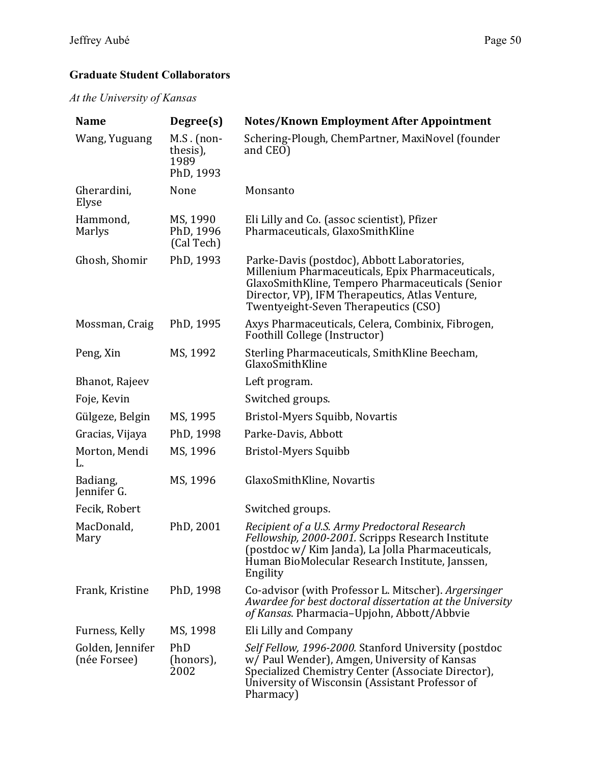## **Graduate Student Collaborators**

*At the University of Kansas*

| <b>Name</b>                      | Degree(s)                                     | <b>Notes/Known Employment After Appointment</b>                                                                                                                                                                                                |
|----------------------------------|-----------------------------------------------|------------------------------------------------------------------------------------------------------------------------------------------------------------------------------------------------------------------------------------------------|
| Wang, Yuguang                    | $M.S.$ (non-<br>thesis),<br>1989<br>PhD, 1993 | Schering-Plough, ChemPartner, MaxiNovel (founder<br>and CEO)                                                                                                                                                                                   |
| Gherardini,<br>Elyse             | None                                          | Monsanto                                                                                                                                                                                                                                       |
| Hammond,<br>Marlys               | MS, 1990<br>PhD, 1996<br>(Cal Tech)           | Eli Lilly and Co. (assoc scientist), Pfizer<br>Pharmaceuticals, GlaxoSmithKline                                                                                                                                                                |
| Ghosh, Shomir                    | PhD, 1993                                     | Parke-Davis (postdoc), Abbott Laboratories,<br>Millenium Pharmaceuticals, Epix Pharmaceuticals,<br>GlaxoSmithKline, Tempero Pharmaceuticals (Senior<br>Director, VP), IFM Therapeutics, Atlas Venture,<br>Twentyeight-Seven Therapeutics (CSO) |
| Mossman, Craig                   | PhD, 1995                                     | Axys Pharmaceuticals, Celera, Combinix, Fibrogen,<br>Foothill College (Instructor)                                                                                                                                                             |
| Peng, Xin                        | MS, 1992                                      | Sterling Pharmaceuticals, SmithKline Beecham,<br>GlaxoSmithKline                                                                                                                                                                               |
| Bhanot, Rajeev                   |                                               | Left program.                                                                                                                                                                                                                                  |
| Foje, Kevin                      |                                               | Switched groups.                                                                                                                                                                                                                               |
| Gülgeze, Belgin                  | MS, 1995                                      | Bristol-Myers Squibb, Novartis                                                                                                                                                                                                                 |
| Gracias, Vijaya                  | PhD, 1998                                     | Parke-Davis, Abbott                                                                                                                                                                                                                            |
| Morton, Mendi<br>L.              | MS, 1996                                      | Bristol-Myers Squibb                                                                                                                                                                                                                           |
| Badiang,<br>Jennifer G.          | MS, 1996                                      | GlaxoSmithKline, Novartis                                                                                                                                                                                                                      |
| Fecik, Robert                    |                                               | Switched groups.                                                                                                                                                                                                                               |
| MacDonald,<br>Mary               | PhD, 2001                                     | Recipient of a U.S. Army Predoctoral Research<br>Fellowship, 2000-2001. Scripps Research Institute<br>(postdoc w/ Kim Janda), La Jolla Pharmaceuticals,<br>Human BioMolecular Research Institute, Janssen,<br>Engility                         |
| Frank, Kristine                  | PhD, 1998                                     | Co-advisor (with Professor L. Mitscher). Argersinger<br>Awardee for best doctoral dissertation at the University<br>of Kansas. Pharmacia-Upjohn, Abbott/Abbvie                                                                                 |
| Furness, Kelly                   | MS, 1998                                      | Eli Lilly and Company                                                                                                                                                                                                                          |
| Golden, Jennifer<br>(née Forsee) | PhD<br>(honors),<br>2002                      | Self Fellow, 1996-2000. Stanford University (postdoc<br>w/ Paul Wender), Amgen, University of Kansas<br>Specialized Chemistry Center (Associate Director),<br>University of Wisconsin (Assistant Professor of<br>Pharmacy)                     |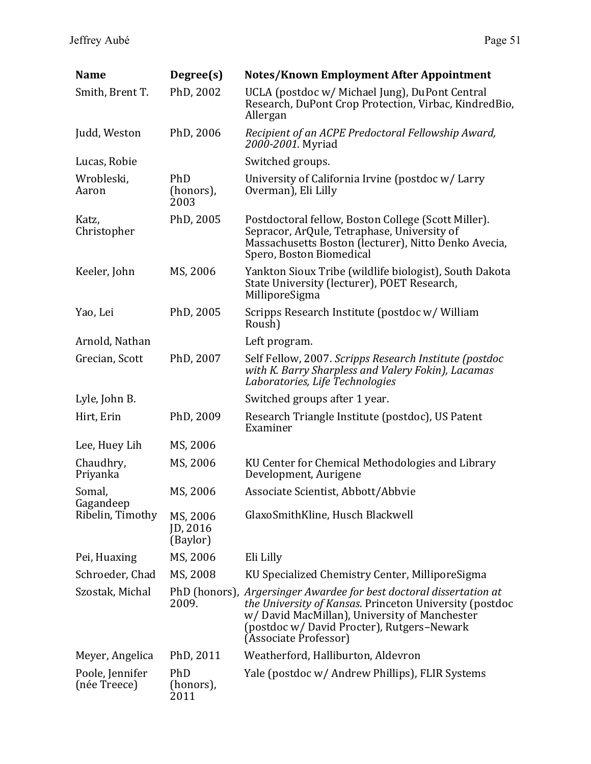| <b>Name</b>                     | Degree(s)                        | <b>Notes/Known Employment After Appointment</b>                                                                                                                                                                                                              |
|---------------------------------|----------------------------------|--------------------------------------------------------------------------------------------------------------------------------------------------------------------------------------------------------------------------------------------------------------|
| Smith, Brent T.                 | PhD, 2002                        | UCLA (postdoc w/ Michael Jung), DuPont Central<br>Research, DuPont Crop Protection, Virbac, KindredBio,<br>Allergan                                                                                                                                          |
| Judd, Weston                    | PhD, 2006                        | Recipient of an ACPE Predoctoral Fellowship Award,<br>2000-2001. Myriad                                                                                                                                                                                      |
| Lucas, Robie                    |                                  | Switched groups.                                                                                                                                                                                                                                             |
| Wrobleski,<br>Aaron             | PhD<br>(honors),<br>2003         | University of California Irvine (postdoc w/ Larry<br>Overman), Eli Lilly                                                                                                                                                                                     |
| Katz,<br>Christopher            | PhD, 2005                        | Postdoctoral fellow, Boston College (Scott Miller).<br>Sepracor, ArQule, Tetraphase, University of<br>Massachusetts Boston (lecturer), Nitto Denko Avecia,<br>Spero, Boston Biomedical                                                                       |
| Keeler, John                    | MS, 2006                         | Yankton Sioux Tribe (wildlife biologist), South Dakota<br>State University (lecturer), POET Research,<br>MilliporeSigma                                                                                                                                      |
| Yao, Lei                        | PhD, 2005                        | Scripps Research Institute (postdoc w/William<br>Roush)                                                                                                                                                                                                      |
| Arnold, Nathan                  |                                  | Left program.                                                                                                                                                                                                                                                |
| Grecian, Scott                  | PhD, 2007                        | Self Fellow, 2007. Scripps Research Institute (postdoc<br>with K. Barry Sharpless and Valery Fokin), Lacamas<br>Laboratories, Life Technologies                                                                                                              |
| Lyle, John B.                   |                                  | Switched groups after 1 year.                                                                                                                                                                                                                                |
| Hirt, Erin                      | PhD, 2009                        | Research Triangle Institute (postdoc), US Patent<br>Examiner                                                                                                                                                                                                 |
| Lee, Huey Lih                   | MS, 2006                         |                                                                                                                                                                                                                                                              |
| Chaudhry,<br>Priyanka           | MS, 2006                         | KU Center for Chemical Methodologies and Library<br>Development, Aurigene                                                                                                                                                                                    |
| Somal,                          | MS, 2006                         | Associate Scientist, Abbott/Abbvie                                                                                                                                                                                                                           |
| Gagandeep<br>Ribelin, Timothy   | MS, 2006<br>ID, 2016<br>(Baylor) | GlaxoSmithKline, Husch Blackwell                                                                                                                                                                                                                             |
| Pei, Huaxing                    | MS, 2006                         | Eli Lilly                                                                                                                                                                                                                                                    |
| Schroeder, Chad                 | MS, 2008                         | KU Specialized Chemistry Center, MilliporeSigma                                                                                                                                                                                                              |
| Szostak, Michal                 | 2009.                            | PhD (honors), Argersinger Awardee for best doctoral dissertation at<br><i>the University of Kansas.</i> Princeton University (postdoc<br>w/David MacMillan), University of Manchester<br>(postdoc w/ David Procter), Rutgers-Newark<br>(Associate Professor) |
| Meyer, Angelica                 | PhD, 2011                        | Weatherford, Halliburton, Aldevron                                                                                                                                                                                                                           |
| Poole, Jennifer<br>(née Treece) | PhD<br>(honors),<br>2011         | Yale (postdoc w/ Andrew Phillips), FLIR Systems                                                                                                                                                                                                              |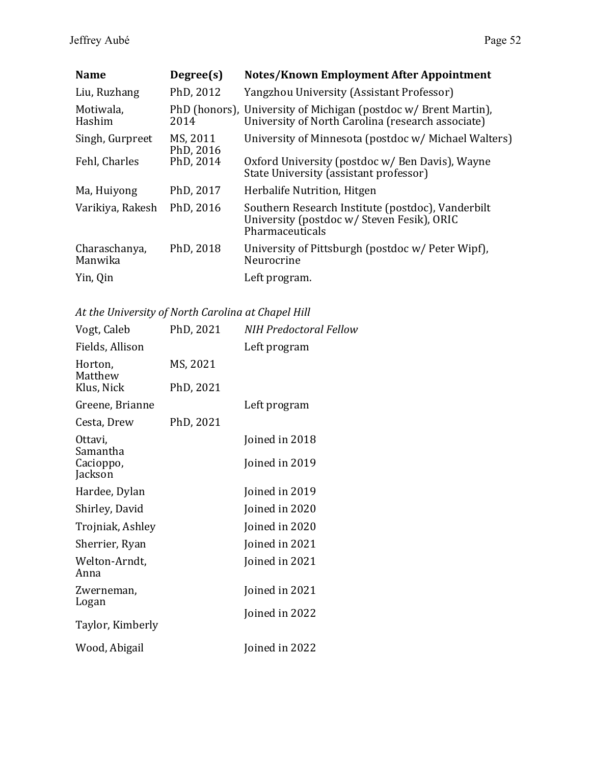| <b>Name</b>              | Degree(s)             | <b>Notes/Known Employment After Appointment</b>                                                                      |
|--------------------------|-----------------------|----------------------------------------------------------------------------------------------------------------------|
| Liu, Ruzhang             | PhD, 2012             | Yangzhou University (Assistant Professor)                                                                            |
| Motiwala,<br>Hashim      | 2014                  | PhD (honors), University of Michigan (postdoc w/ Brent Martin),<br>University of North Carolina (research associate) |
| Singh, Gurpreet          | MS, 2011<br>PhD, 2016 | University of Minnesota (postdoc w/ Michael Walters)                                                                 |
| Fehl, Charles            | PhD, 2014             | Oxford University (postdoc w/ Ben Davis), Wayne<br>State University (assistant professor)                            |
| Ma, Huiyong              | PhD, 2017             | Herbalife Nutrition, Hitgen                                                                                          |
| Varikiya, Rakesh         | PhD, 2016             | Southern Research Institute (postdoc), Vanderbilt<br>University (postdoc w/ Steven Fesik), ORIC<br>Pharmaceuticals   |
| Charaschanya,<br>Manwika | PhD, 2018             | University of Pittsburgh (postdoc w/ Peter Wipf),<br>Neurocrine                                                      |
| Yin, Qin                 |                       | Left program.                                                                                                        |

*At the University of North Carolina at Chapel Hill*

| Vogt, Caleb           | PhD, 2021 | <b>NIH Predoctoral Fellow</b> |
|-----------------------|-----------|-------------------------------|
|                       |           |                               |
| Fields, Allison       |           | Left program                  |
| Horton,<br>Matthew    | MS, 2021  |                               |
| Klus, Nick            | PhD, 2021 |                               |
| Greene, Brianne       |           | Left program                  |
| Cesta, Drew           | PhD, 2021 |                               |
| Ottavi,<br>Samantha   |           | Joined in 2018                |
| Cacioppo,<br>Jackson  |           | Joined in 2019                |
| Hardee, Dylan         |           | Joined in 2019                |
| Shirley, David        |           | Joined in 2020                |
| Trojniak, Ashley      |           | Joined in 2020                |
| Sherrier, Ryan        |           | Joined in 2021                |
| Welton-Arndt,<br>Anna |           | Joined in 2021                |
| Zwerneman,<br>Logan   |           | Joined in 2021                |
| Taylor, Kimberly      |           | Joined in 2022                |
| Wood, Abigail         |           | Joined in 2022                |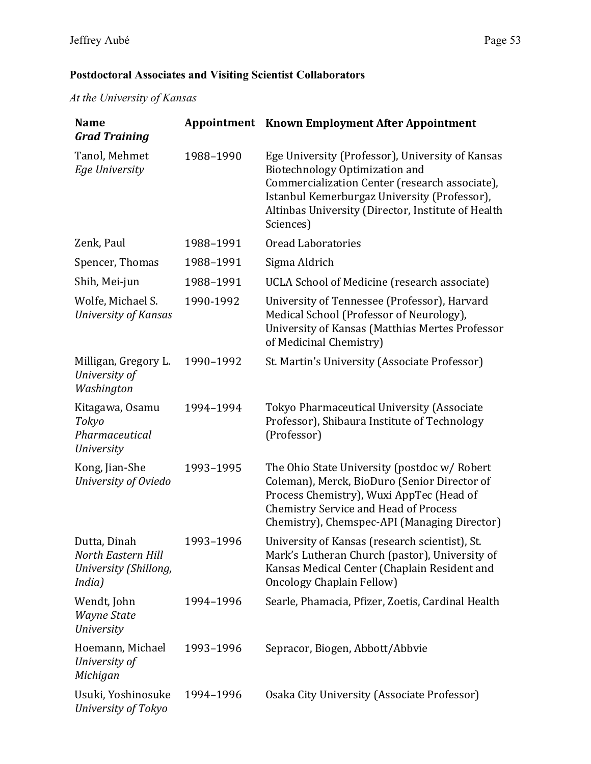## **Postdoctoral Associates and Visiting Scientist Collaborators**

*At the University of Kansas*

| <b>Name</b><br><b>Grad Training</b>                                   |           | <b>Appointment</b> Known Employment After Appointment                                                                                                                                                                                                   |
|-----------------------------------------------------------------------|-----------|---------------------------------------------------------------------------------------------------------------------------------------------------------------------------------------------------------------------------------------------------------|
| Tanol, Mehmet<br><b>Ege University</b>                                | 1988-1990 | Ege University (Professor), University of Kansas<br>Biotechnology Optimization and<br>Commercialization Center (research associate),<br>Istanbul Kemerburgaz University (Professor),<br>Altinbas University (Director, Institute of Health<br>Sciences) |
| Zenk, Paul                                                            | 1988-1991 | <b>Oread Laboratories</b>                                                                                                                                                                                                                               |
| Spencer, Thomas                                                       | 1988-1991 | Sigma Aldrich                                                                                                                                                                                                                                           |
| Shih, Mei-jun                                                         | 1988-1991 | UCLA School of Medicine (research associate)                                                                                                                                                                                                            |
| Wolfe, Michael S.<br><b>University of Kansas</b>                      | 1990-1992 | University of Tennessee (Professor), Harvard<br>Medical School (Professor of Neurology),<br>University of Kansas (Matthias Mertes Professor<br>of Medicinal Chemistry)                                                                                  |
| Milligan, Gregory L.<br>University of<br>Washington                   | 1990-1992 | St. Martin's University (Associate Professor)                                                                                                                                                                                                           |
| Kitagawa, Osamu<br>Tokyo<br>Pharmaceutical<br>University              | 1994-1994 | Tokyo Pharmaceutical University (Associate<br>Professor), Shibaura Institute of Technology<br>(Professor)                                                                                                                                               |
| Kong, Jian-She<br>University of Oviedo                                | 1993-1995 | The Ohio State University (postdoc w/ Robert<br>Coleman), Merck, BioDuro (Senior Director of<br>Process Chemistry), Wuxi AppTec (Head of<br><b>Chemistry Service and Head of Process</b><br>Chemistry), Chemspec-API (Managing Director)                |
| Dutta, Dinah<br>North Eastern Hill<br>University (Shillong,<br>India) | 1993-1996 | University of Kansas (research scientist), St.<br>Mark's Lutheran Church (pastor), University of<br>Kansas Medical Center (Chaplain Resident and<br>Oncology Chaplain Fellow)                                                                           |
| Wendt, John<br>Wayne State<br><b>University</b>                       | 1994-1996 | Searle, Phamacia, Pfizer, Zoetis, Cardinal Health                                                                                                                                                                                                       |
| Hoemann, Michael<br>University of<br>Michigan                         | 1993-1996 | Sepracor, Biogen, Abbott/Abbvie                                                                                                                                                                                                                         |
| Usuki, Yoshinosuke<br>University of Tokyo                             | 1994-1996 | Osaka City University (Associate Professor)                                                                                                                                                                                                             |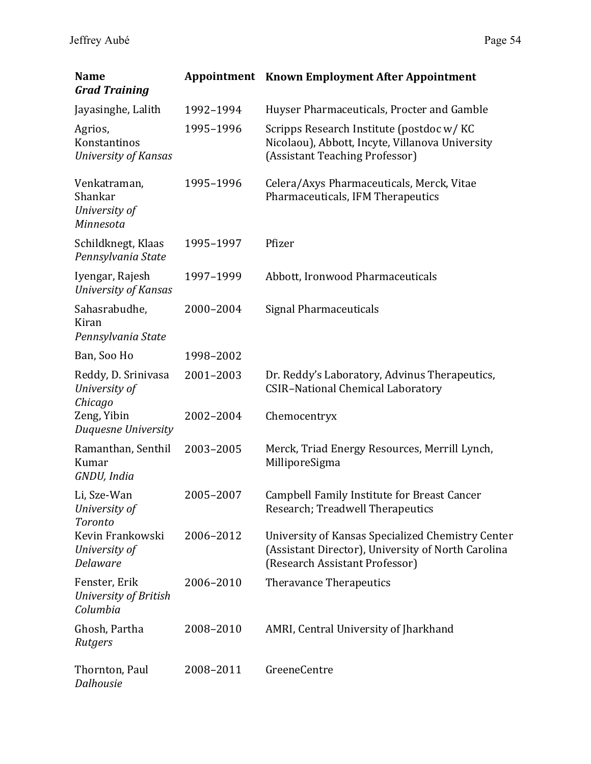| <b>Name</b><br><b>Grad Training</b>                   |           | <b>Appointment</b> Known Employment After Appointment                                                                                     |
|-------------------------------------------------------|-----------|-------------------------------------------------------------------------------------------------------------------------------------------|
| Jayasinghe, Lalith                                    | 1992-1994 | Huyser Pharmaceuticals, Procter and Gamble                                                                                                |
| Agrios,<br>Konstantinos<br>University of Kansas       | 1995-1996 | Scripps Research Institute (postdoc w/KC<br>Nicolaou), Abbott, Incyte, Villanova University<br>(Assistant Teaching Professor)             |
| Venkatraman,<br>Shankar<br>University of<br>Minnesota | 1995-1996 | Celera/Axys Pharmaceuticals, Merck, Vitae<br>Pharmaceuticals, IFM Therapeutics                                                            |
| Schildknegt, Klaas<br>Pennsylvania State              | 1995-1997 | Pfizer                                                                                                                                    |
| Iyengar, Rajesh<br><b>University of Kansas</b>        | 1997-1999 | Abbott, Ironwood Pharmaceuticals                                                                                                          |
| Sahasrabudhe,<br>Kiran<br>Pennsylvania State          | 2000-2004 | Signal Pharmaceuticals                                                                                                                    |
| Ban, Soo Ho                                           | 1998-2002 |                                                                                                                                           |
| Reddy, D. Srinivasa<br>University of<br>Chicago       | 2001-2003 | Dr. Reddy's Laboratory, Advinus Therapeutics,<br><b>CSIR-National Chemical Laboratory</b>                                                 |
| Zeng, Yibin<br>Duquesne University                    | 2002-2004 | Chemocentryx                                                                                                                              |
| Ramanthan, Senthil<br>Kumar<br>GNDU, India            | 2003-2005 | Merck, Triad Energy Resources, Merrill Lynch,<br>MilliporeSigma                                                                           |
| Li, Sze-Wan<br>University of<br>Toronto               | 2005-2007 | Campbell Family Institute for Breast Cancer<br>Research; Treadwell Therapeutics                                                           |
| Kevin Frankowski<br>University of<br>Delaware         | 2006-2012 | University of Kansas Specialized Chemistry Center<br>(Assistant Director), University of North Carolina<br>(Research Assistant Professor) |
| Fenster, Erik<br>University of British<br>Columbia    | 2006-2010 | Theravance Therapeutics                                                                                                                   |
| Ghosh, Partha<br>Rutgers                              | 2008-2010 | AMRI, Central University of Jharkhand                                                                                                     |
| Thornton, Paul<br>Dalhousie                           | 2008-2011 | GreeneCentre                                                                                                                              |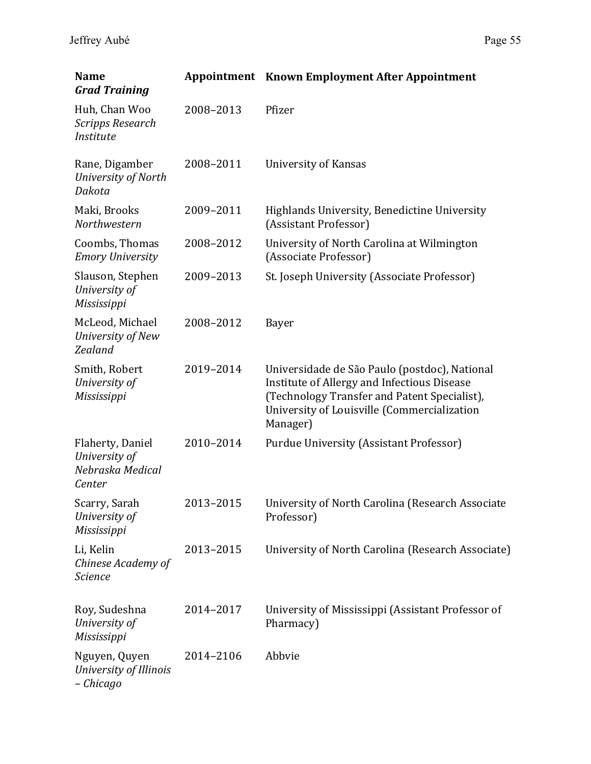| <b>Name</b><br><b>Grad Training</b>                             |           | <b>Appointment</b> Known Employment After Appointment                                                                                                                                                   |
|-----------------------------------------------------------------|-----------|---------------------------------------------------------------------------------------------------------------------------------------------------------------------------------------------------------|
| Huh, Chan Woo<br><b>Scripps Research</b><br>Institute           | 2008-2013 | Pfizer                                                                                                                                                                                                  |
| Rane, Digamber<br>University of North<br>Dakota                 | 2008-2011 | University of Kansas                                                                                                                                                                                    |
| Maki, Brooks<br>Northwestern                                    | 2009-2011 | Highlands University, Benedictine University<br>(Assistant Professor)                                                                                                                                   |
| Coombs, Thomas<br><b>Emory University</b>                       | 2008-2012 | University of North Carolina at Wilmington<br>(Associate Professor)                                                                                                                                     |
| Slauson, Stephen<br>University of<br>Mississippi                | 2009-2013 | St. Joseph University (Associate Professor)                                                                                                                                                             |
| McLeod, Michael<br>University of New<br>Zealand                 | 2008-2012 | Bayer                                                                                                                                                                                                   |
| Smith, Robert<br>University of<br>Mississippi                   | 2019-2014 | Universidade de São Paulo (postdoc), National<br>Institute of Allergy and Infectious Disease<br>(Technology Transfer and Patent Specialist),<br>University of Louisville (Commercialization<br>Manager) |
| Flaherty, Daniel<br>University of<br>Nebraska Medical<br>Center | 2010-2014 | <b>Purdue University (Assistant Professor)</b>                                                                                                                                                          |
| Scarry, Sarah<br>University of<br>Mississippi                   | 2013-2015 | University of North Carolina (Research Associate<br>Professor)                                                                                                                                          |
| Li, Kelin<br>Chinese Academy of<br>Science                      | 2013-2015 | University of North Carolina (Research Associate)                                                                                                                                                       |
| Roy, Sudeshna<br>University of<br>Mississippi                   | 2014-2017 | University of Mississippi (Assistant Professor of<br>Pharmacy)                                                                                                                                          |
| Nguyen, Quyen<br>University of Illinois<br>- Chicago            | 2014-2106 | Abbvie                                                                                                                                                                                                  |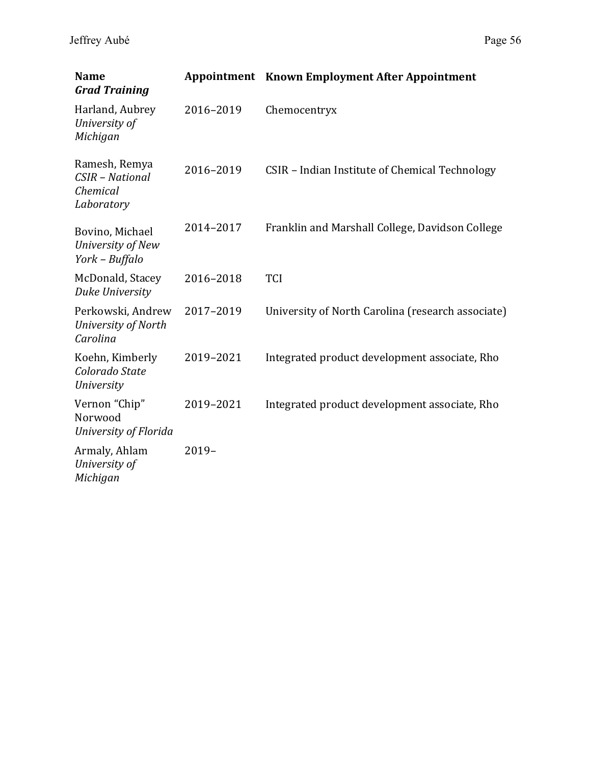| <b>Name</b><br><b>Grad Training</b>                        |           | <b>Appointment</b> Known Employment After Appointment |
|------------------------------------------------------------|-----------|-------------------------------------------------------|
| Harland, Aubrey<br>University of<br>Michigan               | 2016-2019 | Chemocentryx                                          |
| Ramesh, Remya<br>CSIR - National<br>Chemical<br>Laboratory | 2016-2019 | CSIR - Indian Institute of Chemical Technology        |
| Bovino, Michael<br>University of New<br>York - Buffalo     | 2014-2017 | Franklin and Marshall College, Davidson College       |
| McDonald, Stacey<br>Duke University                        | 2016-2018 | <b>TCI</b>                                            |
| Perkowski, Andrew<br>University of North<br>Carolina       | 2017-2019 | University of North Carolina (research associate)     |
| Koehn, Kimberly<br>Colorado State<br><b>University</b>     | 2019-2021 | Integrated product development associate, Rho         |
| Vernon "Chip"<br>Norwood<br>University of Florida          | 2019-2021 | Integrated product development associate, Rho         |
| Armaly, Ahlam<br>University of<br>Michigan                 | $2019-$   |                                                       |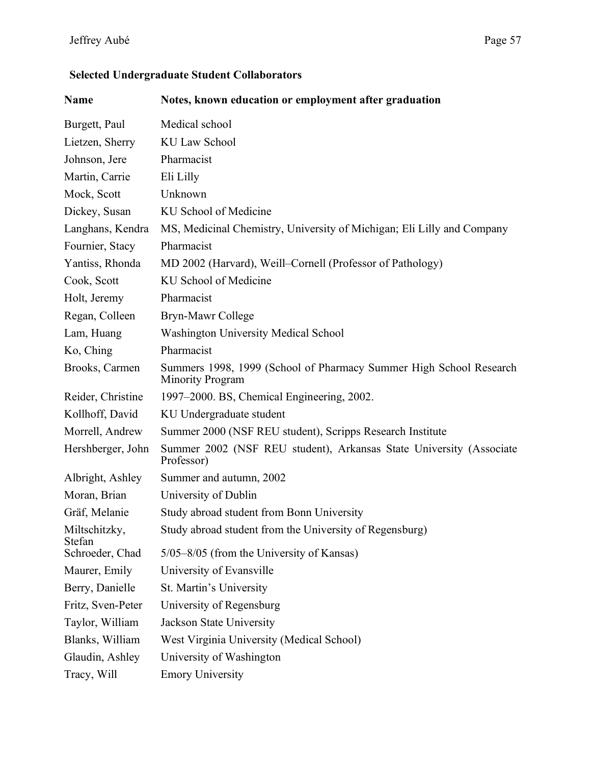# Jeffrey Aubé Page 57

# **Selected Undergraduate Student Collaborators**

| Name                    | Notes, known education or employment after graduation                                         |
|-------------------------|-----------------------------------------------------------------------------------------------|
| Burgett, Paul           | Medical school                                                                                |
| Lietzen, Sherry         | <b>KU Law School</b>                                                                          |
| Johnson, Jere           | Pharmacist                                                                                    |
| Martin, Carrie          | Eli Lilly                                                                                     |
| Mock, Scott             | Unknown                                                                                       |
| Dickey, Susan           | KU School of Medicine                                                                         |
| Langhans, Kendra        | MS, Medicinal Chemistry, University of Michigan; Eli Lilly and Company                        |
| Fournier, Stacy         | Pharmacist                                                                                    |
| Yantiss, Rhonda         | MD 2002 (Harvard), Weill–Cornell (Professor of Pathology)                                     |
| Cook, Scott             | KU School of Medicine                                                                         |
| Holt, Jeremy            | Pharmacist                                                                                    |
| Regan, Colleen          | Bryn-Mawr College                                                                             |
| Lam, Huang              | <b>Washington University Medical School</b>                                                   |
| Ko, Ching               | Pharmacist                                                                                    |
| Brooks, Carmen          | Summers 1998, 1999 (School of Pharmacy Summer High School Research<br><b>Minority Program</b> |
| Reider, Christine       | 1997–2000. BS, Chemical Engineering, 2002.                                                    |
| Kollhoff, David         | KU Undergraduate student                                                                      |
| Morrell, Andrew         | Summer 2000 (NSF REU student), Scripps Research Institute                                     |
| Hershberger, John       | Summer 2002 (NSF REU student), Arkansas State University (Associate<br>Professor)             |
| Albright, Ashley        | Summer and autumn, 2002                                                                       |
| Moran, Brian            | University of Dublin                                                                          |
| Gräf, Melanie           | Study abroad student from Bonn University                                                     |
| Miltschitzky,<br>Stefan | Study abroad student from the University of Regensburg)                                       |
| Schroeder, Chad         | 5/05–8/05 (from the University of Kansas)                                                     |
| Maurer, Emily           | University of Evansville                                                                      |
| Berry, Danielle         | St. Martin's University                                                                       |
| Fritz, Sven-Peter       | University of Regensburg                                                                      |
| Taylor, William         | Jackson State University                                                                      |
| Blanks, William         | West Virginia University (Medical School)                                                     |
| Glaudin, Ashley         | University of Washington                                                                      |
| Tracy, Will             | <b>Emory University</b>                                                                       |
|                         |                                                                                               |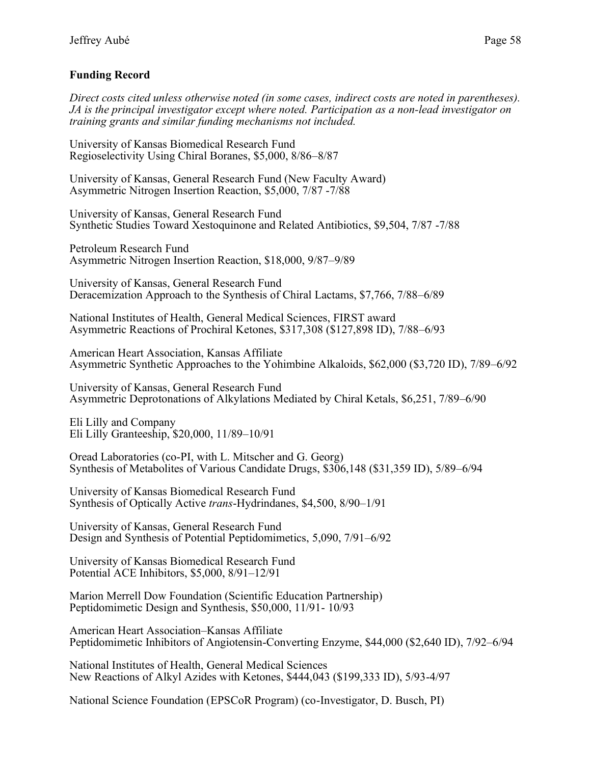## **Funding Record**

*Direct costs cited unless otherwise noted (in some cases, indirect costs are noted in parentheses). JA is the principal investigator except where noted. Participation as a non-lead investigator on training grants and similar funding mechanisms not included.*

University of Kansas Biomedical Research Fund Regioselectivity Using Chiral Boranes, \$5,000, 8/86–8/87

University of Kansas, General Research Fund (New Faculty Award) Asymmetric Nitrogen Insertion Reaction, \$5,000, 7/87 -7/88

University of Kansas, General Research Fund Synthetic Studies Toward Xestoquinone and Related Antibiotics, \$9,504, 7/87 -7/88

Petroleum Research Fund Asymmetric Nitrogen Insertion Reaction, \$18,000, 9/87–9/89

University of Kansas, General Research Fund Deracemization Approach to the Synthesis of Chiral Lactams, \$7,766, 7/88–6/89

National Institutes of Health, General Medical Sciences, FIRST award Asymmetric Reactions of Prochiral Ketones, \$317,308 (\$127,898 ID), 7/88–6/93

American Heart Association, Kansas Affiliate Asymmetric Synthetic Approaches to the Yohimbine Alkaloids, \$62,000 (\$3,720 ID), 7/89–6/92

University of Kansas, General Research Fund Asymmetric Deprotonations of Alkylations Mediated by Chiral Ketals, \$6,251, 7/89–6/90

Eli Lilly and Company Eli Lilly Granteeship, \$20,000, 11/89–10/91

Oread Laboratories (co-PI, with L. Mitscher and G. Georg) Synthesis of Metabolites of Various Candidate Drugs, \$306,148 (\$31,359 ID), 5/89–6/94

University of Kansas Biomedical Research Fund Synthesis of Optically Active *trans*-Hydrindanes, \$4,500, 8/90–1/91

University of Kansas, General Research Fund Design and Synthesis of Potential Peptidomimetics, 5,090, 7/91–6/92

University of Kansas Biomedical Research Fund Potential ACE Inhibitors, \$5,000, 8/91–12/91

Marion Merrell Dow Foundation (Scientific Education Partnership) Peptidomimetic Design and Synthesis, \$50,000, 11/91- 10/93

American Heart Association–Kansas Affiliate Peptidomimetic Inhibitors of Angiotensin-Converting Enzyme, \$44,000 (\$2,640 ID), 7/92–6/94

National Institutes of Health, General Medical Sciences New Reactions of Alkyl Azides with Ketones, \$444,043 (\$199,333 ID), 5/93-4/97

National Science Foundation (EPSCoR Program) (co-Investigator, D. Busch, PI)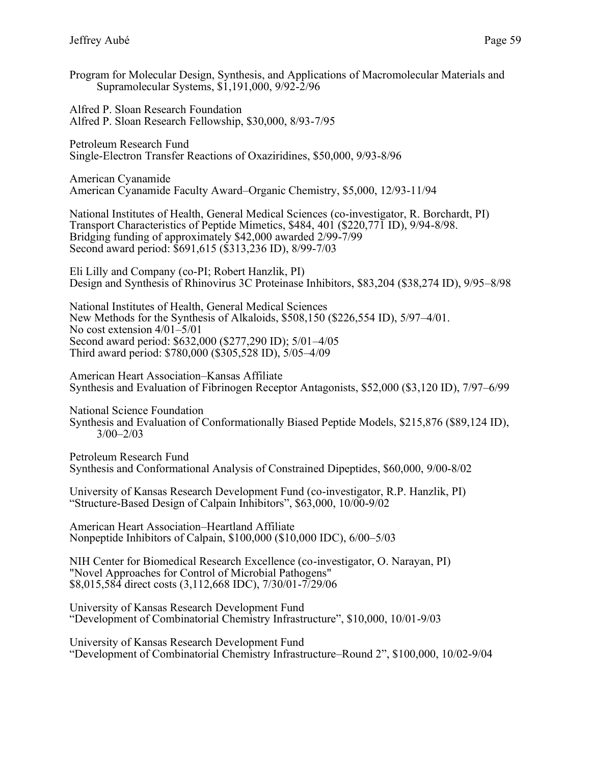Program for Molecular Design, Synthesis, and Applications of Macromolecular Materials and Supramolecular Systems, \$1,191,000, 9/92-2/96

Alfred P. Sloan Research Foundation Alfred P. Sloan Research Fellowship, \$30,000, 8/93-7/95

Petroleum Research Fund Single-Electron Transfer Reactions of Oxaziridines, \$50,000, 9/93-8/96

American Cyanamide American Cyanamide Faculty Award–Organic Chemistry, \$5,000, 12/93-11/94

National Institutes of Health, General Medical Sciences (co-investigator, R. Borchardt, PI) Transport Characteristics of Peptide Mimetics, \$484, 401 (\$220,771 ID), 9/94-8/98. Bridging funding of approximately \$42,000 awarded 2/99-7/99 Second award period: \$691,615 (\$313,236 ID), 8/99-7/03

Eli Lilly and Company (co-PI; Robert Hanzlik, PI) Design and Synthesis of Rhinovirus 3C Proteinase Inhibitors, \$83,204 (\$38,274 ID), 9/95–8/98

National Institutes of Health, General Medical Sciences New Methods for the Synthesis of Alkaloids, \$508,150 (\$226,554 ID), 5/97–4/01. No cost extension 4/01–5/01 Second award period: \$632,000 (\$277,290 ID); 5/01–4/05 Third award period: \$780,000 (\$305,528 ID), 5/05–4/09

American Heart Association–Kansas Affiliate Synthesis and Evaluation of Fibrinogen Receptor Antagonists, \$52,000 (\$3,120 ID), 7/97–6/99

National Science Foundation

Synthesis and Evaluation of Conformationally Biased Peptide Models, \$215,876 (\$89,124 ID), 3/00–2/03

Petroleum Research Fund Synthesis and Conformational Analysis of Constrained Dipeptides, \$60,000, 9/00-8/02

University of Kansas Research Development Fund (co-investigator, R.P. Hanzlik, PI) "Structure-Based Design of Calpain Inhibitors", \$63,000, 10/00-9/02

American Heart Association–Heartland Affiliate Nonpeptide Inhibitors of Calpain, \$100,000 (\$10,000 IDC), 6/00–5/03

NIH Center for Biomedical Research Excellence (co-investigator, O. Narayan, PI) "Novel Approaches for Control of Microbial Pathogens" \$8,015,584 direct costs (3,112,668 IDC), 7/30/01-7/29/06

University of Kansas Research Development Fund "Development of Combinatorial Chemistry Infrastructure", \$10,000, 10/01-9/03

University of Kansas Research Development Fund "Development of Combinatorial Chemistry Infrastructure–Round 2", \$100,000, 10/02-9/04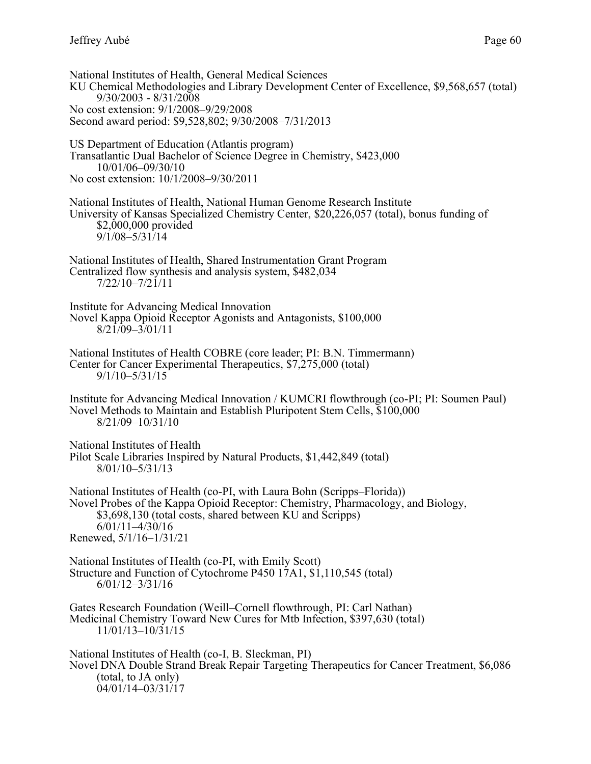National Institutes of Health, General Medical Sciences KU Chemical Methodologies and Library Development Center of Excellence, \$9,568,657 (total) 9/30/2003 - 8/31/2008 No cost extension: 9/1/2008–9/29/2008 Second award period: \$9,528,802; 9/30/2008–7/31/2013 US Department of Education (Atlantis program) Transatlantic Dual Bachelor of Science Degree in Chemistry, \$423,000 10/01/06–09/30/10 No cost extension: 10/1/2008–9/30/2011 National Institutes of Health, National Human Genome Research Institute University of Kansas Specialized Chemistry Center, \$20,226,057 (total), bonus funding of \$2,000,000 provided 9/1/08–5/31/14 National Institutes of Health, Shared Instrumentation Grant Program Centralized flow synthesis and analysis system, \$482,034 7/22/10–7/21/11 Institute for Advancing Medical Innovation Novel Kappa Opioid Receptor Agonists and Antagonists, \$100,000  $8/21/09 - 3/01/11$ National Institutes of Health COBRE (core leader; PI: B.N. Timmermann) Center for Cancer Experimental Therapeutics, \$7,275,000 (total) 9/1/10–5/31/15 Institute for Advancing Medical Innovation / KUMCRI flowthrough (co-PI; PI: Soumen Paul) Novel Methods to Maintain and Establish Pluripotent Stem Cells, \$100,000 8/21/09–10/31/10 National Institutes of Health Pilot Scale Libraries Inspired by Natural Products, \$1,442,849 (total) 8/01/10–5/31/13 National Institutes of Health (co-PI, with Laura Bohn (Scripps–Florida)) Novel Probes of the Kappa Opioid Receptor: Chemistry, Pharmacology, and Biology, \$3,698,130 (total costs, shared between KU and Scripps) 6/01/11–4/30/16 Renewed, 5/1/16–1/31/21 National Institutes of Health (co-PI, with Emily Scott) Structure and Function of Cytochrome P450 17A1, \$1,110,545 (total) 6/01/12–3/31/16 Gates Research Foundation (Weill–Cornell flowthrough, PI: Carl Nathan) Medicinal Chemistry Toward New Cures for Mtb Infection, \$397,630 (total) 11/01/13–10/31/15 National Institutes of Health (co-I, B. Sleckman, PI) Novel DNA Double Strand Break Repair Targeting Therapeutics for Cancer Treatment, \$6,086 (total, to JA only) 04/01/14–03/31/17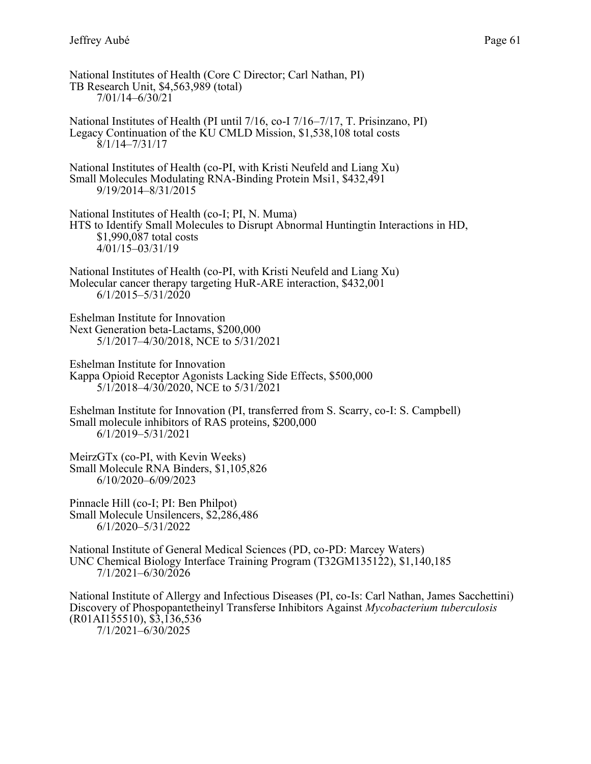National Institutes of Health (Core C Director; Carl Nathan, PI) TB Research Unit, \$4,563,989 (total) 7/01/14–6/30/21 National Institutes of Health (PI until 7/16, co-I 7/16–7/17, T. Prisinzano, PI) Legacy Continuation of the KU CMLD Mission, \$1,538,108 total costs 8/1/14–7/31/17 National Institutes of Health (co-PI, with Kristi Neufeld and Liang Xu) Small Molecules Modulating RNA-Binding Protein Msi1, \$432,491 9/19/2014–8/31/2015 National Institutes of Health (co-I; PI, N. Muma) HTS to Identify Small Molecules to Disrupt Abnormal Huntingtin Interactions in HD, \$1,990,087 total costs 4/01/15–03/31/19 National Institutes of Health (co-PI, with Kristi Neufeld and Liang Xu) Molecular cancer therapy targeting HuR-ARE interaction, \$432,001 6/1/2015–5/31/2020 Eshelman Institute for Innovation Next Generation beta-Lactams, \$200,000 5/1/2017–4/30/2018, NCE to 5/31/2021 Eshelman Institute for Innovation Kappa Opioid Receptor Agonists Lacking Side Effects, \$500,000 5/1/2018–4/30/2020, NCE to 5/31/2021 Eshelman Institute for Innovation (PI, transferred from S. Scarry, co-I: S. Campbell) Small molecule inhibitors of RAS proteins, \$200,000 6/1/2019–5/31/2021 MeirzGTx (co-PI, with Kevin Weeks) Small Molecule RNA Binders, \$1,105,826 6/10/2020–6/09/2023 Pinnacle Hill (co-I; PI: Ben Philpot) Small Molecule Unsilencers, \$2,286,486 6/1/2020–5/31/2022 National Institute of General Medical Sciences (PD, co-PD: Marcey Waters) UNC Chemical Biology Interface Training Program (T32GM135122), \$1,140,185 7/1/2021–6/30/2026 National Institute of Allergy and Infectious Diseases (PI, co-Is: Carl Nathan, James Sacchettini) Discovery of Phospopantetheinyl Transferse Inhibitors Against *Mycobacterium tuberculosis* (R01AI155510), \$3,136,536 7/1/2021–6/30/2025